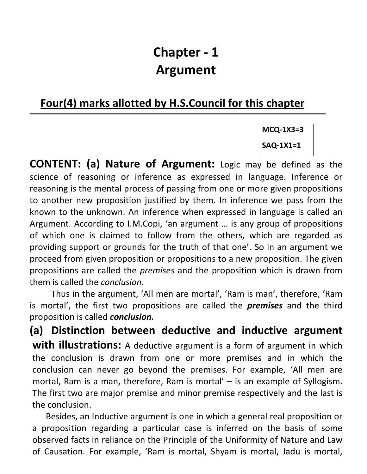# Chapter - 1 Argument

## Four(4) marks allotted by H.S.Council for this chapter

 $\overline{\phantom{a}}$  , and the contribution of the contribution of  $\overline{\phantom{a}}$ 

MCQ-1X3=3 SAQ-1X1=1

CONTENT: (a) Nature of Argument: Logic may be defined as the science of reasoning or inference as expressed in language. Inference or reasoning is the mental process of passing from one or more given propositions to another new proposition justified by them. In inference we pass from the known to the unknown. An inference when expressed in language is called an Argument. According to I.M.Copi, 'an argument … is any group of propositions of which one is claimed to follow from the others, which are regarded as providing support or grounds for the truth of that one'. So in an argument we proceed from given proposition or propositions to a new proposition. The given propositions are called the premises and the proposition which is drawn from them is called the conclusion.

Thus in the argument, 'All men are mortal', 'Ram is man', therefore, 'Ram is mortal', the first two propositions are called the **premises** and the third proposition is called **conclusion.** 

(a) Distinction between deductive and inductive argument **with illustrations:** A deductive argument is a form of argument in which the conclusion is drawn from one or more premises and in which the conclusion can never go beyond the premises. For example, 'All men are mortal, Ram is a man, therefore, Ram is mortal' – is an example of Syllogism. The first two are major premise and minor premise respectively and the last is the conclusion.

Besides, an Inductive argument is one in which a general real proposition or a proposition regarding a particular case is inferred on the basis of some observed facts in reliance on the Principle of the Uniformity of Nature and Law of Causation. For example, 'Ram is mortal, Shyam is mortal, Jadu is mortal,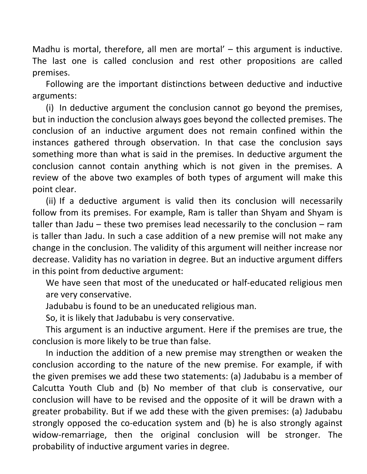Madhu is mortal, therefore, all men are mortal' – this argument is inductive. The last one is called conclusion and rest other propositions are called premises.

 Following are the important distinctions between deductive and inductive arguments:

(i) In deductive argument the conclusion cannot go beyond the premises, but in induction the conclusion always goes beyond the collected premises. The conclusion of an inductive argument does not remain confined within the instances gathered through observation. In that case the conclusion says something more than what is said in the premises. In deductive argument the conclusion cannot contain anything which is not given in the premises. A review of the above two examples of both types of argument will make this point clear.

(ii) If a deductive argument is valid then its conclusion will necessarily follow from its premises. For example, Ram is taller than Shyam and Shyam is taller than Jadu – these two premises lead necessarily to the conclusion – ram is taller than Jadu. In such a case addition of a new premise will not make any change in the conclusion. The validity of this argument will neither increase nor decrease. Validity has no variation in degree. But an inductive argument differs in this point from deductive argument:

We have seen that most of the uneducated or half-educated religious men are very conservative.

Jadubabu is found to be an uneducated religious man.

So, it is likely that Jadubabu is very conservative.

This argument is an inductive argument. Here if the premises are true, the conclusion is more likely to be true than false.

In induction the addition of a new premise may strengthen or weaken the conclusion according to the nature of the new premise. For example, if with the given premises we add these two statements: (a) Jadubabu is a member of Calcutta Youth Club and (b) No member of that club is conservative, our conclusion will have to be revised and the opposite of it will be drawn with a greater probability. But if we add these with the given premises: (a) Jadubabu strongly opposed the co-education system and (b) he is also strongly against widow-remarriage, then the original conclusion will be stronger. The probability of inductive argument varies in degree.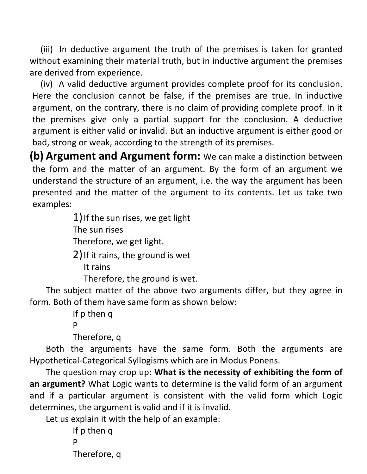(iii) In deductive argument the truth of the premises is taken for granted without examining their material truth, but in inductive argument the premises are derived from experience.

(iv) A valid deductive argument provides complete proof for its conclusion. Here the conclusion cannot be false, if the premises are true. In inductive argument, on the contrary, there is no claim of providing complete proof. In it the premises give only a partial support for the conclusion. A deductive argument is either valid or invalid. But an inductive argument is either good or bad, strong or weak, according to the strength of its premises.

(b) Argument and Argument form: We can make a distinction between the form and the matter of an argument. By the form of an argument we understand the structure of an argument, i.e. the way the argument has been presented and the matter of the argument to its contents. Let us take two examples:

> 1) If the sun rises, we get light The sun rises Therefore, we get light.

> 2)If it rains, the ground is wet

It rains

Therefore, the ground is wet.

 The subject matter of the above two arguments differ, but they agree in form. Both of them have same form as shown below:

 If p then q **P** 

Therefore, q

 Both the arguments have the same form. Both the arguments are Hypothetical-Categorical Syllogisms which are in Modus Ponens.

 The question may crop up: What is the necessity of exhibiting the form of an argument? What Logic wants to determine is the valid form of an argument and if a particular argument is consistent with the valid form which Logic determines, the argument is valid and if it is invalid.

Let us explain it with the help of an example:

 If p then q **P** Therefore, q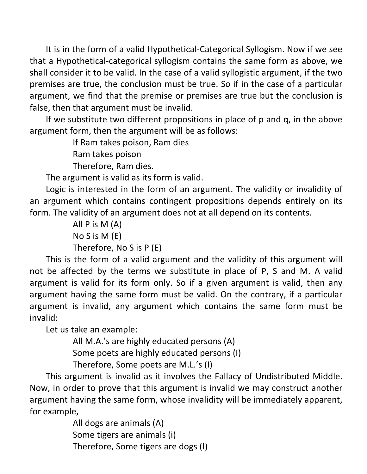It is in the form of a valid Hypothetical-Categorical Syllogism. Now if we see that a Hypothetical-categorical syllogism contains the same form as above, we shall consider it to be valid. In the case of a valid syllogistic argument, if the two premises are true, the conclusion must be true. So if in the case of a particular argument, we find that the premise or premises are true but the conclusion is false, then that argument must be invalid.

 If we substitute two different propositions in place of p and q, in the above argument form, then the argument will be as follows:

If Ram takes poison, Ram dies

Ram takes poison

Therefore, Ram dies.

The argument is valid as its form is valid.

 Logic is interested in the form of an argument. The validity or invalidity of an argument which contains contingent propositions depends entirely on its form. The validity of an argument does not at all depend on its contents.

> All P is M (A) No S is M (E) Therefore, No S is P (E)

 This is the form of a valid argument and the validity of this argument will not be affected by the terms we substitute in place of P, S and M. A valid argument is valid for its form only. So if a given argument is valid, then any argument having the same form must be valid. On the contrary, if a particular argument is invalid, any argument which contains the same form must be invalid:

Let us take an example:

All M.A.'s are highly educated persons (A)

Some poets are highly educated persons (I)

Therefore, Some poets are M.L.'s (I)

 This argument is invalid as it involves the Fallacy of Undistributed Middle. Now, in order to prove that this argument is invalid we may construct another argument having the same form, whose invalidity will be immediately apparent, for example,

> All dogs are animals (A) Some tigers are animals (i) Therefore, Some tigers are dogs (I)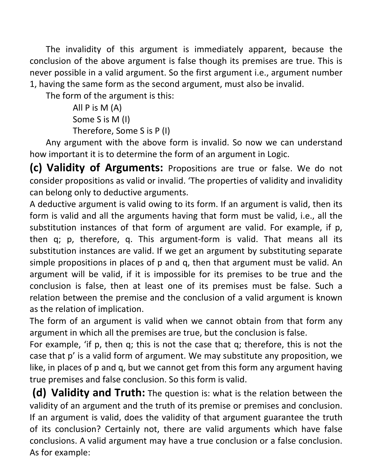The invalidity of this argument is immediately apparent, because the conclusion of the above argument is false though its premises are true. This is never possible in a valid argument. So the first argument i.e., argument number 1, having the same form as the second argument, must also be invalid.

The form of the argument is this:

 All P is M (A) Some S is M (I) Therefore, Some S is P (I)

 Any argument with the above form is invalid. So now we can understand how important it is to determine the form of an argument in Logic.

(c) Validity of Arguments: Propositions are true or false. We do not consider propositions as valid or invalid. 'The properties of validity and invalidity can belong only to deductive arguments.

A deductive argument is valid owing to its form. If an argument is valid, then its form is valid and all the arguments having that form must be valid, i.e., all the substitution instances of that form of argument are valid. For example, if p, then q; p, therefore, q. This argument-form is valid. That means all its substitution instances are valid. If we get an argument by substituting separate simple propositions in places of p and q, then that argument must be valid. An argument will be valid, if it is impossible for its premises to be true and the conclusion is false, then at least one of its premises must be false. Such a relation between the premise and the conclusion of a valid argument is known as the relation of implication.

The form of an argument is valid when we cannot obtain from that form any argument in which all the premises are true, but the conclusion is false.

For example, 'if p, then q; this is not the case that q; therefore, this is not the case that p' is a valid form of argument. We may substitute any proposition, we like, in places of p and q, but we cannot get from this form any argument having true premises and false conclusion. So this form is valid.

(d) Validity and Truth: The question is: what is the relation between the validity of an argument and the truth of its premise or premises and conclusion. If an argument is valid, does the validity of that argument guarantee the truth of its conclusion? Certainly not, there are valid arguments which have false conclusions. A valid argument may have a true conclusion or a false conclusion. As for example: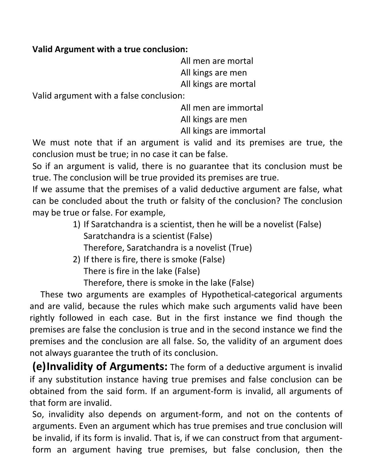#### Valid Argument with a true conclusion:

 All men are mortal All kings are men All kings are mortal

Valid argument with a false conclusion:

All men are immortal

 All kings are men All kings are immortal

We must note that if an argument is valid and its premises are true, the conclusion must be true; in no case it can be false.

So if an argument is valid, there is no guarantee that its conclusion must be true. The conclusion will be true provided its premises are true.

If we assume that the premises of a valid deductive argument are false, what can be concluded about the truth or falsity of the conclusion? The conclusion may be true or false. For example,

- 1) If Saratchandra is a scientist, then he will be a novelist (False) Saratchandra is a scientist (False) Therefore, Saratchandra is a novelist (True)
- 2) If there is fire, there is smoke (False) There is fire in the lake (False) Therefore, there is smoke in the lake (False)

 These two arguments are examples of Hypothetical-categorical arguments and are valid, because the rules which make such arguments valid have been rightly followed in each case. But in the first instance we find though the premises are false the conclusion is true and in the second instance we find the

premises and the conclusion are all false. So, the validity of an argument does not always guarantee the truth of its conclusion.

(e)Invalidity of Arguments: The form of a deductive argument is invalid if any substitution instance having true premises and false conclusion can be obtained from the said form. If an argument-form is invalid, all arguments of that form are invalid.

So, invalidity also depends on argument-form, and not on the contents of arguments. Even an argument which has true premises and true conclusion will be invalid, if its form is invalid. That is, if we can construct from that argumentform an argument having true premises, but false conclusion, then the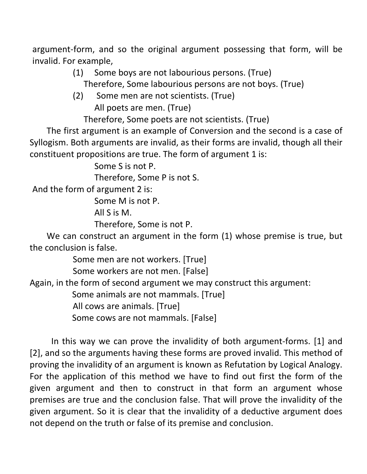argument-form, and so the original argument possessing that form, will be invalid. For example,

(1) Some boys are not labourious persons. (True)

Therefore, Some labourious persons are not boys. (True)

(2) Some men are not scientists. (True) All poets are men. (True)

Therefore, Some poets are not scientists. (True)

 The first argument is an example of Conversion and the second is a case of Syllogism. Both arguments are invalid, as their forms are invalid, though all their constituent propositions are true. The form of argument 1 is:

Some S is not P.

Therefore, Some P is not S.

And the form of argument 2 is:

Some M is not P.

All S is M.

Therefore, Some is not P.

 We can construct an argument in the form (1) whose premise is true, but the conclusion is false.

Some men are not workers. [True]

Some workers are not men. [False]

Again, in the form of second argument we may construct this argument:

Some animals are not mammals. [True]

All cows are animals. [True]

Some cows are not mammals. [False]

 In this way we can prove the invalidity of both argument-forms. [1] and [2], and so the arguments having these forms are proved invalid. This method of proving the invalidity of an argument is known as Refutation by Logical Analogy. For the application of this method we have to find out first the form of the given argument and then to construct in that form an argument whose premises are true and the conclusion false. That will prove the invalidity of the given argument. So it is clear that the invalidity of a deductive argument does not depend on the truth or false of its premise and conclusion.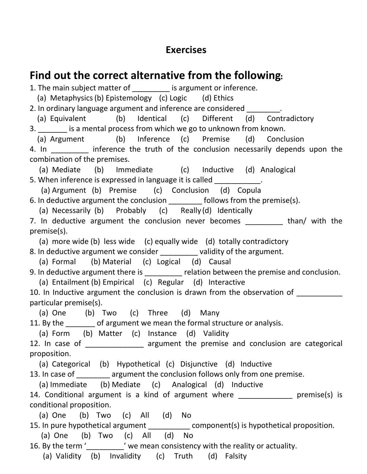#### Exercises

## Find out the correct alternative from the following:

1. The main subject matter of **the contract of the main subject matter of j** is argument or inference.

(a) Metaphysics (b) Epistemology (c) Logic (d) Ethics

2. In ordinary language argument and inference are considered

 (a) Equivalent (b) Identical (c) Different (d) Contradictory 3. **Example 20** is a mental process from which we go to unknown from known.

(a) Argument (b) Inference (c) Premise (d) Conclusion

4. In **Example 20** inference the truth of the conclusion necessarily depends upon the combination of the premises.

 (a) Mediate (b) Immediate (c) Inductive (d) Analogical 5. When inference is expressed in language it is called \_\_\_\_\_\_\_\_\_\_\_.

(a) Argument (b) Premise (c) Conclusion (d) Copula

6. In deductive argument the conclusion \_\_\_\_\_\_\_\_ follows from the premise(s).

(a) Necessarily (b) Probably (c) Really (d) Identically

7. In deductive argument the conclusion never becomes \_\_\_\_\_\_\_\_\_ than/ with the premise(s).

(a) more wide (b) less wide (c) equally wide (d) totally contradictory

8. In deductive argument we consider example in validity of the argument.

(a) Formal (b) Material (c) Logical (d) Causal

9. In deductive argument there is \_\_\_\_\_\_\_\_ relation between the premise and conclusion.

(a) Entailment (b) Empirical (c) Regular (d) Interactive

10. In Inductive argument the conclusion is drawn from the observation of particular premise(s).

(a) One (b) Two (c) Three (d) Many

11. By the of argument we mean the formal structure or analysis.

(a) Form (b) Matter (c) Instance (d) Validity

12. In case of \_\_\_\_\_\_\_\_\_\_\_\_\_\_\_ argument the premise and conclusion are categorical proposition.

(a) Categorical (b) Hypothetical (c) Disjunctive (d) Inductive

13. In case of **ware assument the conclusion follows only from one premise.** 

(a) Immediate (b) Mediate (c) Analogical (d) Inductive

14. Conditional argument is a kind of argument where **proportance** premise(s) is conditional proposition.

(a) One (b) Two (c) All (d) No

15. In pure hypothetical argument \_\_\_\_\_\_\_\_\_\_\_\_ component(s) is hypothetical proposition.

(a) One (b) Two (c) All (d) No

16. By the term '<br>  $\dot{ }$  we mean consistency with the reality or actuality.

(a) Validity (b) Invalidity (c) Truth (d) Falsity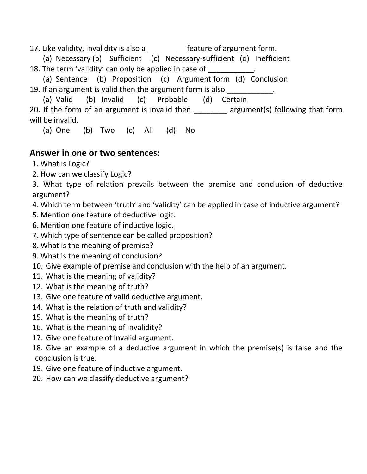17. Like validity, invalidity is also a \_\_\_\_\_\_\_\_\_ feature of argument form.

(a) Necessary (b) Sufficient (c) Necessary-sufficient (d) Inefficient

18. The term 'validity' can only be applied in case of

 (a) Sentence (b) Proposition (c) Argument form (d) Conclusion 19. If an argument is valid then the argument form is also

(a) Valid (b) Invalid (c) Probable (d) Certain

20. If the form of an argument is invalid then \_\_\_\_\_\_\_ argument(s) following that form will be invalid.

(a) One (b) Two (c) All (d) No

#### Answer in one or two sentences:

1. What is Logic?

2. How can we classify Logic?

3. What type of relation prevails between the premise and conclusion of deductive argument?

4. Which term between 'truth' and 'validity' can be applied in case of inductive argument?

- 5. Mention one feature of deductive logic.
- 6. Mention one feature of inductive logic.
- 7. Which type of sentence can be called proposition?
- 8. What is the meaning of premise?
- 9. What is the meaning of conclusion?
- 10. Give example of premise and conclusion with the help of an argument.
- 11. What is the meaning of validity?
- 12. What is the meaning of truth?
- 13. Give one feature of valid deductive argument.
- 14. What is the relation of truth and validity?
- 15. What is the meaning of truth?
- 16. What is the meaning of invalidity?
- 17. Give one feature of Invalid argument.

18. Give an example of a deductive argument in which the premise(s) is false and the conclusion is true.

- 19. Give one feature of inductive argument.
- 20. How can we classify deductive argument?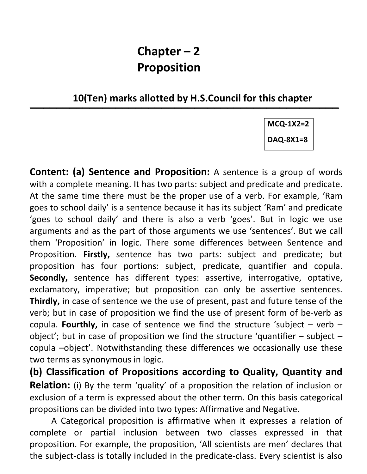## Chapter – 2 Proposition

10(Ten) marks allotted by H.S.Council for this chapter

 $\overline{\phantom{a}}$  , and the contribution of the contribution of the contribution of the contribution of the contribution of the contribution of the contribution of the contribution of the contribution of the contribution of the

MCQ-1X2=2

DAQ-8X1=8

Content: (a) Sentence and Proposition: A sentence is a group of words with a complete meaning. It has two parts: subject and predicate and predicate. At the same time there must be the proper use of a verb. For example, 'Ram goes to school daily' is a sentence because it has its subject 'Ram' and predicate 'goes to school daily' and there is also a verb 'goes'. But in logic we use arguments and as the part of those arguments we use 'sentences'. But we call them 'Proposition' in logic. There some differences between Sentence and Proposition. Firstly, sentence has two parts: subject and predicate; but proposition has four portions: subject, predicate, quantifier and copula. Secondly, sentence has different types: assertive, interrogative, optative, exclamatory, imperative; but proposition can only be assertive sentences. Thirdly, in case of sentence we the use of present, past and future tense of the verb; but in case of proposition we find the use of present form of be-verb as copula. Fourthly, in case of sentence we find the structure 'subject – verb – object'; but in case of proposition we find the structure 'quantifier  $-$  subject  $$ copula –object'. Notwithstanding these differences we occasionally use these two terms as synonymous in logic.

(b) Classification of Propositions according to Quality, Quantity and Relation: (i) By the term 'quality' of a proposition the relation of inclusion or exclusion of a term is expressed about the other term. On this basis categorical propositions can be divided into two types: Affirmative and Negative.

A Categorical proposition is affirmative when it expresses a relation of complete or partial inclusion between two classes expressed in that proposition. For example, the proposition, 'All scientists are men' declares that the subject-class is totally included in the predicate-class. Every scientist is also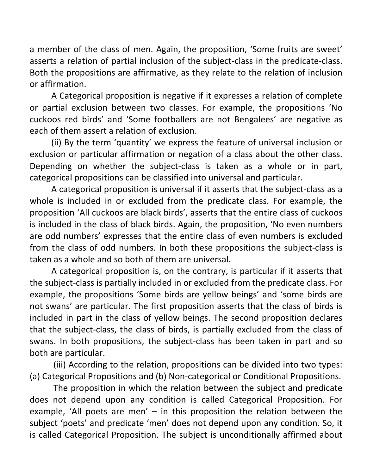a member of the class of men. Again, the proposition, 'Some fruits are sweet' asserts a relation of partial inclusion of the subject-class in the predicate-class. Both the propositions are affirmative, as they relate to the relation of inclusion or affirmation.

A Categorical proposition is negative if it expresses a relation of complete or partial exclusion between two classes. For example, the propositions 'No cuckoos red birds' and 'Some footballers are not Bengalees' are negative as each of them assert a relation of exclusion.

(ii) By the term 'quantity' we express the feature of universal inclusion or exclusion or particular affirmation or negation of a class about the other class. Depending on whether the subject-class is taken as a whole or in part, categorical propositions can be classified into universal and particular.

A categorical proposition is universal if it asserts that the subject-class as a whole is included in or excluded from the predicate class. For example, the proposition 'All cuckoos are black birds', asserts that the entire class of cuckoos is included in the class of black birds. Again, the proposition, 'No even numbers are odd numbers' expresses that the entire class of even numbers is excluded from the class of odd numbers. In both these propositions the subject-class is taken as a whole and so both of them are universal.

A categorical proposition is, on the contrary, is particular if it asserts that the subject-class is partially included in or excluded from the predicate class. For example, the propositions 'Some birds are yellow beings' and 'some birds are not swans' are particular. The first proposition asserts that the class of birds is included in part in the class of yellow beings. The second proposition declares that the subject-class, the class of birds, is partially excluded from the class of swans. In both propositions, the subject-class has been taken in part and so both are particular.

 (iii) According to the relation, propositions can be divided into two types: (a) Categorical Propositions and (b) Non-categorical or Conditional Propositions.

 The proposition in which the relation between the subject and predicate does not depend upon any condition is called Categorical Proposition. For example, 'All poets are men' – in this proposition the relation between the subject 'poets' and predicate 'men' does not depend upon any condition. So, it is called Categorical Proposition. The subject is unconditionally affirmed about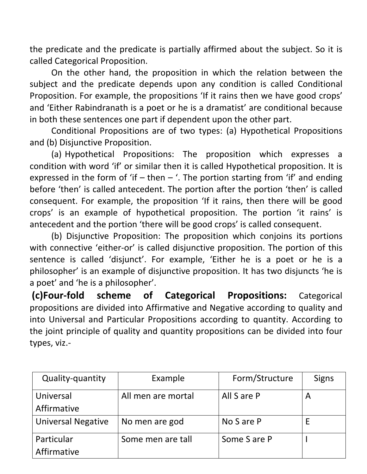the predicate and the predicate is partially affirmed about the subject. So it is called Categorical Proposition.

On the other hand, the proposition in which the relation between the subject and the predicate depends upon any condition is called Conditional Proposition. For example, the propositions 'If it rains then we have good crops' and 'Either Rabindranath is a poet or he is a dramatist' are conditional because in both these sentences one part if dependent upon the other part.

Conditional Propositions are of two types: (a) Hypothetical Propositions and (b) Disjunctive Proposition.

(a) Hypothetical Propositions: The proposition which expresses a condition with word 'if' or similar then it is called Hypothetical proposition. It is expressed in the form of 'if – then – '. The portion starting from 'if' and ending before 'then' is called antecedent. The portion after the portion 'then' is called consequent. For example, the proposition 'If it rains, then there will be good crops' is an example of hypothetical proposition. The portion 'it rains' is antecedent and the portion 'there will be good crops' is called consequent.

(b) Disjunctive Proposition: The proposition which conjoins its portions with connective 'either-or' is called disjunctive proposition. The portion of this sentence is called 'disjunct'. For example, 'Either he is a poet or he is a philosopher' is an example of disjunctive proposition. It has two disjuncts 'he is a poet' and 'he is a philosopher'.

(c)Four-fold scheme of Categorical Propositions: Categorical propositions are divided into Affirmative and Negative according to quality and into Universal and Particular Propositions according to quantity. According to the joint principle of quality and quantity propositions can be divided into four types, viz.-

| Quality-quantity          | Example            | Form/Structure | <b>Signs</b> |
|---------------------------|--------------------|----------------|--------------|
| Universal                 | All men are mortal | All S are P    | A            |
| Affirmative               |                    |                |              |
| <b>Universal Negative</b> | No men are god     | No S are P     |              |
| Particular                | Some men are tall  | Some S are P   |              |
| Affirmative               |                    |                |              |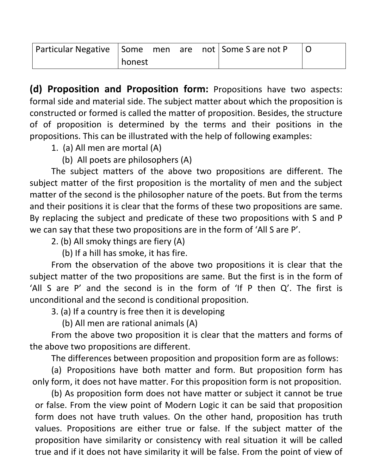| Particular Negative   Some men are not   Some S are not P |        |  |  |  |
|-----------------------------------------------------------|--------|--|--|--|
|                                                           | honest |  |  |  |

(d) Proposition and Proposition form: Propositions have two aspects: formal side and material side. The subject matter about which the proposition is constructed or formed is called the matter of proposition. Besides, the structure of of proposition is determined by the terms and their positions in the propositions. This can be illustrated with the help of following examples:

1. (a) All men are mortal (A)

(b) All poets are philosophers (A)

 The subject matters of the above two propositions are different. The subject matter of the first proposition is the mortality of men and the subject matter of the second is the philosopher nature of the poets. But from the terms and their positions it is clear that the forms of these two propositions are same. By replacing the subject and predicate of these two propositions with S and P we can say that these two propositions are in the form of 'All S are P'.

2. (b) All smoky things are fiery (A)

(b) If a hill has smoke, it has fire.

 From the observation of the above two propositions it is clear that the subject matter of the two propositions are same. But the first is in the form of 'All S are P' and the second is in the form of 'If P then Q'. The first is unconditional and the second is conditional proposition.

3. (a) If a country is free then it is developing

(b) All men are rational animals (A)

From the above two proposition it is clear that the matters and forms of the above two propositions are different.

The differences between proposition and proposition form are as follows:

(a) Propositions have both matter and form. But proposition form has only form, it does not have matter. For this proposition form is not proposition.

(b) As proposition form does not have matter or subject it cannot be true or false. From the view point of Modern Logic it can be said that proposition form does not have truth values. On the other hand, proposition has truth values. Propositions are either true or false. If the subject matter of the proposition have similarity or consistency with real situation it will be called true and if it does not have similarity it will be false. From the point of view of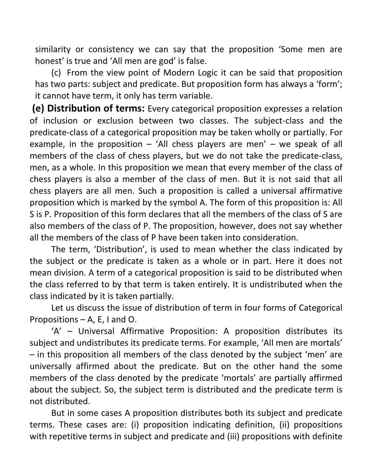similarity or consistency we can say that the proposition 'Some men are honest' is true and 'All men are god' is false.

(c) From the view point of Modern Logic it can be said that proposition has two parts: subject and predicate. But proposition form has always a 'form'; it cannot have term, it only has term variable.

 (e) Distribution of terms: Every categorical proposition expresses a relation of inclusion or exclusion between two classes. The subject-class and the predicate-class of a categorical proposition may be taken wholly or partially. For example, in the proposition  $-$  'All chess players are men'  $-$  we speak of all members of the class of chess players, but we do not take the predicate-class, men, as a whole. In this proposition we mean that every member of the class of chess players is also a member of the class of men. But it is not said that all chess players are all men. Such a proposition is called a universal affirmative proposition which is marked by the symbol A. The form of this proposition is: All S is P. Proposition of this form declares that all the members of the class of S are also members of the class of P. The proposition, however, does not say whether all the members of the class of P have been taken into consideration.

 The term, 'Distribution', is used to mean whether the class indicated by the subject or the predicate is taken as a whole or in part. Here it does not mean division. A term of a categorical proposition is said to be distributed when the class referred to by that term is taken entirely. It is undistributed when the class indicated by it is taken partially.

 Let us discuss the issue of distribution of term in four forms of Categorical Propositions – A, E, I and O.

 'A' – Universal Affirmative Proposition: A proposition distributes its subject and undistributes its predicate terms. For example, 'All men are mortals' – in this proposition all members of the class denoted by the subject 'men' are universally affirmed about the predicate. But on the other hand the some members of the class denoted by the predicate 'mortals' are partially affirmed about the subject. So, the subject term is distributed and the predicate term is not distributed.

 But in some cases A proposition distributes both its subject and predicate terms. These cases are: (i) proposition indicating definition, (ii) propositions with repetitive terms in subject and predicate and (iii) propositions with definite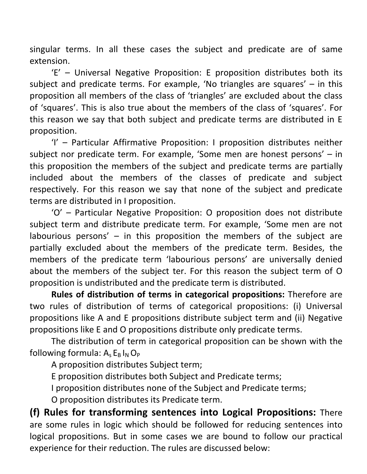singular terms. In all these cases the subject and predicate are of same extension.

 'E' – Universal Negative Proposition: E proposition distributes both its subject and predicate terms. For example, 'No triangles are squares' – in this proposition all members of the class of 'triangles' are excluded about the class of 'squares'. This is also true about the members of the class of 'squares'. For this reason we say that both subject and predicate terms are distributed in E proposition.

 'I' – Particular Affirmative Proposition: I proposition distributes neither subject nor predicate term. For example, 'Some men are honest persons' – in this proposition the members of the subject and predicate terms are partially included about the members of the classes of predicate and subject respectively. For this reason we say that none of the subject and predicate terms are distributed in I proposition.

 'O' – Particular Negative Proposition: O proposition does not distribute subject term and distribute predicate term. For example, 'Some men are not labourious persons'  $-$  in this proposition the members of the subject are partially excluded about the members of the predicate term. Besides, the members of the predicate term 'labourious persons' are universally denied about the members of the subject ter. For this reason the subject term of O proposition is undistributed and the predicate term is distributed.

Rules of distribution of terms in categorical propositions: Therefore are two rules of distribution of terms of categorical propositions: (i) Universal propositions like A and E propositions distribute subject term and (ii) Negative propositions like E and O propositions distribute only predicate terms.

 The distribution of term in categorical proposition can be shown with the following formula:  $A_s E_B I_N O_P$ 

A proposition distributes Subject term;

E proposition distributes both Subject and Predicate terms;

I proposition distributes none of the Subject and Predicate terms;

O proposition distributes its Predicate term.

(f) Rules for transforming sentences into Logical Propositions: There are some rules in logic which should be followed for reducing sentences into logical propositions. But in some cases we are bound to follow our practical experience for their reduction. The rules are discussed below: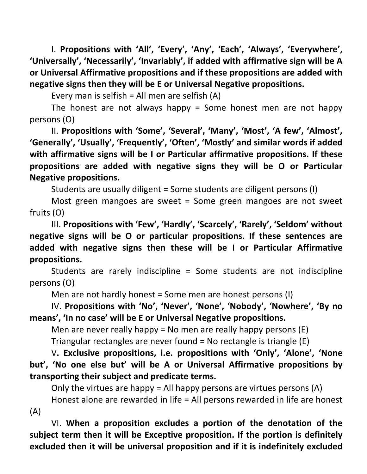I. Propositions with 'All', 'Every', 'Any', 'Each', 'Always', 'Everywhere', 'Universally', 'Necessarily', 'Invariably', if added with affirmative sign will be A or Universal Affirmative propositions and if these propositions are added with negative signs then they will be E or Universal Negative propositions.

Every man is selfish = All men are selfish (A)

The honest are not always happy  $=$  Some honest men are not happy persons (O)

 II. Propositions with 'Some', 'Several', 'Many', 'Most', 'A few', 'Almost', 'Generally', 'Usually', 'Frequently', 'Often', 'Mostly' and similar words if added with affirmative signs will be I or Particular affirmative propositions. If these propositions are added with negative signs they will be O or Particular Negative propositions.

Students are usually diligent = Some students are diligent persons (I)

 Most green mangoes are sweet = Some green mangoes are not sweet fruits (O)

 III. Propositions with 'Few', 'Hardly', 'Scarcely', 'Rarely', 'Seldom' without negative signs will be O or particular propositions. If these sentences are added with negative signs then these will be I or Particular Affirmative propositions.

 Students are rarely indiscipline = Some students are not indiscipline persons (O)

Men are not hardly honest = Some men are honest persons (I)

 IV. Propositions with 'No', 'Never', 'None', 'Nobody', 'Nowhere', 'By no means', 'In no case' will be E or Universal Negative propositions.

Men are never really happy = No men are really happy persons (E)

Triangular rectangles are never found = No rectangle is triangle (E)

 V. Exclusive propositions, i.e. propositions with 'Only', 'Alone', 'None but', 'No one else but' will be A or Universal Affirmative propositions by transporting their subject and predicate terms.

Only the virtues are happy = All happy persons are virtues persons  $(A)$ 

 Honest alone are rewarded in life = All persons rewarded in life are honest (A)

 VI. When a proposition excludes a portion of the denotation of the subject term then it will be Exceptive proposition. If the portion is definitely excluded then it will be universal proposition and if it is indefinitely excluded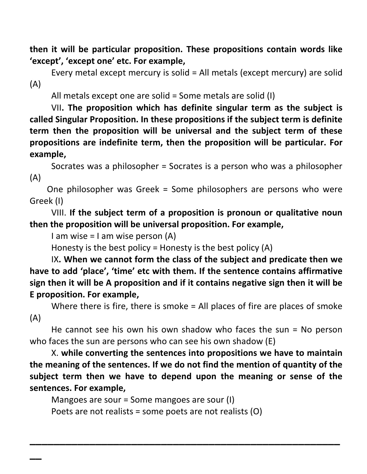then it will be particular proposition. These propositions contain words like 'except', 'except one' etc. For example,

 Every metal except mercury is solid = All metals (except mercury) are solid (A)

All metals except one are solid = Some metals are solid (I)

 VII. The proposition which has definite singular term as the subject is called Singular Proposition. In these propositions if the subject term is definite term then the proposition will be universal and the subject term of these propositions are indefinite term, then the proposition will be particular. For example,

 Socrates was a philosopher = Socrates is a person who was a philosopher (A)

 One philosopher was Greek = Some philosophers are persons who were Greek (I)

 VIII. If the subject term of a proposition is pronoun or qualitative noun then the proposition will be universal proposition. For example,

I am wise  $=$  I am wise person (A)

Honesty is the best policy = Honesty is the best policy (A)

 IX. When we cannot form the class of the subject and predicate then we have to add 'place', 'time' etc with them. If the sentence contains affirmative sign then it will be A proposition and if it contains negative sign then it will be E proposition. For example,

 Where there is fire, there is smoke = All places of fire are places of smoke (A)

 He cannot see his own his own shadow who faces the sun = No person who faces the sun are persons who can see his own shadow (E)

 X. while converting the sentences into propositions we have to maintain the meaning of the sentences. If we do not find the mention of quantity of the subject term then we have to depend upon the meaning or sense of the sentences. For example,

 $\overline{\phantom{a}}$  , and the contract of the contract of the contract of the contract of the contract of the contract of the contract of the contract of the contract of the contract of the contract of the contract of the contrac

Mangoes are sour = Some mangoes are sour (I)

 $\overline{\phantom{a}}$ 

Poets are not realists = some poets are not realists (O)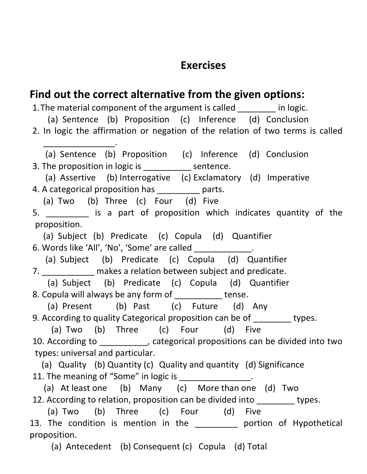## Exercises

#### Find out the correct alternative from the given options: 1. The material component of the argument is called \_\_\_\_\_\_\_ in logic. (a) Sentence (b) Proposition (c) Inference (d) Conclusion 2. In logic the affirmation or negation of the relation of two terms is called \_\_\_\_\_\_\_\_\_\_\_\_\_\_\_. (a) Sentence (b) Proposition (c) Inference (d) Conclusion 3. The proposition in logic is \_\_\_\_\_\_\_\_\_\_ sentence. (a) Assertive (b) Interrogative (c) Exclamatory (d) Imperative 4. A categorical proposition has \_\_\_\_\_\_\_\_\_ parts. (a) Two (b) Three (c) Four (d) Five 5. \_\_\_\_\_\_\_\_\_ is a part of proposition which indicates quantity of the proposition. (a) Subject (b) Predicate (c) Copula (d) Quantifier 6. Words like 'All', 'No', 'Some' are called \_\_\_\_\_\_\_\_\_\_\_\_. (a) Subject (b) Predicate (c) Copula (d) Quantifier 7. The makes a relation between subject and predicate. (a) Subject (b) Predicate (c) Copula (d) Quantifier 8. Copula will always be any form of \_\_\_\_\_\_\_\_\_\_ tense. (a) Present (b) Past (c) Future (d) Any 9. According to quality Categorical proposition can be of \_\_\_\_\_\_\_\_ types. (a) Two (b) Three (c) Four (d) Five 10. According to \_\_\_\_\_\_\_\_\_\_, categorical propositions can be divided into two types: universal and particular. (a) Quality (b) Quantity (c) Quality and quantity (d) Significance 11. The meaning of "Some" in logic is \_\_\_\_\_\_\_\_\_\_\_\_\_\_\_. (a) At least one (b) Many (c) More than one (d) Two 12. According to relation, proposition can be divided into types. (a) Two (b) Three (c) Four (d) Five 13. The condition is mention in the **portion of Hypothetical** proposition.

(a) Antecedent (b) Consequent (c) Copula (d) Total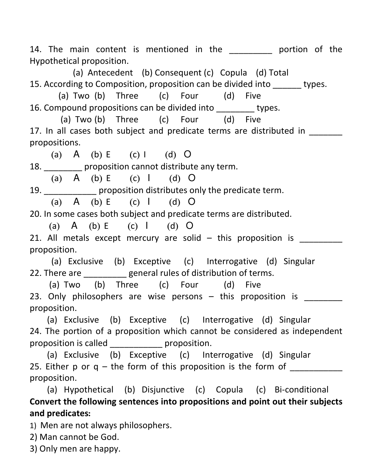14. The main content is mentioned in the the portion of the Hypothetical proposition.

 (a) Antecedent (b) Consequent (c) Copula (d) Total 15. According to Composition, proposition can be divided into types.

 (a) Two (b) Three (c) Four (d) Five 16. Compound propositions can be divided into \_\_\_\_\_\_\_\_ types.

 (a) Two (b) Three (c) Four (d) Five 17. In all cases both subject and predicate terms are distributed in propositions.

(a) A (b) E (c) I (d) O 18. \_\_\_\_\_\_\_\_ proposition cannot distribute any term.

(a) A (b) E (c) I (d) O

19. \_\_\_\_\_\_\_\_\_\_\_ proposition distributes only the predicate term.

(a)  $A$  (b)  $E$  (c)  $I$  (d)  $O$ 

20. In some cases both subject and predicate terms are distributed.

(a) A (b) E (c) I (d) O 21. All metals except mercury are solid  $-$  this proposition is proposition.

(a) Exclusive (b) Exceptive (c) Interrogative (d) Singular 22. There are \_\_\_\_\_\_\_\_\_\_ general rules of distribution of terms.

 (a) Two (b) Three (c) Four (d) Five 23. Only philosophers are wise persons  $-$  this proposition is proposition.

 (a) Exclusive (b) Exceptive (c) Interrogative (d) Singular 24. The portion of a proposition which cannot be considered as independent proposition is called \_\_\_\_\_\_\_\_\_\_\_ proposition.

 (a) Exclusive (b) Exceptive (c) Interrogative (d) Singular 25. Either p or  $q$  – the form of this proposition is the form of proposition.

 (a) Hypothetical (b) Disjunctive (c) Copula (c) Bi-conditional Convert the following sentences into propositions and point out their subjects and predicates:

1) Men are not always philosophers.

2) Man cannot be God.

3) Only men are happy.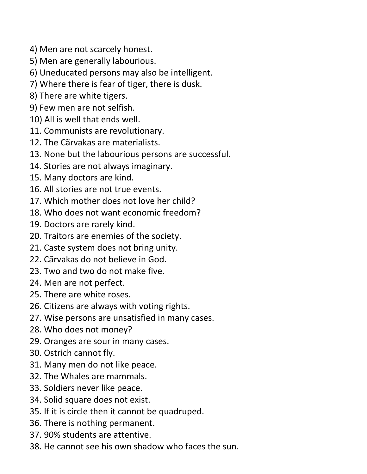- 4) Men are not scarcely honest.
- 5) Men are generally labourious.
- 6) Uneducated persons may also be intelligent.
- 7) Where there is fear of tiger, there is dusk.
- 8) There are white tigers.
- 9) Few men are not selfish.
- 10) All is well that ends well.
- 11. Communists are revolutionary.
- 12. The Cãrvakas are materialists.
- 13. None but the labourious persons are successful.
- 14. Stories are not always imaginary.
- 15. Many doctors are kind.
- 16. All stories are not true events.
- 17. Which mother does not love her child?
- 18. Who does not want economic freedom?
- 19. Doctors are rarely kind.
- 20. Traitors are enemies of the society.
- 21. Caste system does not bring unity.
- 22. Cãrvakas do not believe in God.
- 23. Two and two do not make five.
- 24. Men are not perfect.
- 25. There are white roses.
- 26. Citizens are always with voting rights.
- 27. Wise persons are unsatisfied in many cases.
- 28. Who does not money?
- 29. Oranges are sour in many cases.
- 30. Ostrich cannot fly.
- 31. Many men do not like peace.
- 32. The Whales are mammals.
- 33. Soldiers never like peace.
- 34. Solid square does not exist.
- 35. If it is circle then it cannot be quadruped.
- 36. There is nothing permanent.
- 37. 90% students are attentive.
- 38. He cannot see his own shadow who faces the sun.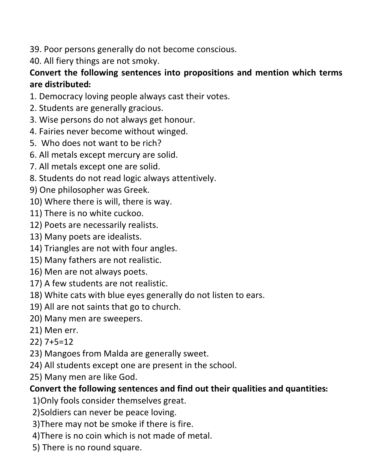- 39. Poor persons generally do not become conscious.
- 40. All fiery things are not smoky.

#### Convert the following sentences into propositions and mention which terms are distributed:

- 1. Democracy loving people always cast their votes.
- 2. Students are generally gracious.
- 3. Wise persons do not always get honour.
- 4. Fairies never become without winged.
- 5. Who does not want to be rich?
- 6. All metals except mercury are solid.
- 7. All metals except one are solid.
- 8. Students do not read logic always attentively.
- 9) One philosopher was Greek.
- 10) Where there is will, there is way.
- 11) There is no white cuckoo.
- 12) Poets are necessarily realists.
- 13) Many poets are idealists.
- 14) Triangles are not with four angles.
- 15) Many fathers are not realistic.
- 16) Men are not always poets.
- 17) A few students are not realistic.
- 18) White cats with blue eyes generally do not listen to ears.
- 19) All are not saints that go to church.
- 20) Many men are sweepers.
- 21) Men err.
- 22) 7+5=12
- 23) Mangoes from Malda are generally sweet.
- 24) All students except one are present in the school.
- 25) Many men are like God.

## Convert the following sentences and find out their qualities and quantities:

- 1)Only fools consider themselves great.
- 2)Soldiers can never be peace loving.
- 3)There may not be smoke if there is fire.
- 4)There is no coin which is not made of metal.
- 5) There is no round square.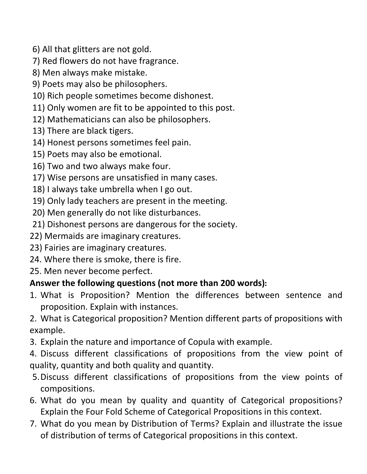- 6) All that glitters are not gold.
- 7) Red flowers do not have fragrance.
- 8) Men always make mistake.
- 9) Poets may also be philosophers.
- 10) Rich people sometimes become dishonest.
- 11) Only women are fit to be appointed to this post.
- 12) Mathematicians can also be philosophers.
- 13) There are black tigers.
- 14) Honest persons sometimes feel pain.
- 15) Poets may also be emotional.
- 16) Two and two always make four.
- 17) Wise persons are unsatisfied in many cases.
- 18) I always take umbrella when I go out.
- 19) Only lady teachers are present in the meeting.
- 20) Men generally do not like disturbances.
- 21) Dishonest persons are dangerous for the society.
- 22) Mermaids are imaginary creatures.
- 23) Fairies are imaginary creatures.
- 24. Where there is smoke, there is fire.
- 25. Men never become perfect.

#### Answer the following questions (not more than 200 words):

- 1. What is Proposition? Mention the differences between sentence and proposition. Explain with instances.
- 2. What is Categorical proposition? Mention different parts of propositions with example.
- 3. Explain the nature and importance of Copula with example.
- 4. Discuss different classifications of propositions from the view point of quality, quantity and both quality and quantity.
- 5.Discuss different classifications of propositions from the view points of compositions.
- 6. What do you mean by quality and quantity of Categorical propositions? Explain the Four Fold Scheme of Categorical Propositions in this context.
- 7. What do you mean by Distribution of Terms? Explain and illustrate the issue of distribution of terms of Categorical propositions in this context.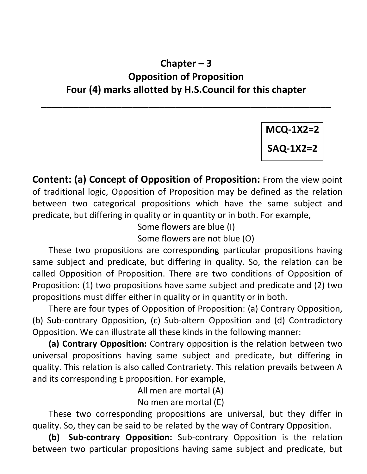## Chapter – 3 Opposition of Proposition Four (4) marks allotted by H.S.Council for this chapter

\_\_\_\_\_\_\_\_\_\_\_\_\_\_\_\_\_\_\_\_\_\_\_\_\_\_\_\_\_\_\_\_\_\_\_\_\_\_\_\_\_\_\_\_\_\_\_\_\_\_\_\_\_\_

MCQ-1X2=2 SAQ-1X2=2

Content: (a) Concept of Opposition of Proposition: From the view point of traditional logic, Opposition of Proposition may be defined as the relation between two categorical propositions which have the same subject and predicate, but differing in quality or in quantity or in both. For example,

Some flowers are blue (I)

Some flowers are not blue (O)

 These two propositions are corresponding particular propositions having same subject and predicate, but differing in quality. So, the relation can be called Opposition of Proposition. There are two conditions of Opposition of Proposition: (1) two propositions have same subject and predicate and (2) two propositions must differ either in quality or in quantity or in both.

 There are four types of Opposition of Proposition: (a) Contrary Opposition, (b) Sub-contrary Opposition, (c) Sub-altern Opposition and (d) Contradictory Opposition. We can illustrate all these kinds in the following manner:

(a) Contrary Opposition: Contrary opposition is the relation between two universal propositions having same subject and predicate, but differing in quality. This relation is also called Contrariety. This relation prevails between A and its corresponding E proposition. For example,

All men are mortal (A)

No men are mortal (E)

 These two corresponding propositions are universal, but they differ in quality. So, they can be said to be related by the way of Contrary Opposition.

(b) Sub-contrary Opposition: Sub-contrary Opposition is the relation between two particular propositions having same subject and predicate, but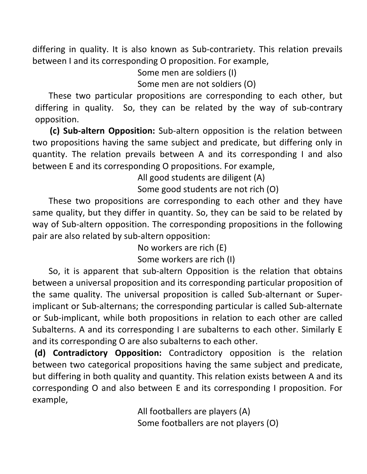differing in quality. It is also known as Sub-contrariety. This relation prevails between I and its corresponding O proposition. For example,

Some men are soldiers (I)

Some men are not soldiers (O)

 These two particular propositions are corresponding to each other, but differing in quality. So, they can be related by the way of sub-contrary opposition.

 (c) Sub-altern Opposition: Sub-altern opposition is the relation between two propositions having the same subject and predicate, but differing only in quantity. The relation prevails between A and its corresponding I and also between E and its corresponding O propositions. For example,

All good students are diligent (A)

Some good students are not rich (O)

 These two propositions are corresponding to each other and they have same quality, but they differ in quantity. So, they can be said to be related by way of Sub-altern opposition. The corresponding propositions in the following pair are also related by sub-altern opposition:

> No workers are rich (E) Some workers are rich (I)

 So, it is apparent that sub-altern Opposition is the relation that obtains between a universal proposition and its corresponding particular proposition of the same quality. The universal proposition is called Sub-alternant or Superimplicant or Sub-alternans; the corresponding particular is called Sub-alternate or Sub-implicant, while both propositions in relation to each other are called Subalterns. A and its corresponding I are subalterns to each other. Similarly E and its corresponding O are also subalterns to each other.

 (d) Contradictory Opposition: Contradictory opposition is the relation between two categorical propositions having the same subject and predicate, but differing in both quality and quantity. This relation exists between A and its corresponding O and also between E and its corresponding I proposition. For example,

> All footballers are players (A) Some footballers are not players (O)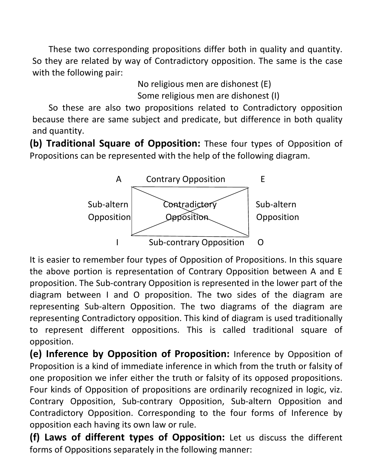These two corresponding propositions differ both in quality and quantity. So they are related by way of Contradictory opposition. The same is the case with the following pair:

> No religious men are dishonest (E) Some religious men are dishonest (I)

 So these are also two propositions related to Contradictory opposition because there are same subject and predicate, but difference in both quality and quantity.

(b) Traditional Square of Opposition: These four types of Opposition of Propositions can be represented with the help of the following diagram.



It is easier to remember four types of Opposition of Propositions. In this square the above portion is representation of Contrary Opposition between A and E proposition. The Sub-contrary Opposition is represented in the lower part of the diagram between I and O proposition. The two sides of the diagram are representing Sub-altern Opposition. The two diagrams of the diagram are representing Contradictory opposition. This kind of diagram is used traditionally to represent different oppositions. This is called traditional square of opposition.

(e) Inference by Opposition of Proposition: Inference by Opposition of Proposition is a kind of immediate inference in which from the truth or falsity of one proposition we infer either the truth or falsity of its opposed propositions. Four kinds of Opposition of propositions are ordinarily recognized in logic, viz. Contrary Opposition, Sub-contrary Opposition, Sub-altern Opposition and Contradictory Opposition. Corresponding to the four forms of Inference by opposition each having its own law or rule.

(f) Laws of different types of Opposition: Let us discuss the different forms of Oppositions separately in the following manner: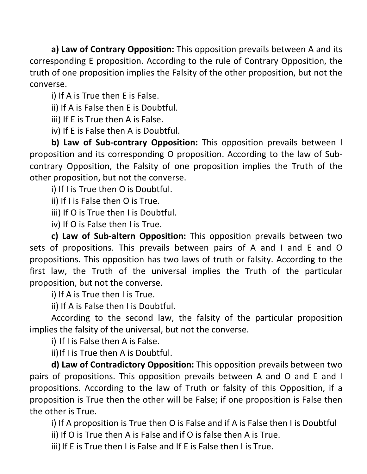a) Law of Contrary Opposition: This opposition prevails between A and its corresponding E proposition. According to the rule of Contrary Opposition, the truth of one proposition implies the Falsity of the other proposition, but not the converse.

i) If A is True then E is False.

ii) If A is False then E is Doubtful.

iii) If E is True then A is False.

iv) If E is False then A is Doubtful.

b) Law of Sub-contrary Opposition: This opposition prevails between I proposition and its corresponding O proposition. According to the law of Subcontrary Opposition, the Falsity of one proposition implies the Truth of the other proposition, but not the converse.

i) If I is True then O is Doubtful.

ii) If I is False then O is True.

iii) If O is True then I is Doubtful.

iv) If O is False then I is True.

c) Law of Sub-altern Opposition: This opposition prevails between two sets of propositions. This prevails between pairs of A and I and E and O propositions. This opposition has two laws of truth or falsity. According to the first law, the Truth of the universal implies the Truth of the particular proposition, but not the converse.

i) If A is True then I is True.

ii) If A is False then I is Doubtful.

 According to the second law, the falsity of the particular proposition implies the falsity of the universal, but not the converse.

i) If I is False then A is False.

ii) If I is True then A is Doubtful.

d) Law of Contradictory Opposition: This opposition prevails between two pairs of propositions. This opposition prevails between A and O and E and I propositions. According to the law of Truth or falsity of this Opposition, if a proposition is True then the other will be False; if one proposition is False then the other is True.

i) If A proposition is True then O is False and if A is False then I is Doubtful

ii) If O is True then A is False and if O is false then A is True.

iii) If E is True then I is False and If E is False then I is True.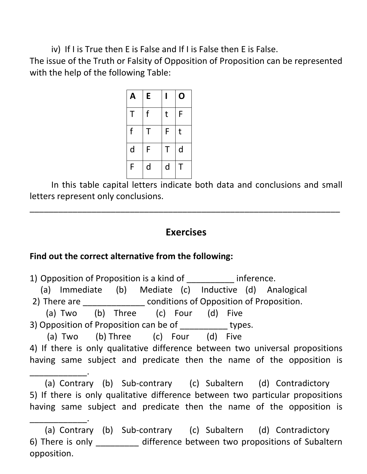iv) If I is True then E is False and If I is False then E is False.

The issue of the Truth or Falsity of Opposition of Proposition can be represented with the help of the following Table:

| A | E |   | O |
|---|---|---|---|
| T | f | t | F |
| f | Τ | F | t |
| d | F | Τ | d |
| F | d | d | T |

 In this table capital letters indicate both data and conclusions and small letters represent only conclusions.

\_\_\_\_\_\_\_\_\_\_\_\_\_\_\_\_\_\_\_\_\_\_\_\_\_\_\_\_\_\_\_\_\_\_\_\_\_\_\_\_\_\_\_\_\_\_\_\_\_\_\_\_\_\_\_\_\_\_\_\_\_\_\_\_\_

#### Exercises

#### Find out the correct alternative from the following:

\_\_\_\_\_\_\_\_\_\_\_\_.

1) Opposition of Proposition is a kind of \_\_\_\_\_\_\_\_\_\_ inference. (a) Immediate (b) Mediate (c) Inductive (d) Analogical 2) There are \_\_\_\_\_\_\_\_\_\_\_\_\_\_\_ conditions of Opposition of Proposition. (a) Two (b) Three (c) Four (d) Five 3) Opposition of Proposition can be of types. (a) Two (b) Three (c) Four (d) Five 4) If there is only qualitative difference between two universal propositions having same subject and predicate then the name of the opposition is \_\_\_\_\_\_\_\_\_\_\_\_.

 (a) Contrary (b) Sub-contrary (c) Subaltern (d) Contradictory 5) If there is only qualitative difference between two particular propositions having same subject and predicate then the name of the opposition is

 <sup>(</sup>a) Contrary (b) Sub-contrary (c) Subaltern (d) Contradictory 6) There is only difference between two propositions of Subaltern opposition.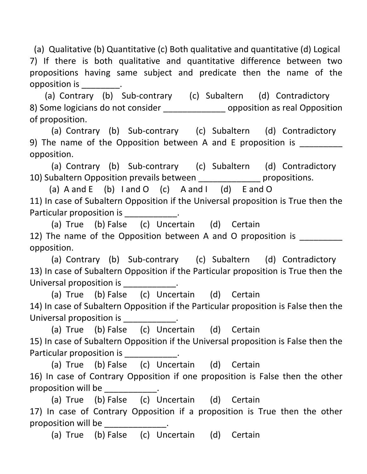(a) Qualitative (b) Quantitative (c) Both qualitative and quantitative (d) Logical 7) If there is both qualitative and quantitative difference between two propositions having same subject and predicate then the name of the opposition is \_\_\_\_\_\_\_\_.

 (a) Contrary (b) Sub-contrary (c) Subaltern (d) Contradictory 8) Some logicians do not consider example to poposition as real Opposition of proposition.

 (a) Contrary (b) Sub-contrary (c) Subaltern (d) Contradictory 9) The name of the Opposition between A and E proposition is opposition.

 (a) Contrary (b) Sub-contrary (c) Subaltern (d) Contradictory 10) Subaltern Opposition prevails between \_\_\_\_\_\_\_\_\_\_\_\_\_ propositions.

(a)  $A$  and  $E$  (b)  $I$  and  $O$  (c)  $A$  and  $I$  (d)  $E$  and  $O$ 11) In case of Subaltern Opposition if the Universal proposition is True then the Particular proposition is example the proposition of the set of the set of the set of the set of the set of the  $\alpha$ 

 (a) True (b) False (c) Uncertain (d) Certain 12) The name of the Opposition between A and O proposition is opposition.

 (a) Contrary (b) Sub-contrary (c) Subaltern (d) Contradictory 13) In case of Subaltern Opposition if the Particular proposition is True then the Universal proposition is  $\qquad \qquad$ .

 (a) True (b) False (c) Uncertain (d) Certain 14) In case of Subaltern Opposition if the Particular proposition is False then the Universal proposition is \_\_\_\_\_\_\_\_\_\_\_.

 (a) True (b) False (c) Uncertain (d) Certain 15) In case of Subaltern Opposition if the Universal proposition is False then the Particular proposition is example the proposition of the set of the set of the set of the set of the set of the  $\alpha$ 

 (a) True (b) False (c) Uncertain (d) Certain 16) In case of Contrary Opposition if one proposition is False then the other proposition will be \_\_\_\_\_\_\_\_\_\_\_.

 (a) True (b) False (c) Uncertain (d) Certain 17) In case of Contrary Opposition if a proposition is True then the other proposition will be

(a) True (b) False (c) Uncertain (d) Certain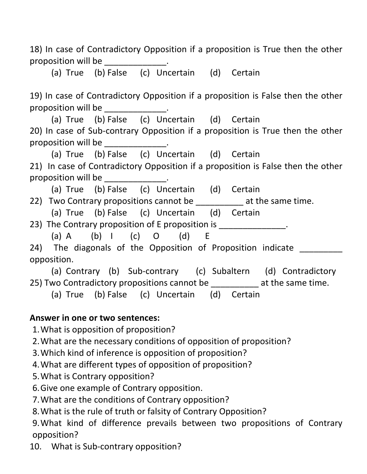18) In case of Contradictory Opposition if a proposition is True then the other proposition will be

(a) True (b) False (c) Uncertain (d) Certain

19) In case of Contradictory Opposition if a proposition is False then the other proposition will be the control of the control of the control of the control of the control of the control of the control of the control of the control of the control of the control of the control of the control of the con

 (a) True (b) False (c) Uncertain (d) Certain 20) In case of Sub-contrary Opposition if a proposition is True then the other proposition will be the control of the control of the control of the control of the control of the control of the control of the control of the control of the control of the control of the control of the control of the con

(a) True (b) False (c) Uncertain (d) Certain

21) In case of Contradictory Opposition if a proposition is False then the other proposition will be the control of the control of the control of the control of the control of the control of the control of the control of the control of the control of the control of the control of the control of the con

 (a) True (b) False (c) Uncertain (d) Certain 22) Two Contrary propositions cannot be \_\_\_\_\_\_\_\_\_\_\_\_ at the same time.

(a) True (b) False (c) Uncertain (d) Certain

23) The Contrary proposition of E proposition is  $\qquad \qquad$ .

 (a) A (b) I (c) O (d) E 24) The diagonals of the Opposition of Proposition indicate opposition.

 (a) Contrary (b) Sub-contrary (c) Subaltern (d) Contradictory 25) Two Contradictory propositions cannot be  $\qquad \qquad$  at the same time.

(a) True (b) False (c) Uncertain (d) Certain

#### Answer in one or two sentences:

1.What is opposition of proposition?

2.What are the necessary conditions of opposition of proposition?

- 3.Which kind of inference is opposition of proposition?
- 4.What are different types of opposition of proposition?
- 5.What is Contrary opposition?
- 6.Give one example of Contrary opposition.
- 7.What are the conditions of Contrary opposition?
- 8.What is the rule of truth or falsity of Contrary Opposition?

9.What kind of difference prevails between two propositions of Contrary opposition?

10. What is Sub-contrary opposition?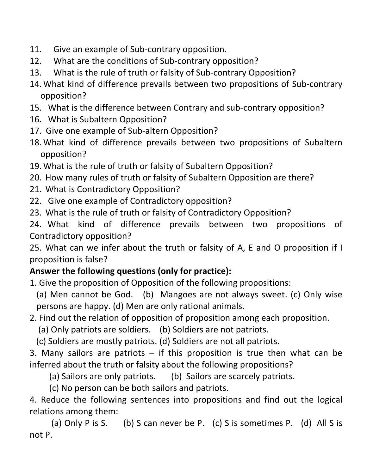- 11. Give an example of Sub-contrary opposition.
- 12. What are the conditions of Sub-contrary opposition?
- 13. What is the rule of truth or falsity of Sub-contrary Opposition?
- 14. What kind of difference prevails between two propositions of Sub-contrary opposition?
- 15. What is the difference between Contrary and sub-contrary opposition?
- 16. What is Subaltern Opposition?
- 17. Give one example of Sub-altern Opposition?
- 18. What kind of difference prevails between two propositions of Subaltern opposition?
- 19. What is the rule of truth or falsity of Subaltern Opposition?
- 20. How many rules of truth or falsity of Subaltern Opposition are there?
- 21. What is Contradictory Opposition?
- 22. Give one example of Contradictory opposition?
- 23. What is the rule of truth or falsity of Contradictory Opposition?

24. What kind of difference prevails between two propositions of Contradictory opposition?

25. What can we infer about the truth or falsity of A, E and O proposition if I proposition is false?

## Answer the following questions (only for practice):

- 1. Give the proposition of Opposition of the following propositions:
	- (a) Men cannot be God. (b) Mangoes are not always sweet. (c) Only wise persons are happy. (d) Men are only rational animals.
- 2. Find out the relation of opposition of proposition among each proposition.
	- (a) Only patriots are soldiers. (b) Soldiers are not patriots.
	- (c) Soldiers are mostly patriots. (d) Soldiers are not all patriots.

3. Many sailors are patriots  $-$  if this proposition is true then what can be inferred about the truth or falsity about the following propositions?

(a) Sailors are only patriots. (b) Sailors are scarcely patriots.

(c) No person can be both sailors and patriots.

4. Reduce the following sentences into propositions and find out the logical relations among them:

(a) Only P is S. (b) S can never be P. (c) S is sometimes P. (d) All S is not P.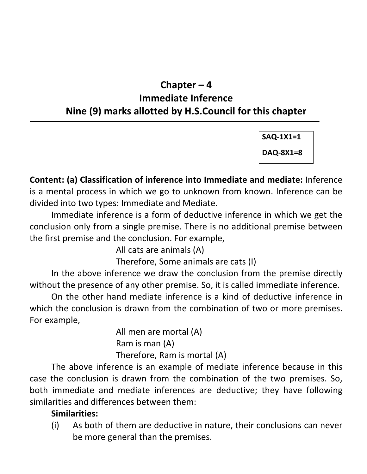## Chapter – 4 Immediate Inference Nine (9) marks allotted by H.S.Council for this chapter

 $\overline{\phantom{a}}$  , and the contract of the contract of the contract of the contract of the contract of the contract of the contract of the contract of the contract of the contract of the contract of the contract of the contrac

SAQ-1X1=1

DAQ-8X1=8

Content: (a) Classification of inference into Immediate and mediate: Inference is a mental process in which we go to unknown from known. Inference can be divided into two types: Immediate and Mediate.

 Immediate inference is a form of deductive inference in which we get the conclusion only from a single premise. There is no additional premise between the first premise and the conclusion. For example,

All cats are animals (A)

Therefore, Some animals are cats (I)

 In the above inference we draw the conclusion from the premise directly without the presence of any other premise. So, it is called immediate inference.

 On the other hand mediate inference is a kind of deductive inference in which the conclusion is drawn from the combination of two or more premises. For example,

> All men are mortal (A) Ram is man (A) Therefore, Ram is mortal (A)

 The above inference is an example of mediate inference because in this case the conclusion is drawn from the combination of the two premises. So, both immediate and mediate inferences are deductive; they have following similarities and differences between them:

#### Similarities:

(i) As both of them are deductive in nature, their conclusions can never be more general than the premises.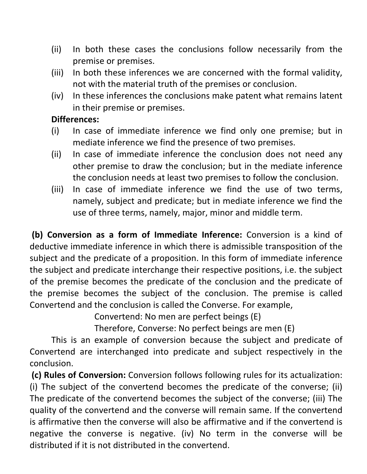- (ii) In both these cases the conclusions follow necessarily from the premise or premises.
- (iii) In both these inferences we are concerned with the formal validity, not with the material truth of the premises or conclusion.
- (iv) In these inferences the conclusions make patent what remains latent in their premise or premises.

#### Differences:

- (i) In case of immediate inference we find only one premise; but in mediate inference we find the presence of two premises.
- (ii) In case of immediate inference the conclusion does not need any other premise to draw the conclusion; but in the mediate inference the conclusion needs at least two premises to follow the conclusion.
- (iii) In case of immediate inference we find the use of two terms, namely, subject and predicate; but in mediate inference we find the use of three terms, namely, major, minor and middle term.

 (b) Conversion as a form of Immediate Inference: Conversion is a kind of deductive immediate inference in which there is admissible transposition of the subject and the predicate of a proposition. In this form of immediate inference the subject and predicate interchange their respective positions, i.e. the subject of the premise becomes the predicate of the conclusion and the predicate of the premise becomes the subject of the conclusion. The premise is called Convertend and the conclusion is called the Converse. For example,

Convertend: No men are perfect beings (E)

Therefore, Converse: No perfect beings are men (E)

 This is an example of conversion because the subject and predicate of Convertend are interchanged into predicate and subject respectively in the conclusion.

(c) Rules of Conversion: Conversion follows following rules for its actualization: (i) The subject of the convertend becomes the predicate of the converse; (ii) The predicate of the convertend becomes the subject of the converse; (iii) The quality of the convertend and the converse will remain same. If the convertend is affirmative then the converse will also be affirmative and if the convertend is negative the converse is negative. (iv) No term in the converse will be distributed if it is not distributed in the convertend.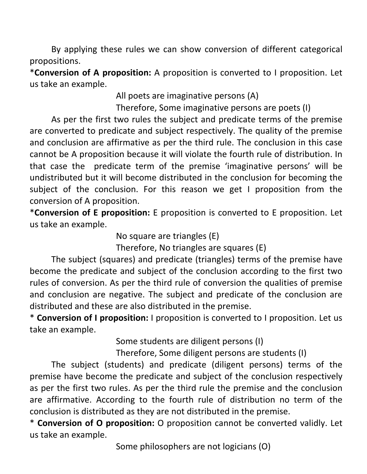By applying these rules we can show conversion of different categorical propositions.

\*Conversion of A proposition: A proposition is converted to I proposition. Let us take an example.

All poets are imaginative persons (A)

Therefore, Some imaginative persons are poets (I)

 As per the first two rules the subject and predicate terms of the premise are converted to predicate and subject respectively. The quality of the premise and conclusion are affirmative as per the third rule. The conclusion in this case cannot be A proposition because it will violate the fourth rule of distribution. In that case the predicate term of the premise 'imaginative persons' will be undistributed but it will become distributed in the conclusion for becoming the subject of the conclusion. For this reason we get I proposition from the conversion of A proposition.

\*Conversion of E proposition: E proposition is converted to E proposition. Let us take an example.

No square are triangles (E)

Therefore, No triangles are squares (E)

 The subject (squares) and predicate (triangles) terms of the premise have become the predicate and subject of the conclusion according to the first two rules of conversion. As per the third rule of conversion the qualities of premise and conclusion are negative. The subject and predicate of the conclusion are distributed and these are also distributed in the premise.

\* Conversion of I proposition: I proposition is converted to I proposition. Let us take an example.

Some students are diligent persons (I)

Therefore, Some diligent persons are students (I)

 The subject (students) and predicate (diligent persons) terms of the premise have become the predicate and subject of the conclusion respectively as per the first two rules. As per the third rule the premise and the conclusion are affirmative. According to the fourth rule of distribution no term of the conclusion is distributed as they are not distributed in the premise.

\* Conversion of O proposition: O proposition cannot be converted validly. Let us take an example.

Some philosophers are not logicians (O)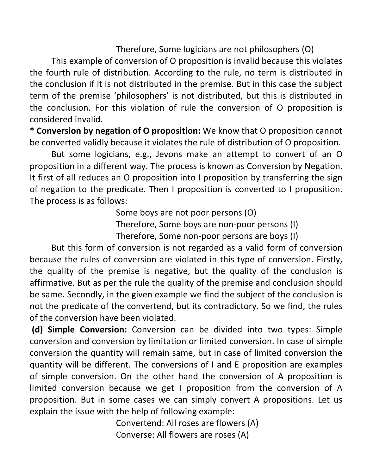Therefore, Some logicians are not philosophers (O)

 This example of conversion of O proposition is invalid because this violates the fourth rule of distribution. According to the rule, no term is distributed in the conclusion if it is not distributed in the premise. But in this case the subject term of the premise 'philosophers' is not distributed, but this is distributed in the conclusion. For this violation of rule the conversion of O proposition is considered invalid.

\* Conversion by negation of O proposition: We know that O proposition cannot be converted validly because it violates the rule of distribution of O proposition.

 But some logicians, e.g., Jevons make an attempt to convert of an O proposition in a different way. The process is known as Conversion by Negation. It first of all reduces an O proposition into I proposition by transferring the sign of negation to the predicate. Then I proposition is converted to I proposition. The process is as follows:

Some boys are not poor persons (O)

Therefore, Some boys are non-poor persons (I)

Therefore, Some non-poor persons are boys (I)

 But this form of conversion is not regarded as a valid form of conversion because the rules of conversion are violated in this type of conversion. Firstly, the quality of the premise is negative, but the quality of the conclusion is affirmative. But as per the rule the quality of the premise and conclusion should be same. Secondly, in the given example we find the subject of the conclusion is not the predicate of the convertend, but its contradictory. So we find, the rules of the conversion have been violated.

 (d) Simple Conversion: Conversion can be divided into two types: Simple conversion and conversion by limitation or limited conversion. In case of simple conversion the quantity will remain same, but in case of limited conversion the quantity will be different. The conversions of I and E proposition are examples of simple conversion. On the other hand the conversion of A proposition is limited conversion because we get I proposition from the conversion of A proposition. But in some cases we can simply convert A propositions. Let us explain the issue with the help of following example:

> Convertend: All roses are flowers (A) Converse: All flowers are roses (A)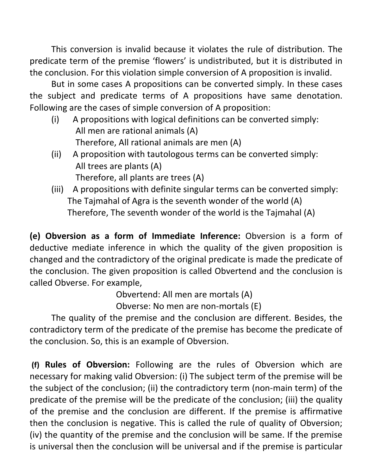This conversion is invalid because it violates the rule of distribution. The predicate term of the premise 'flowers' is undistributed, but it is distributed in the conclusion. For this violation simple conversion of A proposition is invalid.

 But in some cases A propositions can be converted simply. In these cases the subject and predicate terms of A propositions have same denotation. Following are the cases of simple conversion of A proposition:

- (i) A propositions with logical definitions can be converted simply: All men are rational animals (A) Therefore, All rational animals are men (A)
- (ii) A proposition with tautologous terms can be converted simply: All trees are plants (A) Therefore, all plants are trees (A)
- (iii) A propositions with definite singular terms can be converted simply: The Tajmahal of Agra is the seventh wonder of the world (A) Therefore, The seventh wonder of the world is the Tajmahal (A)

(e) Obversion as a form of Immediate Inference: Obversion is a form of deductive mediate inference in which the quality of the given proposition is changed and the contradictory of the original predicate is made the predicate of the conclusion. The given proposition is called Obvertend and the conclusion is called Obverse. For example,

Obvertend: All men are mortals (A)

Obverse: No men are non-mortals (E)

 The quality of the premise and the conclusion are different. Besides, the contradictory term of the predicate of the premise has become the predicate of the conclusion. So, this is an example of Obversion.

 (f) Rules of Obversion: Following are the rules of Obversion which are necessary for making valid Obversion: (i) The subject term of the premise will be the subject of the conclusion; (ii) the contradictory term (non-main term) of the predicate of the premise will be the predicate of the conclusion; (iii) the quality of the premise and the conclusion are different. If the premise is affirmative then the conclusion is negative. This is called the rule of quality of Obversion; (iv) the quantity of the premise and the conclusion will be same. If the premise is universal then the conclusion will be universal and if the premise is particular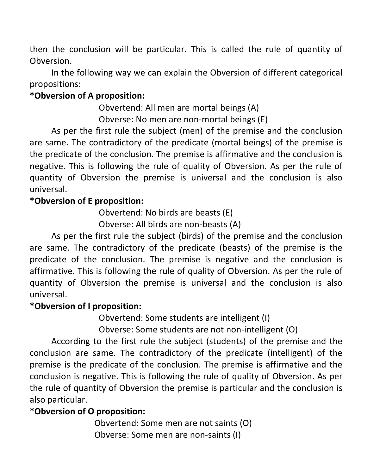then the conclusion will be particular. This is called the rule of quantity of Obversion.

 In the following way we can explain the Obversion of different categorical propositions:

#### \*Obversion of A proposition:

 Obvertend: All men are mortal beings (A) Obverse: No men are non-mortal beings (E)

 As per the first rule the subject (men) of the premise and the conclusion are same. The contradictory of the predicate (mortal beings) of the premise is the predicate of the conclusion. The premise is affirmative and the conclusion is negative. This is following the rule of quality of Obversion. As per the rule of quantity of Obversion the premise is universal and the conclusion is also universal.

#### \*Obversion of E proposition:

Obvertend: No birds are beasts (E)

Obverse: All birds are non-beasts (A)

 As per the first rule the subject (birds) of the premise and the conclusion are same. The contradictory of the predicate (beasts) of the premise is the predicate of the conclusion. The premise is negative and the conclusion is affirmative. This is following the rule of quality of Obversion. As per the rule of quantity of Obversion the premise is universal and the conclusion is also universal.

#### \*Obversion of I proposition:

Obvertend: Some students are intelligent (I)

Obverse: Some students are not non-intelligent (O)

 According to the first rule the subject (students) of the premise and the conclusion are same. The contradictory of the predicate (intelligent) of the premise is the predicate of the conclusion. The premise is affirmative and the conclusion is negative. This is following the rule of quality of Obversion. As per the rule of quantity of Obversion the premise is particular and the conclusion is also particular.

#### \*Obversion of O proposition:

 Obvertend: Some men are not saints (O) Obverse: Some men are non-saints (I)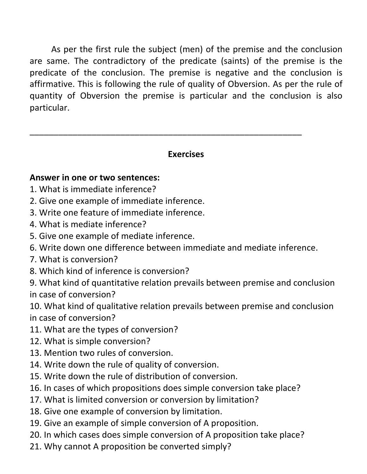As per the first rule the subject (men) of the premise and the conclusion are same. The contradictory of the predicate (saints) of the premise is the predicate of the conclusion. The premise is negative and the conclusion is affirmative. This is following the rule of quality of Obversion. As per the rule of quantity of Obversion the premise is particular and the conclusion is also particular.

#### Exercises

\_\_\_\_\_\_\_\_\_\_\_\_\_\_\_\_\_\_\_\_\_\_\_\_\_\_\_\_\_\_\_\_\_\_\_\_\_\_\_\_\_\_\_\_\_\_\_\_\_\_\_\_\_\_\_\_\_

#### Answer in one or two sentences:

- 1. What is immediate inference?
- 2. Give one example of immediate inference.
- 3. Write one feature of immediate inference.
- 4. What is mediate inference?
- 5. Give one example of mediate inference.
- 6. Write down one difference between immediate and mediate inference.
- 7. What is conversion?
- 8. Which kind of inference is conversion?
- 9. What kind of quantitative relation prevails between premise and conclusion in case of conversion?

10. What kind of qualitative relation prevails between premise and conclusion in case of conversion?

- 11. What are the types of conversion?
- 12. What is simple conversion?
- 13. Mention two rules of conversion.
- 14. Write down the rule of quality of conversion.
- 15. Write down the rule of distribution of conversion.
- 16. In cases of which propositions does simple conversion take place?
- 17. What is limited conversion or conversion by limitation?
- 18. Give one example of conversion by limitation.
- 19. Give an example of simple conversion of A proposition.
- 20. In which cases does simple conversion of A proposition take place?
- 21. Why cannot A proposition be converted simply?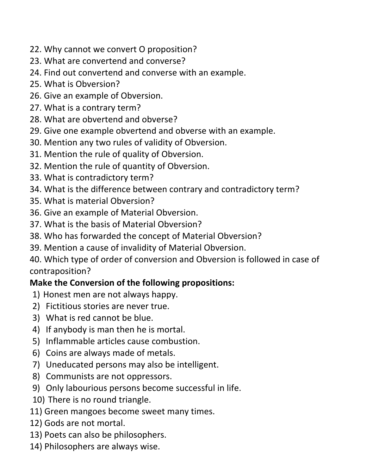- 22. Why cannot we convert O proposition?
- 23. What are convertend and converse?
- 24. Find out convertend and converse with an example.
- 25. What is Obversion?
- 26. Give an example of Obversion.
- 27. What is a contrary term?
- 28. What are obvertend and obverse?
- 29. Give one example obvertend and obverse with an example.
- 30. Mention any two rules of validity of Obversion.
- 31. Mention the rule of quality of Obversion.
- 32. Mention the rule of quantity of Obversion.
- 33. What is contradictory term?
- 34. What is the difference between contrary and contradictory term?
- 35. What is material Obversion?
- 36. Give an example of Material Obversion.
- 37. What is the basis of Material Obversion?
- 38. Who has forwarded the concept of Material Obversion?
- 39. Mention a cause of invalidity of Material Obversion.
- 40. Which type of order of conversion and Obversion is followed in case of contraposition?

# Make the Conversion of the following propositions:

- 1) Honest men are not always happy.
- 2) Fictitious stories are never true.
- 3) What is red cannot be blue.
- 4) If anybody is man then he is mortal.
- 5) Inflammable articles cause combustion.
- 6) Coins are always made of metals.
- 7) Uneducated persons may also be intelligent.
- 8) Communists are not oppressors.
- 9) Only labourious persons become successful in life.
- 10) There is no round triangle.
- 11) Green mangoes become sweet many times.
- 12) Gods are not mortal.
- 13) Poets can also be philosophers.
- 14) Philosophers are always wise.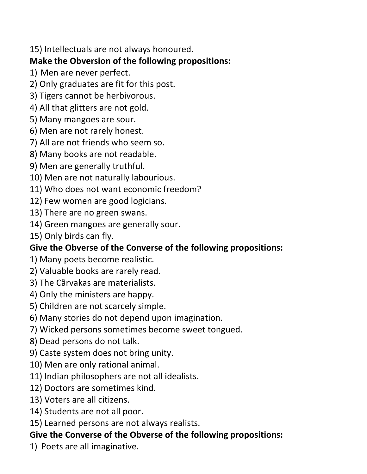15) Intellectuals are not always honoured.

### Make the Obversion of the following propositions:

- 1) Men are never perfect.
- 2) Only graduates are fit for this post.
- 3) Tigers cannot be herbivorous.
- 4) All that glitters are not gold.
- 5) Many mangoes are sour.
- 6) Men are not rarely honest.
- 7) All are not friends who seem so.
- 8) Many books are not readable.
- 9) Men are generally truthful.
- 10) Men are not naturally labourious.
- 11) Who does not want economic freedom?
- 12) Few women are good logicians.
- 13) There are no green swans.
- 14) Green mangoes are generally sour.
- 15) Only birds can fly.

# Give the Obverse of the Converse of the following propositions:

- 1) Many poets become realistic.
- 2) Valuable books are rarely read.
- 3) The Cãrvakas are materialists.
- 4) Only the ministers are happy.
- 5) Children are not scarcely simple.
- 6) Many stories do not depend upon imagination.
- 7) Wicked persons sometimes become sweet tongued.
- 8) Dead persons do not talk.
- 9) Caste system does not bring unity.
- 10) Men are only rational animal.
- 11) Indian philosophers are not all idealists.
- 12) Doctors are sometimes kind.
- 13) Voters are all citizens.
- 14) Students are not all poor.
- 15) Learned persons are not always realists.

# Give the Converse of the Obverse of the following propositions:

1) Poets are all imaginative.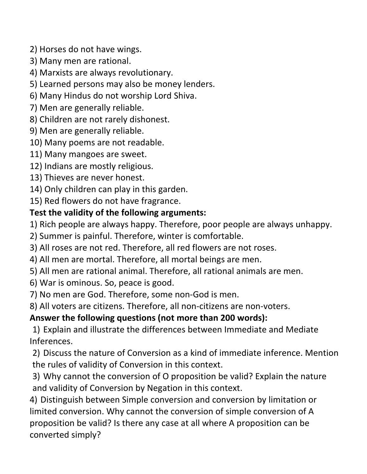2) Horses do not have wings.

- 3) Many men are rational.
- 4) Marxists are always revolutionary.
- 5) Learned persons may also be money lenders.
- 6) Many Hindus do not worship Lord Shiva.
- 7) Men are generally reliable.
- 8) Children are not rarely dishonest.
- 9) Men are generally reliable.
- 10) Many poems are not readable.
- 11) Many mangoes are sweet.
- 12) Indians are mostly religious.
- 13) Thieves are never honest.
- 14) Only children can play in this garden.
- 15) Red flowers do not have fragrance.

# Test the validity of the following arguments:

- 1) Rich people are always happy. Therefore, poor people are always unhappy.
- 2) Summer is painful. Therefore, winter is comfortable.
- 3) All roses are not red. Therefore, all red flowers are not roses.
- 4) All men are mortal. Therefore, all mortal beings are men.
- 5) All men are rational animal. Therefore, all rational animals are men.
- 6) War is ominous. So, peace is good.
- 7) No men are God. Therefore, some non-God is men.
- 8) All voters are citizens. Therefore, all non-citizens are non-voters.

# Answer the following questions (not more than 200 words):

1) Explain and illustrate the differences between Immediate and Mediate Inferences.

2) Discuss the nature of Conversion as a kind of immediate inference. Mention the rules of validity of Conversion in this context.

3) Why cannot the conversion of O proposition be valid? Explain the nature and validity of Conversion by Negation in this context.

4) Distinguish between Simple conversion and conversion by limitation or limited conversion. Why cannot the conversion of simple conversion of A proposition be valid? Is there any case at all where A proposition can be converted simply?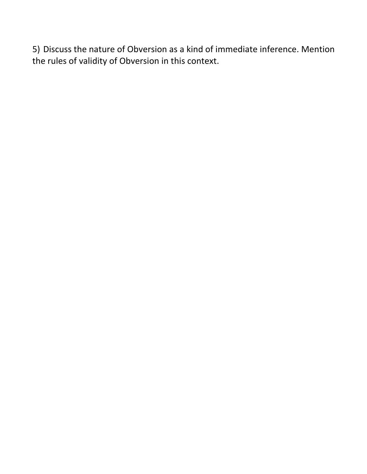5) Discuss the nature of Obversion as a kind of immediate inference. Mention the rules of validity of Obversion in this context.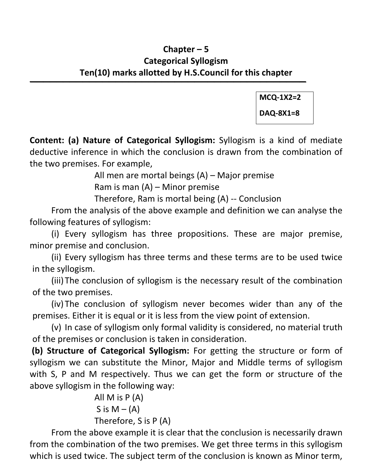### Chapter – 5 Categorical Syllogism Ten(10) marks allotted by H.S.Council for this chapter

 $\overline{\phantom{a}}$  , and the contract of the contract of the contract of the contract of the contract of the contract of the contract of the contract of the contract of the contract of the contract of the contract of the contrac

MCQ-1X2=2 DAQ-8X1=8

Content: (a) Nature of Categorical Syllogism: Syllogism is a kind of mediate deductive inference in which the conclusion is drawn from the combination of the two premises. For example,

All men are mortal beings (A) – Major premise

Ram is man (A) – Minor premise

Therefore, Ram is mortal being (A) -- Conclusion

 From the analysis of the above example and definition we can analyse the following features of syllogism:

(i) Every syllogism has three propositions. These are major premise, minor premise and conclusion.

(ii) Every syllogism has three terms and these terms are to be used twice in the syllogism.

(iii)The conclusion of syllogism is the necessary result of the combination of the two premises.

(iv) The conclusion of syllogism never becomes wider than any of the premises. Either it is equal or it is less from the view point of extension.

(v) In case of syllogism only formal validity is considered, no material truth of the premises or conclusion is taken in consideration.

 (b) Structure of Categorical Syllogism: For getting the structure or form of syllogism we can substitute the Minor, Major and Middle terms of syllogism with S, P and M respectively. Thus we can get the form or structure of the above syllogism in the following way:

> All M is P (A) S is  $M - (A)$ Therefore, S is P (A)

 From the above example it is clear that the conclusion is necessarily drawn from the combination of the two premises. We get three terms in this syllogism which is used twice. The subject term of the conclusion is known as Minor term,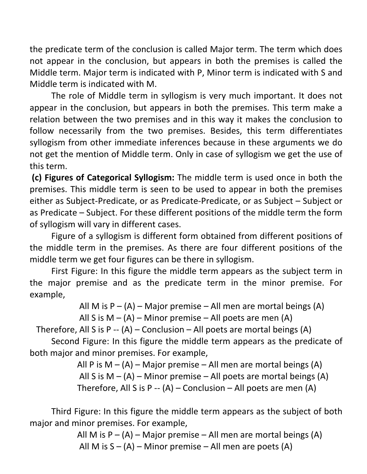the predicate term of the conclusion is called Major term. The term which does not appear in the conclusion, but appears in both the premises is called the Middle term. Major term is indicated with P, Minor term is indicated with S and Middle term is indicated with M.

 The role of Middle term in syllogism is very much important. It does not appear in the conclusion, but appears in both the premises. This term make a relation between the two premises and in this way it makes the conclusion to follow necessarily from the two premises. Besides, this term differentiates syllogism from other immediate inferences because in these arguments we do not get the mention of Middle term. Only in case of syllogism we get the use of this term.

 (c) Figures of Categorical Syllogism: The middle term is used once in both the premises. This middle term is seen to be used to appear in both the premises either as Subject-Predicate, or as Predicate-Predicate, or as Subject – Subject or as Predicate – Subject. For these different positions of the middle term the form of syllogism will vary in different cases.

 Figure of a syllogism is different form obtained from different positions of the middle term in the premises. As there are four different positions of the middle term we get four figures can be there in syllogism.

 First Figure: In this figure the middle term appears as the subject term in the major premise and as the predicate term in the minor premise. For example,

All M is  $P - (A)$  – Major premise – All men are mortal beings (A)

```
All S is M - (A) – Minor premise – All poets are men (A)
```
Therefore, All S is P --  $(A)$  – Conclusion – All poets are mortal beings  $(A)$ 

 Second Figure: In this figure the middle term appears as the predicate of both major and minor premises. For example,

> All P is  $M - (A)$  – Major premise – All men are mortal beings (A) All S is  $M - (A)$  – Minor premise – All poets are mortal beings (A) Therefore, All S is P --  $(A)$  – Conclusion – All poets are men  $(A)$

 Third Figure: In this figure the middle term appears as the subject of both major and minor premises. For example,

> All M is  $P - (A)$  – Major premise – All men are mortal beings (A) All M is  $S - (A)$  – Minor premise – All men are poets  $(A)$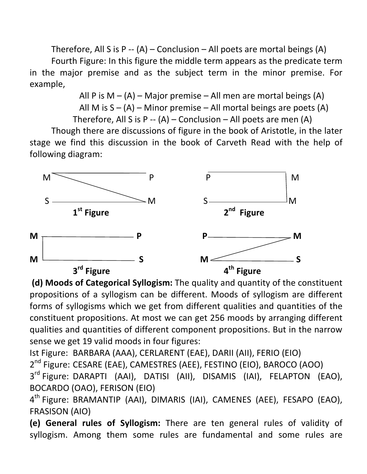Therefore, All S is P --  $(A)$  – Conclusion – All poets are mortal beings  $(A)$ 

 Fourth Figure: In this figure the middle term appears as the predicate term in the major premise and as the subject term in the minor premise. For example,

> All P is  $M - (A)$  – Major premise – All men are mortal beings  $(A)$ All M is  $S - (A)$  – Minor premise – All mortal beings are poets  $(A)$ Therefore, All S is P --  $(A)$  – Conclusion – All poets are men  $(A)$

 Though there are discussions of figure in the book of Aristotle, in the later stage we find this discussion in the book of Carveth Read with the help of following diagram:



 (d) Moods of Categorical Syllogism: The quality and quantity of the constituent propositions of a syllogism can be different. Moods of syllogism are different forms of syllogisms which we get from different qualities and quantities of the constituent propositions. At most we can get 256 moods by arranging different qualities and quantities of different component propositions. But in the narrow sense we get 19 valid moods in four figures:

Ist Figure: BARBARA (AAA), CERLARENT (EAE), DARII (AII), FERIO (EIO)

2<sup>nd</sup> Figure: CESARE (EAE), CAMESTRES (AEE), FESTINO (EIO), BAROCO (AOO)

3<sup>rd</sup> Figure: DARAPTI (AAI), DATISI (AII), DISAMIS (IAI), FELAPTON (EAO), BOCARDO (OAO), FERISON (EIO)

4<sup>th</sup> Figure: BRAMANTIP (AAI), DIMARIS (IAI), CAMENES (AEE), FESAPO (EAO), FRASISON (AIO)

(e) General rules of Syllogism: There are ten general rules of validity of syllogism. Among them some rules are fundamental and some rules are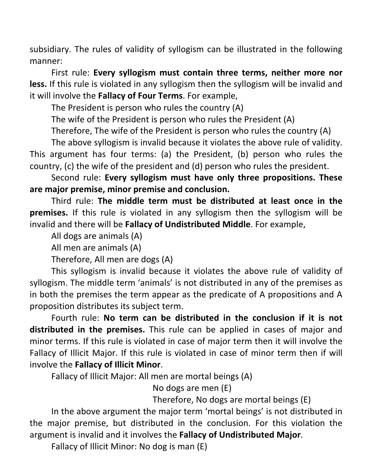subsidiary. The rules of validity of syllogism can be illustrated in the following manner:

 First rule: Every syllogism must contain three terms, neither more nor less. If this rule is violated in any syllogism then the syllogism will be invalid and it will involve the Fallacy of Four Terms. For example,

The President is person who rules the country (A)

The wife of the President is person who rules the President (A)

Therefore, The wife of the President is person who rules the country (A)

The above syllogism is invalid because it violates the above rule of validity.

This argument has four terms: (a) the President, (b) person who rules the country, (c) the wife of the president and (d) person who rules the president.

 Second rule: Every syllogism must have only three propositions. These are major premise, minor premise and conclusion.

 Third rule: The middle term must be distributed at least once in the premises. If this rule is violated in any syllogism then the syllogism will be invalid and there will be Fallacy of Undistributed Middle. For example,

All dogs are animals (A)

All men are animals (A)

Therefore, All men are dogs (A)

 This syllogism is invalid because it violates the above rule of validity of syllogism. The middle term 'animals' is not distributed in any of the premises as in both the premises the term appear as the predicate of A propositions and A proposition distributes its subject term.

 Fourth rule: No term can be distributed in the conclusion if it is not distributed in the premises. This rule can be applied in cases of major and minor terms. If this rule is violated in case of major term then it will involve the Fallacy of Illicit Major. If this rule is violated in case of minor term then if will involve the Fallacy of Illicit Minor.

Fallacy of Illicit Major: All men are mortal beings (A)

No dogs are men (E)

Therefore, No dogs are mortal beings (E)

 In the above argument the major term 'mortal beings' is not distributed in the major premise, but distributed in the conclusion. For this violation the argument is invalid and it involves the Fallacy of Undistributed Major.

Fallacy of Illicit Minor: No dog is man (E)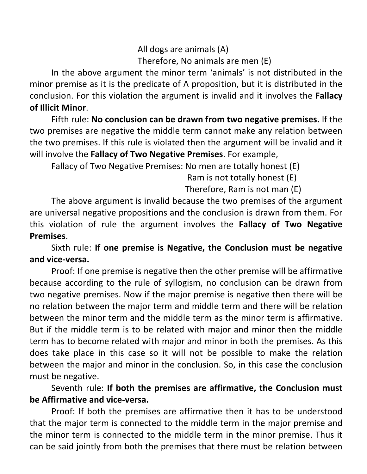All dogs are animals (A) Therefore, No animals are men (E)

 In the above argument the minor term 'animals' is not distributed in the minor premise as it is the predicate of A proposition, but it is distributed in the conclusion. For this violation the argument is invalid and it involves the Fallacy of Illicit Minor.

 Fifth rule: No conclusion can be drawn from two negative premises. If the two premises are negative the middle term cannot make any relation between the two premises. If this rule is violated then the argument will be invalid and it will involve the **Fallacy of Two Negative Premises**. For example,

Fallacy of Two Negative Premises: No men are totally honest (E)

Ram is not totally honest (E)

Therefore, Ram is not man (E)

 The above argument is invalid because the two premises of the argument are universal negative propositions and the conclusion is drawn from them. For this violation of rule the argument involves the Fallacy of Two Negative Premises.

 Sixth rule: If one premise is Negative, the Conclusion must be negative and vice-versa.

Proof: If one premise is negative then the other premise will be affirmative because according to the rule of syllogism, no conclusion can be drawn from two negative premises. Now if the major premise is negative then there will be no relation between the major term and middle term and there will be relation between the minor term and the middle term as the minor term is affirmative. But if the middle term is to be related with major and minor then the middle term has to become related with major and minor in both the premises. As this does take place in this case so it will not be possible to make the relation between the major and minor in the conclusion. So, in this case the conclusion must be negative.

#### Seventh rule: If both the premises are affirmative, the Conclusion must be Affirmative and vice-versa.

Proof: If both the premises are affirmative then it has to be understood that the major term is connected to the middle term in the major premise and the minor term is connected to the middle term in the minor premise. Thus it can be said jointly from both the premises that there must be relation between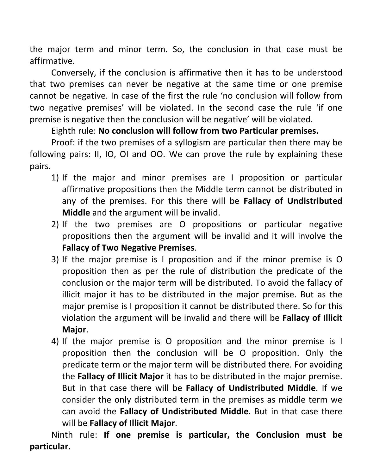the major term and minor term. So, the conclusion in that case must be affirmative.

 Conversely, if the conclusion is affirmative then it has to be understood that two premises can never be negative at the same time or one premise cannot be negative. In case of the first the rule 'no conclusion will follow from two negative premises' will be violated. In the second case the rule 'if one premise is negative then the conclusion will be negative' will be violated.

#### Eighth rule: No conclusion will follow from two Particular premises.

 Proof: if the two premises of a syllogism are particular then there may be following pairs: II, IO, OI and OO. We can prove the rule by explaining these pairs.

- 1) If the major and minor premises are I proposition or particular affirmative propositions then the Middle term cannot be distributed in any of the premises. For this there will be Fallacy of Undistributed Middle and the argument will be invalid.
- 2) If the two premises are O propositions or particular negative propositions then the argument will be invalid and it will involve the Fallacy of Two Negative Premises.
- 3) If the major premise is I proposition and if the minor premise is O proposition then as per the rule of distribution the predicate of the conclusion or the major term will be distributed. To avoid the fallacy of illicit major it has to be distributed in the major premise. But as the major premise is I proposition it cannot be distributed there. So for this violation the argument will be invalid and there will be Fallacy of Illicit Major.
- 4) If the major premise is O proposition and the minor premise is I proposition then the conclusion will be O proposition. Only the predicate term or the major term will be distributed there. For avoiding the Fallacy of Illicit Major it has to be distributed in the major premise. But in that case there will be Fallacy of Undistributed Middle. If we consider the only distributed term in the premises as middle term we can avoid the Fallacy of Undistributed Middle. But in that case there will be Fallacy of Illicit Major.

 Ninth rule: If one premise is particular, the Conclusion must be particular.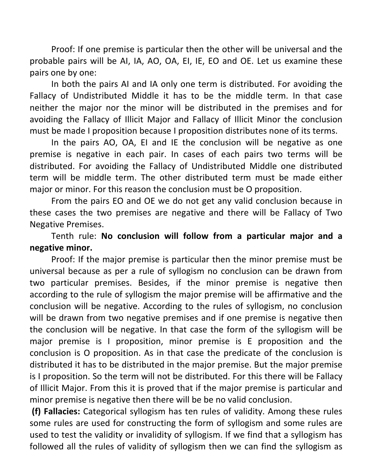Proof: If one premise is particular then the other will be universal and the probable pairs will be AI, IA, AO, OA, EI, IE, EO and OE. Let us examine these pairs one by one:

 In both the pairs AI and IA only one term is distributed. For avoiding the Fallacy of Undistributed Middle it has to be the middle term. In that case neither the major nor the minor will be distributed in the premises and for avoiding the Fallacy of Illicit Major and Fallacy of Illicit Minor the conclusion must be made I proposition because I proposition distributes none of its terms.

 In the pairs AO, OA, EI and IE the conclusion will be negative as one premise is negative in each pair. In cases of each pairs two terms will be distributed. For avoiding the Fallacy of Undistributed Middle one distributed term will be middle term. The other distributed term must be made either major or minor. For this reason the conclusion must be O proposition.

 From the pairs EO and OE we do not get any valid conclusion because in these cases the two premises are negative and there will be Fallacy of Two Negative Premises.

 Tenth rule: No conclusion will follow from a particular major and a negative minor.

Proof: If the major premise is particular then the minor premise must be universal because as per a rule of syllogism no conclusion can be drawn from two particular premises. Besides, if the minor premise is negative then according to the rule of syllogism the major premise will be affirmative and the conclusion will be negative. According to the rules of syllogism, no conclusion will be drawn from two negative premises and if one premise is negative then the conclusion will be negative. In that case the form of the syllogism will be major premise is I proposition, minor premise is E proposition and the conclusion is O proposition. As in that case the predicate of the conclusion is distributed it has to be distributed in the major premise. But the major premise is I proposition. So the term will not be distributed. For this there will be Fallacy of Illicit Major. From this it is proved that if the major premise is particular and minor premise is negative then there will be be no valid conclusion.

 (f) Fallacies: Categorical syllogism has ten rules of validity. Among these rules some rules are used for constructing the form of syllogism and some rules are used to test the validity or invalidity of syllogism. If we find that a syllogism has followed all the rules of validity of syllogism then we can find the syllogism as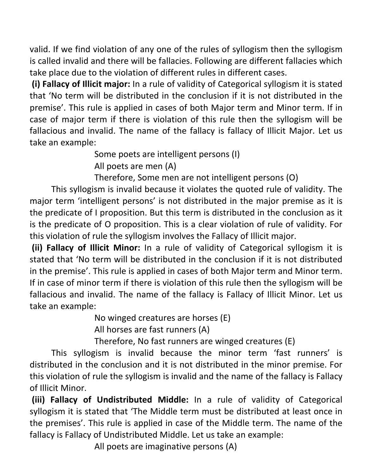valid. If we find violation of any one of the rules of syllogism then the syllogism is called invalid and there will be fallacies. Following are different fallacies which take place due to the violation of different rules in different cases.

 (i) Fallacy of Illicit major: In a rule of validity of Categorical syllogism it is stated that 'No term will be distributed in the conclusion if it is not distributed in the premise'. This rule is applied in cases of both Major term and Minor term. If in case of major term if there is violation of this rule then the syllogism will be fallacious and invalid. The name of the fallacy is fallacy of Illicit Major. Let us take an example:

Some poets are intelligent persons (I)

All poets are men (A)

Therefore, Some men are not intelligent persons (O)

 This syllogism is invalid because it violates the quoted rule of validity. The major term 'intelligent persons' is not distributed in the major premise as it is the predicate of I proposition. But this term is distributed in the conclusion as it is the predicate of O proposition. This is a clear violation of rule of validity. For this violation of rule the syllogism involves the Fallacy of Illicit major.

 (ii) Fallacy of Illicit Minor: In a rule of validity of Categorical syllogism it is stated that 'No term will be distributed in the conclusion if it is not distributed in the premise'. This rule is applied in cases of both Major term and Minor term. If in case of minor term if there is violation of this rule then the syllogism will be fallacious and invalid. The name of the fallacy is Fallacy of Illicit Minor. Let us take an example:

No winged creatures are horses (E)

All horses are fast runners (A)

Therefore, No fast runners are winged creatures (E)

 This syllogism is invalid because the minor term 'fast runners' is distributed in the conclusion and it is not distributed in the minor premise. For this violation of rule the syllogism is invalid and the name of the fallacy is Fallacy of Illicit Minor.

 (iii) Fallacy of Undistributed Middle: In a rule of validity of Categorical syllogism it is stated that 'The Middle term must be distributed at least once in the premises'. This rule is applied in case of the Middle term. The name of the fallacy is Fallacy of Undistributed Middle. Let us take an example:

All poets are imaginative persons (A)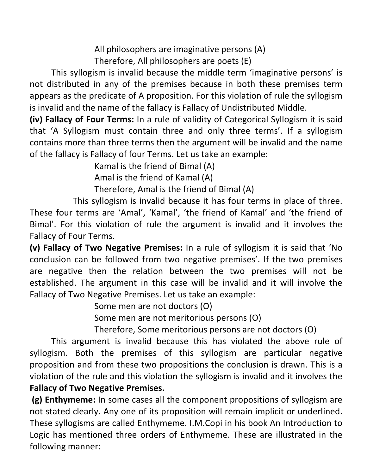All philosophers are imaginative persons (A) Therefore, All philosophers are poets (E)

 This syllogism is invalid because the middle term 'imaginative persons' is not distributed in any of the premises because in both these premises term appears as the predicate of A proposition. For this violation of rule the syllogism is invalid and the name of the fallacy is Fallacy of Undistributed Middle.

(iv) Fallacy of Four Terms: In a rule of validity of Categorical Syllogism it is said that 'A Syllogism must contain three and only three terms'. If a syllogism contains more than three terms then the argument will be invalid and the name of the fallacy is Fallacy of four Terms. Let us take an example:

Kamal is the friend of Bimal (A)

Amal is the friend of Kamal (A)

Therefore, Amal is the friend of Bimal (A)

 This syllogism is invalid because it has four terms in place of three. These four terms are 'Amal', 'Kamal', 'the friend of Kamal' and 'the friend of Bimal'. For this violation of rule the argument is invalid and it involves the Fallacy of Four Terms.

(v) Fallacy of Two Negative Premises: In a rule of syllogism it is said that 'No conclusion can be followed from two negative premises'. If the two premises are negative then the relation between the two premises will not be established. The argument in this case will be invalid and it will involve the Fallacy of Two Negative Premises. Let us take an example:

Some men are not doctors (O)

Some men are not meritorious persons (O)

Therefore, Some meritorious persons are not doctors (O)

 This argument is invalid because this has violated the above rule of syllogism. Both the premises of this syllogism are particular negative proposition and from these two propositions the conclusion is drawn. This is a violation of the rule and this violation the syllogism is invalid and it involves the Fallacy of Two Negative Premises.

 (g) Enthymeme: In some cases all the component propositions of syllogism are not stated clearly. Any one of its proposition will remain implicit or underlined. These syllogisms are called Enthymeme. I.M.Copi in his book An Introduction to Logic has mentioned three orders of Enthymeme. These are illustrated in the following manner: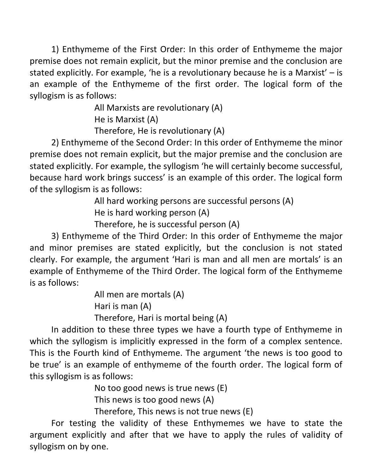1) Enthymeme of the First Order: In this order of Enthymeme the major premise does not remain explicit, but the minor premise and the conclusion are stated explicitly. For example, 'he is a revolutionary because he is a Marxist' – is an example of the Enthymeme of the first order. The logical form of the syllogism is as follows:

> All Marxists are revolutionary (A) He is Marxist (A) Therefore, He is revolutionary (A)

 2) Enthymeme of the Second Order: In this order of Enthymeme the minor premise does not remain explicit, but the major premise and the conclusion are stated explicitly. For example, the syllogism 'he will certainly become successful, because hard work brings success' is an example of this order. The logical form of the syllogism is as follows:

> All hard working persons are successful persons (A) He is hard working person (A)

Therefore, he is successful person (A)

 3) Enthymeme of the Third Order: In this order of Enthymeme the major and minor premises are stated explicitly, but the conclusion is not stated clearly. For example, the argument 'Hari is man and all men are mortals' is an example of Enthymeme of the Third Order. The logical form of the Enthymeme is as follows:

> All men are mortals (A) Hari is man (A) Therefore, Hari is mortal being (A)

 In addition to these three types we have a fourth type of Enthymeme in which the syllogism is implicitly expressed in the form of a complex sentence. This is the Fourth kind of Enthymeme. The argument 'the news is too good to be true' is an example of enthymeme of the fourth order. The logical form of this syllogism is as follows:

No too good news is true news (E)

This news is too good news (A)

Therefore, This news is not true news (E)

 For testing the validity of these Enthymemes we have to state the argument explicitly and after that we have to apply the rules of validity of syllogism on by one.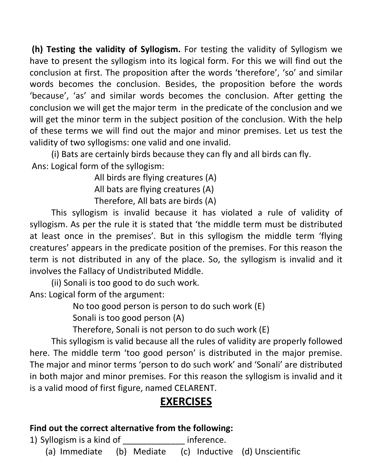(h) Testing the validity of Syllogism. For testing the validity of Syllogism we have to present the syllogism into its logical form. For this we will find out the conclusion at first. The proposition after the words 'therefore', 'so' and similar words becomes the conclusion. Besides, the proposition before the words 'because', 'as' and similar words becomes the conclusion. After getting the conclusion we will get the major term in the predicate of the conclusion and we will get the minor term in the subject position of the conclusion. With the help of these terms we will find out the major and minor premises. Let us test the validity of two syllogisms: one valid and one invalid.

 (i) Bats are certainly birds because they can fly and all birds can fly. Ans: Logical form of the syllogism:

> All birds are flying creatures (A) All bats are flying creatures (A)

Therefore, All bats are birds (A)

 This syllogism is invalid because it has violated a rule of validity of syllogism. As per the rule it is stated that 'the middle term must be distributed at least once in the premises'. But in this syllogism the middle term 'flying creatures' appears in the predicate position of the premises. For this reason the term is not distributed in any of the place. So, the syllogism is invalid and it involves the Fallacy of Undistributed Middle.

 (ii) Sonali is too good to do such work. Ans: Logical form of the argument:

No too good person is person to do such work (E)

Sonali is too good person (A)

Therefore, Sonali is not person to do such work (E)

 This syllogism is valid because all the rules of validity are properly followed here. The middle term 'too good person' is distributed in the major premise. The major and minor terms 'person to do such work' and 'Sonali' are distributed in both major and minor premises. For this reason the syllogism is invalid and it is a valid mood of first figure, named CELARENT.

# EXERCISES

#### Find out the correct alternative from the following:

1) Syllogism is a kind of the studies inference.

(a) Immediate (b) Mediate (c) Inductive (d) Unscientific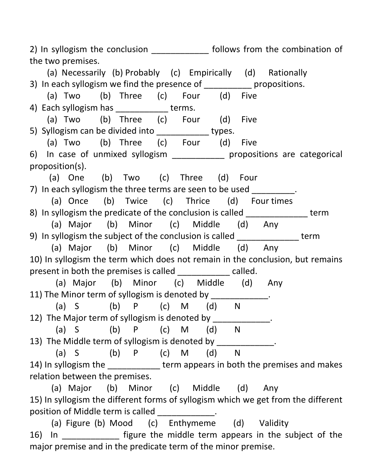2) In syllogism the conclusion \_\_\_\_\_\_\_\_\_\_\_\_\_\_ follows from the combination of the two premises.

 (a) Necessarily (b) Probably (c) Empirically (d) Rationally 3) In each syllogism we find the presence of \_\_\_\_\_\_\_\_\_\_\_ propositions. (a) Two (b) Three (c) Four (d) Five 4) Each syllogism has terms. (a) Two (b) Three (c) Four (d) Five 5) Syllogism can be divided into types. (a) Two (b) Three (c) Four (d) Five 6) In case of unmixed syllogism \_\_\_\_\_\_\_\_\_\_\_ propositions are categorical proposition(s). (a) One (b) Two (c) Three (d) Four 7) In each syllogism the three terms are seen to be used \_\_\_\_\_\_\_\_\_\_. (a) Once (b) Twice (c) Thrice (d) Four times 8) In syllogism the predicate of the conclusion is called term (a) Major (b) Minor (c) Middle (d) Any 9) In syllogism the subject of the conclusion is called term (a) Major (b) Minor (c) Middle (d) Any 10) In syllogism the term which does not remain in the conclusion, but remains present in both the premises is called \_\_\_\_\_\_\_\_\_\_\_\_ called. (a) Major (b) Minor (c) Middle (d) Any 11) The Minor term of syllogism is denoted by \_\_\_\_\_\_\_\_\_\_\_\_. (a) S (b) P (c) M (d) N 12) The Major term of syllogism is denoted by \_\_\_\_\_\_\_\_\_\_\_\_\_. (a) S (b) P (c) M (d) N 13) The Middle term of syllogism is denoted by \_\_\_\_\_\_\_\_\_\_\_\_. (a) S (b) P (c) M (d) N 14) In syllogism the term appears in both the premises and makes relation between the premises. (a) Major (b) Minor (c) Middle (d) Any 15) In syllogism the different forms of syllogism which we get from the different position of Middle term is called  $\qquad \qquad$ .

 (a) Figure (b) Mood (c) Enthymeme (d) Validity 16) In \_\_\_\_\_\_\_\_\_\_\_\_ figure the middle term appears in the subject of the major premise and in the predicate term of the minor premise.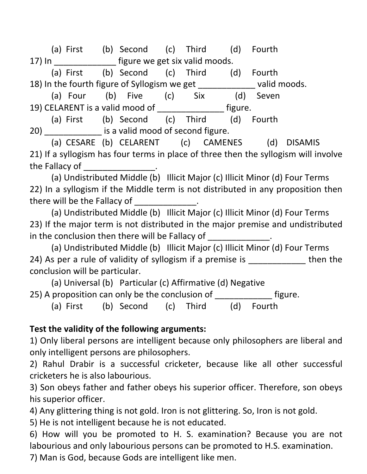(a) First (b) Second (c) Third (d) Fourth 17) In **Example 17** figure we get six valid moods.

 (a) First (b) Second (c) Third (d) Fourth 18) In the fourth figure of Syllogism we get \_\_\_\_\_\_\_\_\_\_\_\_ valid moods.

 (a) Four (b) Five (c) Six (d) Seven 19) CELARENT is a valid mood of figure.

 (a) First (b) Second (c) Third (d) Fourth 20) **Exercise is a valid mood of second figure.** 

 (a) CESARE (b) CELARENT (c) CAMENES (d) DISAMIS 21) If a syllogism has four terms in place of three then the syllogism will involve the Fallacy of \_\_\_\_\_\_\_\_\_\_\_\_\_\_\_.

 (a) Undistributed Middle (b) Illicit Major (c) Illicit Minor (d) Four Terms 22) In a syllogism if the Middle term is not distributed in any proposition then there will be the Fallacy of  $\qquad \qquad$ .

 (a) Undistributed Middle (b) Illicit Major (c) Illicit Minor (d) Four Terms 23) If the major term is not distributed in the major premise and undistributed in the conclusion then there will be Fallacy of \_\_\_\_\_\_\_\_\_\_\_\_\_.

 (a) Undistributed Middle (b) Illicit Major (c) Illicit Minor (d) Four Terms 24) As per a rule of validity of syllogism if a premise is \_\_\_\_\_\_\_\_\_\_\_\_\_\_ then the conclusion will be particular.

 (a) Universal (b) Particular (c) Affirmative (d) Negative 25) A proposition can only be the conclusion of \_\_\_\_\_\_\_\_\_\_\_\_\_ figure.

(a) First (b) Second (c) Third (d) Fourth

#### Test the validity of the following arguments:

1) Only liberal persons are intelligent because only philosophers are liberal and only intelligent persons are philosophers.

2) Rahul Drabir is a successful cricketer, because like all other successful cricketers he is also labourious.

3) Son obeys father and father obeys his superior officer. Therefore, son obeys his superior officer.

4) Any glittering thing is not gold. Iron is not glittering. So, Iron is not gold.

5) He is not intelligent because he is not educated.

6) How will you be promoted to H. S. examination? Because you are not labourious and only labourious persons can be promoted to H.S. examination.

7) Man is God, because Gods are intelligent like men.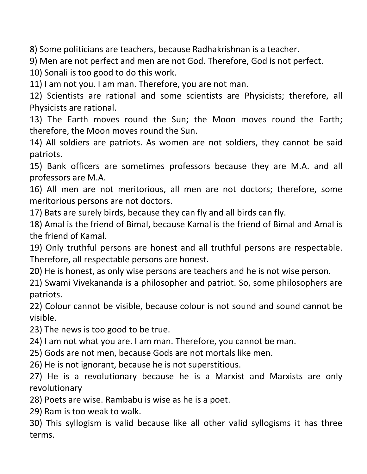8) Some politicians are teachers, because Radhakrishnan is a teacher.

9) Men are not perfect and men are not God. Therefore, God is not perfect.

10) Sonali is too good to do this work.

11) I am not you. I am man. Therefore, you are not man.

12) Scientists are rational and some scientists are Physicists; therefore, all Physicists are rational.

13) The Earth moves round the Sun; the Moon moves round the Earth; therefore, the Moon moves round the Sun.

14) All soldiers are patriots. As women are not soldiers, they cannot be said patriots.

15) Bank officers are sometimes professors because they are M.A. and all professors are M.A.

16) All men are not meritorious, all men are not doctors; therefore, some meritorious persons are not doctors.

17) Bats are surely birds, because they can fly and all birds can fly.

18) Amal is the friend of Bimal, because Kamal is the friend of Bimal and Amal is the friend of Kamal.

19) Only truthful persons are honest and all truthful persons are respectable. Therefore, all respectable persons are honest.

20) He is honest, as only wise persons are teachers and he is not wise person.

21) Swami Vivekananda is a philosopher and patriot. So, some philosophers are patriots.

22) Colour cannot be visible, because colour is not sound and sound cannot be visible.

23) The news is too good to be true.

24) I am not what you are. I am man. Therefore, you cannot be man.

25) Gods are not men, because Gods are not mortals like men.

26) He is not ignorant, because he is not superstitious.

27) He is a revolutionary because he is a Marxist and Marxists are only revolutionary

28) Poets are wise. Rambabu is wise as he is a poet.

29) Ram is too weak to walk.

30) This syllogism is valid because like all other valid syllogisms it has three terms.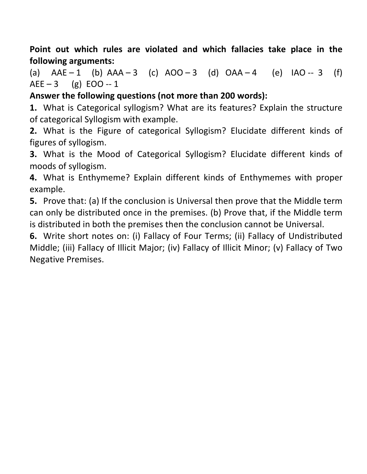Point out which rules are violated and which fallacies take place in the following arguments:

(a)  $AAE - 1$  (b)  $AAA - 3$  (c)  $AOO - 3$  (d)  $OAA - 4$  (e)  $IAO - 3$  (f)  $AEE - 3$  (g) EOO -- 1

Answer the following questions (not more than 200 words):

1. What is Categorical syllogism? What are its features? Explain the structure of categorical Syllogism with example.

2. What is the Figure of categorical Syllogism? Elucidate different kinds of figures of syllogism.

3. What is the Mood of Categorical Syllogism? Elucidate different kinds of moods of syllogism.

4. What is Enthymeme? Explain different kinds of Enthymemes with proper example.

5. Prove that: (a) If the conclusion is Universal then prove that the Middle term can only be distributed once in the premises. (b) Prove that, if the Middle term is distributed in both the premises then the conclusion cannot be Universal.

6. Write short notes on: (i) Fallacy of Four Terms; (ii) Fallacy of Undistributed Middle; (iii) Fallacy of Illicit Major; (iv) Fallacy of Illicit Minor; (v) Fallacy of Two Negative Premises.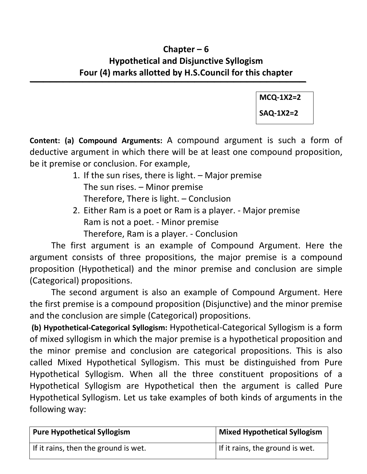### Chapter – 6 Hypothetical and Disjunctive Syllogism Four (4) marks allotted by H.S.Council for this chapter

 $\overline{\phantom{a}}$  , and the contract of the contract of the contract of the contract of the contract of the contract of the contract of the contract of the contract of the contract of the contract of the contract of the contrac MCQ-1X2=2 SAQ-1X2=2

Content: (a) Compound Arguments: A compound argument is such a form of deductive argument in which there will be at least one compound proposition, be it premise or conclusion. For example,

- 1. If the sun rises, there is light. Major premise The sun rises. – Minor premise Therefore, There is light. – Conclusion
- 2. Either Ram is a poet or Ram is a player. Major premise Ram is not a poet. - Minor premise Therefore, Ram is a player. - Conclusion

 The first argument is an example of Compound Argument. Here the argument consists of three propositions, the major premise is a compound proposition (Hypothetical) and the minor premise and conclusion are simple (Categorical) propositions.

 The second argument is also an example of Compound Argument. Here the first premise is a compound proposition (Disjunctive) and the minor premise and the conclusion are simple (Categorical) propositions.

 (b) Hypothetical-Categorical Syllogism: Hypothetical-Categorical Syllogism is a form of mixed syllogism in which the major premise is a hypothetical proposition and the minor premise and conclusion are categorical propositions. This is also called Mixed Hypothetical Syllogism. This must be distinguished from Pure Hypothetical Syllogism. When all the three constituent propositions of a Hypothetical Syllogism are Hypothetical then the argument is called Pure Hypothetical Syllogism. Let us take examples of both kinds of arguments in the following way:

| <b>Pure Hypothetical Syllogism</b>   | Mixed Hypothetical Syllogism    |
|--------------------------------------|---------------------------------|
| If it rains, then the ground is wet. | If it rains, the ground is wet. |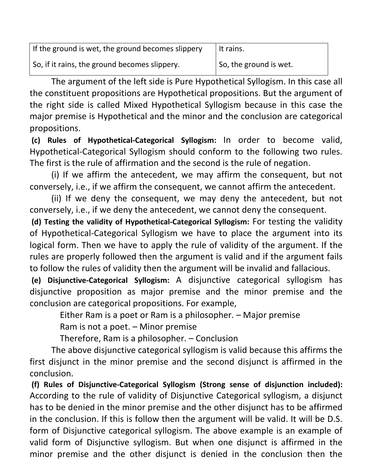| If the ground is wet, the ground becomes slippery | It rains.              |
|---------------------------------------------------|------------------------|
| So, if it rains, the ground becomes slippery.     | So, the ground is wet. |

The argument of the left side is Pure Hypothetical Syllogism. In this case all the constituent propositions are Hypothetical propositions. But the argument of the right side is called Mixed Hypothetical Syllogism because in this case the major premise is Hypothetical and the minor and the conclusion are categorical propositions.

 (c) Rules of Hypothetical-Categorical Syllogism: In order to become valid, Hypothetical-Categorical Syllogism should conform to the following two rules. The first is the rule of affirmation and the second is the rule of negation.

 (i) If we affirm the antecedent, we may affirm the consequent, but not conversely, i.e., if we affirm the consequent, we cannot affirm the antecedent.

 (ii) If we deny the consequent, we may deny the antecedent, but not conversely, i.e., if we deny the antecedent, we cannot deny the consequent.

 (d) Testing the validity of Hypothetical-Categorical Syllogism: For testing the validity of Hypothetical-Categorical Syllogism we have to place the argument into its logical form. Then we have to apply the rule of validity of the argument. If the rules are properly followed then the argument is valid and if the argument fails to follow the rules of validity then the argument will be invalid and fallacious.

 (e) Disjunctive-Categorical Syllogism: A disjunctive categorical syllogism has disjunctive proposition as major premise and the minor premise and the conclusion are categorical propositions. For example,

Either Ram is a poet or Ram is a philosopher. – Major premise

Ram is not a poet. – Minor premise

Therefore, Ram is a philosopher. – Conclusion

 The above disjunctive categorical syllogism is valid because this affirms the first disjunct in the minor premise and the second disjunct is affirmed in the conclusion.

 (f) Rules of Disjunctive-Categorical Syllogism (Strong sense of disjunction included): According to the rule of validity of Disjunctive Categorical syllogism, a disjunct has to be denied in the minor premise and the other disjunct has to be affirmed in the conclusion. If this is follow then the argument will be valid. It will be D.S. form of Disjunctive categorical syllogism. The above example is an example of valid form of Disjunctive syllogism. But when one disjunct is affirmed in the minor premise and the other disjunct is denied in the conclusion then the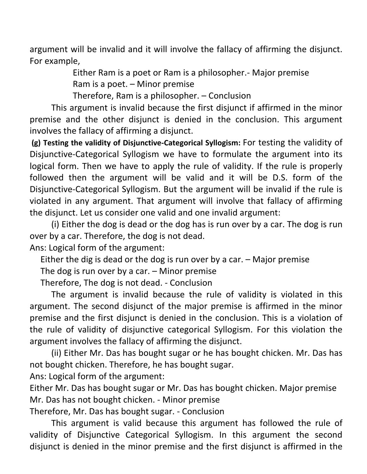argument will be invalid and it will involve the fallacy of affirming the disjunct. For example,

> Either Ram is a poet or Ram is a philosopher.- Major premise Ram is a poet. – Minor premise

Therefore, Ram is a philosopher. – Conclusion

 This argument is invalid because the first disjunct if affirmed in the minor premise and the other disjunct is denied in the conclusion. This argument involves the fallacy of affirming a disjunct.

 (g) Testing the validity of Disjunctive-Categorical Syllogism: For testing the validity of Disjunctive-Categorical Syllogism we have to formulate the argument into its logical form. Then we have to apply the rule of validity. If the rule is properly followed then the argument will be valid and it will be D.S. form of the Disjunctive-Categorical Syllogism. But the argument will be invalid if the rule is violated in any argument. That argument will involve that fallacy of affirming the disjunct. Let us consider one valid and one invalid argument:

 (i) Either the dog is dead or the dog has is run over by a car. The dog is run over by a car. Therefore, the dog is not dead.

Ans: Logical form of the argument:

Either the dig is dead or the dog is run over by a car. – Major premise

The dog is run over by a car. – Minor premise

Therefore, The dog is not dead. - Conclusion

 The argument is invalid because the rule of validity is violated in this argument. The second disjunct of the major premise is affirmed in the minor premise and the first disjunct is denied in the conclusion. This is a violation of the rule of validity of disjunctive categorical Syllogism. For this violation the argument involves the fallacy of affirming the disjunct.

 (ii) Either Mr. Das has bought sugar or he has bought chicken. Mr. Das has not bought chicken. Therefore, he has bought sugar.

Ans: Logical form of the argument:

Either Mr. Das has bought sugar or Mr. Das has bought chicken. Major premise Mr. Das has not bought chicken. - Minor premise

Therefore, Mr. Das has bought sugar. - Conclusion

This argument is valid because this argument has followed the rule of validity of Disjunctive Categorical Syllogism. In this argument the second disjunct is denied in the minor premise and the first disjunct is affirmed in the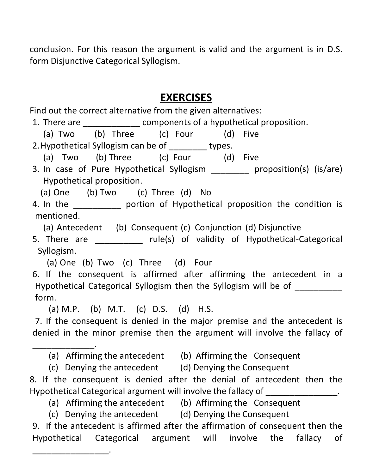conclusion. For this reason the argument is valid and the argument is in D.S. form Disjunctive Categorical Syllogism.

# EXERCISES

Find out the correct alternative from the given alternatives:

1. There are \_\_\_\_\_\_\_\_\_\_\_\_\_\_\_ components of a hypothetical proposition.

(a) Two (b) Three (c) Four (d) Five

2. Hypothetical Syllogism can be of \_\_\_\_\_\_\_\_ types.

(a) Two (b) Three (c) Four (d) Five

3. In case of Pure Hypothetical Syllogism \_\_\_\_\_\_\_\_ proposition(s) (is/are) Hypothetical proposition.

(a) One (b) Two (c) Three (d) No

4. In the \_\_\_\_\_\_\_\_\_\_ portion of Hypothetical proposition the condition is mentioned.

(a) Antecedent (b) Consequent (c) Conjunction (d) Disjunctive

5. There are **Exercise 20** rule(s) of validity of Hypothetical-Categorical Syllogism.

(a) One (b) Two (c) Three (d) Four

6. If the consequent is affirmed after affirming the antecedent in a Hypothetical Categorical Syllogism then the Syllogism will be of \_\_\_\_\_\_\_\_\_\_ form.

(a) M.P. (b) M.T. (c) D.S. (d) H.S.

\_\_\_\_\_\_\_\_\_\_\_\_\_.

\_\_\_\_\_\_\_\_\_\_\_\_\_\_\_\_.

7. If the consequent is denied in the major premise and the antecedent is denied in the minor premise then the argument will involve the fallacy of

(a) Affirming the antecedent (b) Affirming the Consequent

(c) Denying the antecedent (d) Denying the Consequent

8. If the consequent is denied after the denial of antecedent then the Hypothetical Categorical argument will involve the fallacy of \_\_\_\_\_\_\_\_\_\_\_\_\_\_\_.

- (a) Affirming the antecedent (b) Affirming the Consequent
- (c) Denying the antecedent (d) Denying the Consequent

9. If the antecedent is affirmed after the affirmation of consequent then the Hypothetical Categorical argument will involve the fallacy of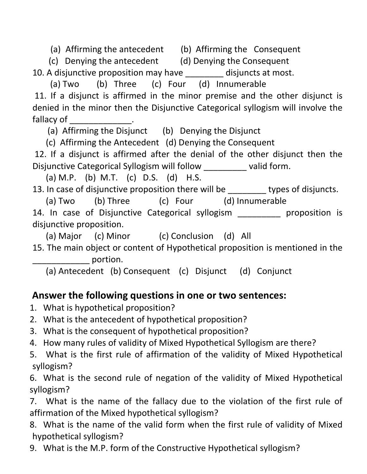(a) Affirming the antecedent (b) Affirming the Consequent

(c) Denying the antecedent (d) Denying the Consequent 10. A disjunctive proposition may have disjuncts at most.

(a) Two (b) Three (c) Four (d) Innumerable

 11. If a disjunct is affirmed in the minor premise and the other disjunct is denied in the minor then the Disjunctive Categorical syllogism will involve the fallacy of

(a) Affirming the Disjunct (b) Denying the Disjunct

(c) Affirming the Antecedent (d) Denying the Consequent

 12. If a disjunct is affirmed after the denial of the other disjunct then the Disjunctive Categorical Syllogism will follow \_\_\_\_\_\_\_\_\_ valid form.

(a) M.P. (b) M.T. (c) D.S. (d) H.S.

13. In case of disjunctive proposition there will be \_\_\_\_\_\_\_ types of disjuncts.

(a) Two (b) Three (c) Four (d) Innumerable

14. In case of Disjunctive Categorical syllogism \_\_\_\_\_\_\_\_\_ proposition is disjunctive proposition.

(a) Major (c) Minor (c) Conclusion (d) All

15. The main object or content of Hypothetical proposition is mentioned in the portion.

(a) Antecedent (b) Consequent (c) Disjunct (d) Conjunct

# Answer the following questions in one or two sentences:

- 1. What is hypothetical proposition?
- 2. What is the antecedent of hypothetical proposition?
- 3. What is the consequent of hypothetical proposition?
- 4. How many rules of validity of Mixed Hypothetical Syllogism are there?
- 5. What is the first rule of affirmation of the validity of Mixed Hypothetical syllogism?

6. What is the second rule of negation of the validity of Mixed Hypothetical syllogism?

7. What is the name of the fallacy due to the violation of the first rule of affirmation of the Mixed hypothetical syllogism?

8. What is the name of the valid form when the first rule of validity of Mixed hypothetical syllogism?

9. What is the M.P. form of the Constructive Hypothetical syllogism?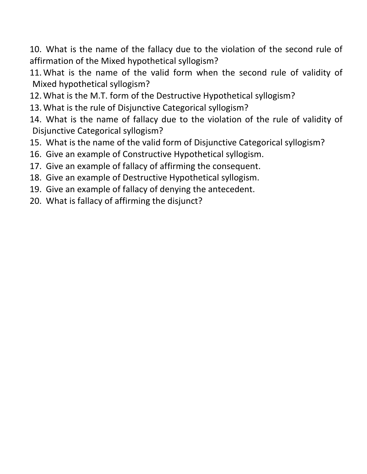10. What is the name of the fallacy due to the violation of the second rule of affirmation of the Mixed hypothetical syllogism?

11. What is the name of the valid form when the second rule of validity of Mixed hypothetical syllogism?

- 12. What is the M.T. form of the Destructive Hypothetical syllogism?
- 13. What is the rule of Disjunctive Categorical syllogism?

14. What is the name of fallacy due to the violation of the rule of validity of Disjunctive Categorical syllogism?

- 15. What is the name of the valid form of Disjunctive Categorical syllogism?
- 16. Give an example of Constructive Hypothetical syllogism.
- 17. Give an example of fallacy of affirming the consequent.
- 18. Give an example of Destructive Hypothetical syllogism.
- 19. Give an example of fallacy of denying the antecedent.
- 20. What is fallacy of affirming the disjunct?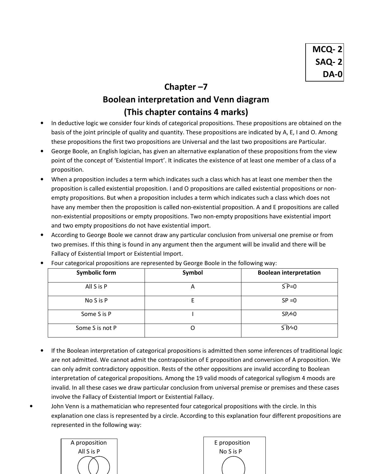#### Chapter –7

### Boolean interpretation and Venn diagram (This chapter contains 4 marks)

- In deductive logic we consider four kinds of categorical propositions. These propositions are obtained on the basis of the joint principle of quality and quantity. These propositions are indicated by A, E, I and O. Among these propositions the first two propositions are Universal and the last two propositions are Particular.
- George Boole, an English logician, has given an alternative explanation of these propositions from the view point of the concept of 'Existential Import'. It indicates the existence of at least one member of a class of a proposition.
- When a proposition includes a term which indicates such a class which has at least one member then the proposition is called existential proposition. I and O propositions are called existential propositions or nonempty propositions. But when a proposition includes a term which indicates such a class which does not have any member then the proposition is called non-existential proposition. A and E propositions are called non-existential propositions or empty propositions. Two non-empty propositions have existential import and two empty propositions do not have existential import.
- According to George Boole we cannot draw any particular conclusion from universal one premise or from two premises. If this thing is found in any argument then the argument will be invalid and there will be Fallacy of Existential Import or Existential Import.

| <b>Symbolic form</b> | Symbol | <b>Boolean interpretation</b>          |
|----------------------|--------|----------------------------------------|
| All S is P           | A      | $\overline{\mathsf{S} \mathsf{P}} = 0$ |
| No S is P            |        | $SP = 0$                               |
| Some S is P          |        | SP<0                                   |
| Some S is not P      |        | $S\overline{P}=0$                      |

• Four categorical propositions are represented by George Boole in the following way:

- If the Boolean interpretation of categorical propositions is admitted then some inferences of traditional logic are not admitted. We cannot admit the contraposition of E proposition and conversion of A proposition. We can only admit contradictory opposition. Rests of the other oppositions are invalid according to Boolean interpretation of categorical propositions. Among the 19 valid moods of categorical syllogism 4 moods are invalid. In all these cases we draw particular conclusion from universal premise or premises and these cases involve the Fallacy of Existential Import or Existential Fallacy.
- John Venn is a mathematician who represented four categorical propositions with the circle. In this explanation one class is represented by a circle. According to this explanation four different propositions are represented in the following way:

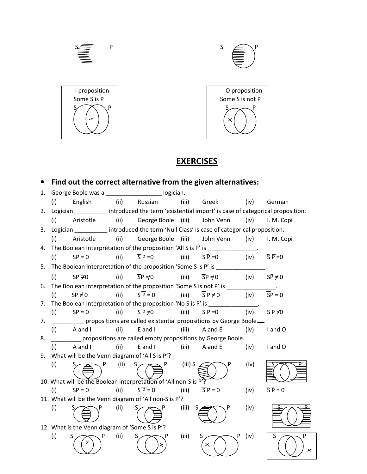

#### **EXERCISES**

#### • Find out the correct alternative from the given alternatives:

|    |     |                                                |      | 1. George Boole was a _____________________ logician.            |           |                                                                                                          |      |                                      |
|----|-----|------------------------------------------------|------|------------------------------------------------------------------|-----------|----------------------------------------------------------------------------------------------------------|------|--------------------------------------|
|    | (i) | English                                        |      | (ii) Russian                                                     | (iii)     | Greek                                                                                                    | (iv) | German                               |
|    |     |                                                |      |                                                                  |           | 2. Logician __________ introduced the term 'existential import' is case of categorical proposition.      |      |                                      |
|    | (i) | Aristotle                                      |      | (ii) George Boole (iii)                                          |           | John Venn                                                                                                | (iv) | I. M. Copi                           |
| 3. |     |                                                |      |                                                                  |           | Logician _________ introduced the term 'Null Class' is case of categorical proposition.                  |      |                                      |
|    | (i) | Aristotle                                      |      |                                                                  |           | (ii) George Boole (iii) John Venn (iv)                                                                   |      | I. M. Copi                           |
| 4. |     |                                                |      |                                                                  |           | The Boolean interpretation of the proposition 'All S is P' is ______________.                            |      |                                      |
|    | (i) | $SP = 0$                                       | (ii) | $\overline{S}P=0$                                                | (iii)     | $S\bar{P}=0$                                                                                             |      | (iv) $\overline{S} \overline{P} = 0$ |
|    |     |                                                |      |                                                                  |           | 5. The Boolean interpretation of the proposition 'Some S is P' is ______________.                        |      |                                      |
|    | (i) | $SP \neq 0$                                    | (ii) | $\overline{SP} = 0$                                              | (iii)     | $\overline{\mathsf{SP}}$ = (iv) $\overline{\mathsf{SP}}$ = 0                                             |      |                                      |
| 6. |     |                                                |      |                                                                  |           | The Boolean interpretation of the proposition 'Some S is not P' is $\frac{1}{\sqrt{1-\frac{1}{2}}}\cdot$ |      |                                      |
|    | (i) | $SP \neq 0$                                    | (ii) | $S\overline{P} = 0$                                              | (iii)     | $\overline{S}P \neq 0$                                                                                   | (iv) | $\overline{SP} = 0$                  |
|    |     |                                                |      |                                                                  |           | 7. The Boolean interpretation of the proposition 'No S is P' is _______________.                         |      |                                      |
|    | (i) | $SP = 0$                                       | (ii) | $\overline{S}P \neq 0$                                           | (iii)     | $S\overline{P}=0$                                                                                        | (iv) | SP $\neq 0$                          |
| 7. |     |                                                |      |                                                                  |           | propositions are called existential propositions by George Boole.                                        |      |                                      |
|    |     | $(i)$ A and I                                  | (ii) | E and I                                                          | (iii)     | A and E                                                                                                  | (iv) | I and O                              |
| 8. |     |                                                |      |                                                                  |           | propositions are called empty propositions by George Boole.                                              |      |                                      |
|    | (i) | A and I                                        | (ii) | E and I                                                          |           | (iii) A and E                                                                                            | (iv) | I and O                              |
|    |     |                                                |      | 9. What will be the Venn diagram of 'All S is P'?                |           |                                                                                                          |      |                                      |
|    | (i) | P                                              | (ii) | $S \setminus$<br>P.                                              | $(iii)$ S |                                                                                                          | (iv) |                                      |
|    |     |                                                |      |                                                                  |           |                                                                                                          |      |                                      |
|    |     |                                                |      | 10. What will be the Boolean interpretation of 'All non-S is P'? |           |                                                                                                          |      |                                      |
|    | (i) | $SP = 0$                                       | (ii) | $S\overline{P} = 0$                                              | (iii)     | $\overline{SP} = 0$                                                                                      | (iv) | $\overline{S} \overline{P} = 0$      |
|    |     |                                                |      | 11. What will be the Venn diagram of 'All non-S is P'?           |           |                                                                                                          |      |                                      |
|    | (i) |                                                | (ii) |                                                                  | (iii)     | S.                                                                                                       | (iv) |                                      |
|    |     | 12. What is the Venn diagram of 'Some S is P'? |      |                                                                  |           |                                                                                                          |      |                                      |
|    | (i) | S                                              | (ii) | S                                                                | (iii)     | S.<br>P<br>$\times$                                                                                      | (iv) | S<br>P                               |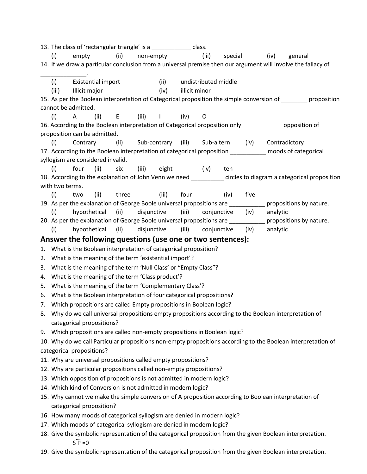13. The class of 'rectangular triangle' is a \_\_\_\_\_\_\_\_\_\_\_\_\_ class. (i) empty (ii) non-empty (iii) special (iv) general 14. If we draw a particular conclusion from a universal premise then our argument will involve the fallacy of \_\_\_\_\_\_\_\_\_\_\_\_\_\_. (i) Existential import (ii) undistributed middle (iii) Illicit major (iv) illicit minor 15. As per the Boolean interpretation of Categorical proposition the simple conversion of proposition cannot be admitted. (i) A (ii) E (iii) I (iv) O 16. According to the Boolean interpretation of Categorical proposition only \_\_\_\_\_\_\_\_\_\_\_\_ opposition of proposition can be admitted. (i) Contrary (ii) Sub-contrary (iii) Sub-altern (iv) Contradictory 17. According to the Boolean interpretation of categorical proposition \_\_\_\_\_\_\_\_\_\_\_ moods of categorical syllogism are considered invalid. (i) four (ii) six (iii) eight (iv) ten 18. According to the explanation of John Venn we need \_\_\_\_\_\_\_\_\_ circles to diagram a categorical proposition with two terms. (i) two (ii) three (iii) four (iv) five 19. As per the explanation of George Boole universal propositions are \_\_\_\_\_\_\_\_\_\_\_\_ propositions by nature. (i) hypothetical (ii) disjunctive (iii) conjunctive (iv) analytic 20. As per the explanation of George Boole universal propositions are example propositions by nature. (i) hypothetical (ii) disjunctive (iii) conjunctive (iv) analytic Answer the following questions (use one or two sentences): 1. What is the Boolean interpretation of categorical proposition? 2. What is the meaning of the term 'existential import'? 3. What is the meaning of the term 'Null Class' or "Empty Class"? 4. What is the meaning of the term 'Class product'? 5. What is the meaning of the term 'Complementary Class'? 6. What is the Boolean interpretation of four categorical propositions? 7. Which propositions are called Empty propositions in Boolean logic? 8. Why do we call universal propositions empty propositions according to the Boolean interpretation of categorical propositions? 9. Which propositions are called non-empty propositions in Boolean logic? 10. Why do we call Particular propositions non-empty propositions according to the Boolean interpretation of categorical propositions? 11. Why are universal propositions called empty propositions? 12. Why are particular propositions called non-empty propositions? 13. Which opposition of propositions is not admitted in modern logic? 14. Which kind of Conversion is not admitted in modern logic? 15. Why cannot we make the simple conversion of A proposition according to Boolean interpretation of categorical proposition? 16. How many moods of categorical syllogism are denied in modern logic? 17. Which moods of categorical syllogism are denied in modern logic? 18. Give the symbolic representation of the categorical proposition from the given Boolean interpretation.  $S \overline{P} = 0$ 

19. Give the symbolic representation of the categorical proposition from the given Boolean interpretation.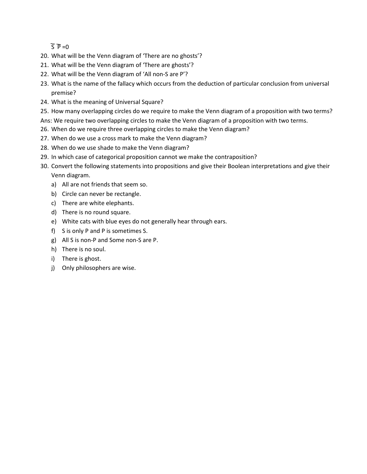$\overline{S} \overline{P} = 0$ 

- 20. What will be the Venn diagram of 'There are no ghosts'?
- 21. What will be the Venn diagram of 'There are ghosts'?
- 22. What will be the Venn diagram of 'All non-S are P'?
- 23. What is the name of the fallacy which occurs from the deduction of particular conclusion from universal premise?
- 24. What is the meaning of Universal Square?
- 25. How many overlapping circles do we require to make the Venn diagram of a proposition with two terms?
- Ans: We require two overlapping circles to make the Venn diagram of a proposition with two terms.
- 26. When do we require three overlapping circles to make the Venn diagram?
- 27. When do we use a cross mark to make the Venn diagram?
- 28. When do we use shade to make the Venn diagram?
- 29. In which case of categorical proposition cannot we make the contraposition?
- 30. Convert the following statements into propositions and give their Boolean interpretations and give their Venn diagram.
	- a) All are not friends that seem so.
	- b) Circle can never be rectangle.
	- c) There are white elephants.
	- d) There is no round square.
	- e) White cats with blue eyes do not generally hear through ears.
	- f) S is only P and P is sometimes S.
	- g) All S is non-P and Some non-S are P.
	- h) There is no soul.
	- i) There is ghost.
	- j) Only philosophers are wise.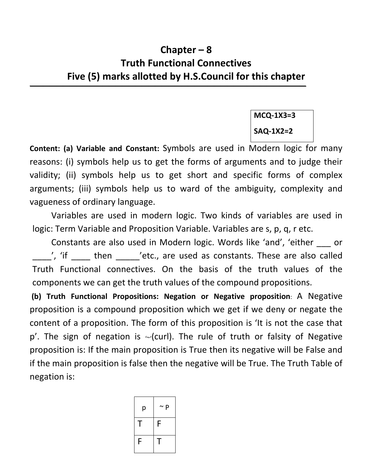# Chapter – 8 Truth Functional Connectives Five (5) marks allotted by H.S.Council for this chapter

 $\mathcal{L}_\mathcal{A}$  , which is a set of the set of the set of the set of the set of the set of the set of the set of the set of the set of the set of the set of the set of the set of the set of the set of the set of the set of

MCQ-1X3=3 SAQ-1X2=2

Content: (a) Variable and Constant: Symbols are used in Modern logic for many reasons: (i) symbols help us to get the forms of arguments and to judge their validity; (ii) symbols help us to get short and specific forms of complex arguments; (iii) symbols help us to ward of the ambiguity, complexity and vagueness of ordinary language.

Variables are used in modern logic. Two kinds of variables are used in logic: Term Variable and Proposition Variable. Variables are s, p, q, r etc.

Constants are also used in Modern logic. Words like 'and', 'either \_\_\_ or <sup>'</sup>, 'if then chetc., are used as constants. These are also called Truth Functional connectives. On the basis of the truth values of the components we can get the truth values of the compound propositions.

 (b) Truth Functional Propositions: Negation or Negative proposition: A Negative proposition is a compound proposition which we get if we deny or negate the content of a proposition. The form of this proposition is 'It is not the case that  $p'$ . The sign of negation is  $\sim$ (curl). The rule of truth or falsity of Negative proposition is: If the main proposition is True then its negative will be False and if the main proposition is false then the negative will be True. The Truth Table of negation is:

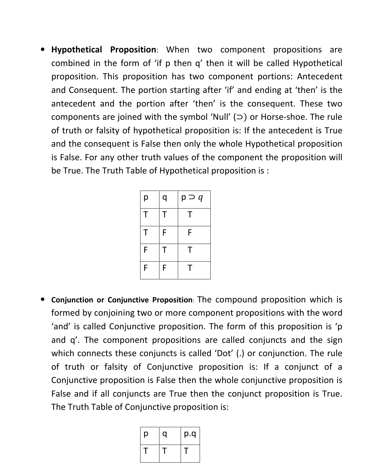• Hypothetical Proposition: When two component propositions are combined in the form of 'if p then q' then it will be called Hypothetical proposition. This proposition has two component portions: Antecedent and Consequent. The portion starting after 'if' and ending at 'then' is the antecedent and the portion after 'then' is the consequent. These two components are joined with the symbol 'Null' (⊃) or Horse-shoe. The rule of truth or falsity of hypothetical proposition is: If the antecedent is True and the consequent is False then only the whole Hypothetical proposition is False. For any other truth values of the component the proposition will be True. The Truth Table of Hypothetical proposition is :

| р | q | $p \supset q$ |
|---|---|---------------|
| Τ | Т | Т             |
| Т | F | F             |
| F | T | Т             |
| F | F | т             |

• Conjunction or Conjunctive Proposition: The compound proposition which is formed by conjoining two or more component propositions with the word 'and' is called Conjunctive proposition. The form of this proposition is 'p and q'. The component propositions are called conjuncts and the sign which connects these conjuncts is called 'Dot' (.) or conjunction. The rule of truth or falsity of Conjunctive proposition is: If a conjunct of a Conjunctive proposition is False then the whole conjunctive proposition is False and if all conjuncts are True then the conjunct proposition is True. The Truth Table of Conjunctive proposition is:

| p | a | p.q |
|---|---|-----|
|   |   |     |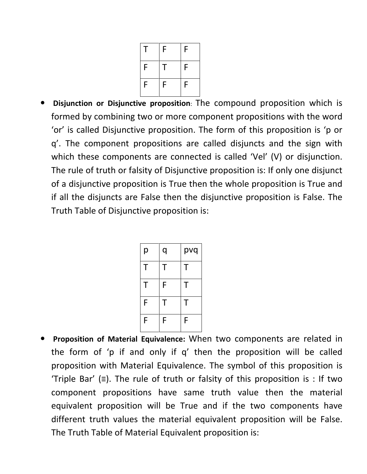|   | F        | F |
|---|----------|---|
| F | $\Gamma$ | F |
| F | F        | F |

• Disjunction or Disjunctive proposition: The compound proposition which is formed by combining two or more component propositions with the word 'or' is called Disjunctive proposition. The form of this proposition is 'p or q'. The component propositions are called disjuncts and the sign with which these components are connected is called 'Vel' (V) or disjunction. The rule of truth or falsity of Disjunctive proposition is: If only one disjunct of a disjunctive proposition is True then the whole proposition is True and if all the disjuncts are False then the disjunctive proposition is False. The Truth Table of Disjunctive proposition is:

| р | q | pvq |
|---|---|-----|
| Τ | Τ | Τ   |
| Τ | F | Τ   |
| F | Т | Т   |
| F | F | F   |

• Proposition of Material Equivalence: When two components are related in the form of 'p if and only if q' then the proposition will be called proposition with Material Equivalence. The symbol of this proposition is 'Triple Bar' ( $\equiv$ ). The rule of truth or falsity of this proposition is : If two component propositions have same truth value then the material equivalent proposition will be True and if the two components have different truth values the material equivalent proposition will be False. The Truth Table of Material Equivalent proposition is: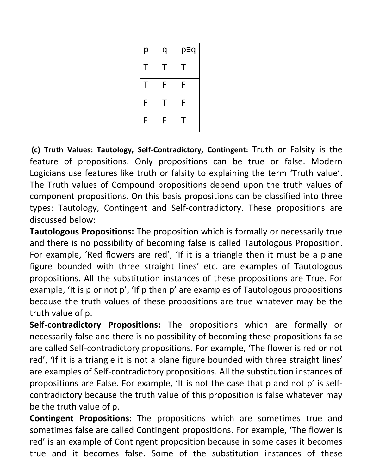| р | q | p≡q |
|---|---|-----|
| Τ | Τ | Τ   |
| Τ | F | F   |
| F | Τ | F   |
| F | F | T   |

 (c) Truth Values: Tautology, Self-Contradictory, Contingent: Truth or Falsity is the feature of propositions. Only propositions can be true or false. Modern Logicians use features like truth or falsity to explaining the term 'Truth value'. The Truth values of Compound propositions depend upon the truth values of component propositions. On this basis propositions can be classified into three types: Tautology, Contingent and Self-contradictory. These propositions are discussed below:

Tautologous Propositions: The proposition which is formally or necessarily true and there is no possibility of becoming false is called Tautologous Proposition. For example, 'Red flowers are red', 'If it is a triangle then it must be a plane figure bounded with three straight lines' etc. are examples of Tautologous propositions. All the substitution instances of these propositions are True. For example, 'It is p or not p', 'If p then p' are examples of Tautologous propositions because the truth values of these propositions are true whatever may be the truth value of p.

Self-contradictory Propositions: The propositions which are formally or necessarily false and there is no possibility of becoming these propositions false are called Self-contradictory propositions. For example, 'The flower is red or not red', 'If it is a triangle it is not a plane figure bounded with three straight lines' are examples of Self-contradictory propositions. All the substitution instances of propositions are False. For example, 'It is not the case that p and not p' is selfcontradictory because the truth value of this proposition is false whatever may be the truth value of p.

Contingent Propositions: The propositions which are sometimes true and sometimes false are called Contingent propositions. For example, 'The flower is red' is an example of Contingent proposition because in some cases it becomes true and it becomes false. Some of the substitution instances of these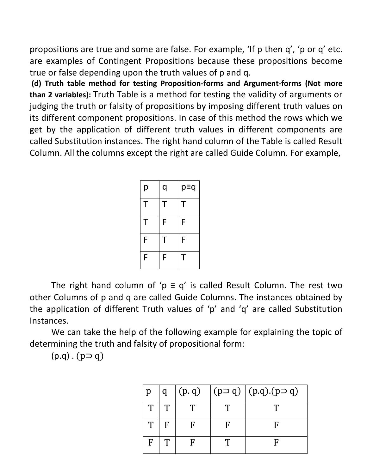propositions are true and some are false. For example, 'If p then q', 'p or q' etc. are examples of Contingent Propositions because these propositions become true or false depending upon the truth values of p and q.

 (d) Truth table method for testing Proposition-forms and Argument-forms (Not more than 2 variables): Truth Table is a method for testing the validity of arguments or judging the truth or falsity of propositions by imposing different truth values on its different component propositions. In case of this method the rows which we get by the application of different truth values in different components are called Substitution instances. The right hand column of the Table is called Result Column. All the columns except the right are called Guide Column. For example,

| р | q | p≡q |
|---|---|-----|
| Τ | T | Τ   |
| Τ | F | F   |
| F | т | F   |
| F | F |     |

The right hand column of ' $p \equiv q'$  is called Result Column. The rest two other Columns of p and q are called Guide Columns. The instances obtained by the application of different Truth values of 'p' and 'q' are called Substitution Instances.

 We can take the help of the following example for explaining the topic of determining the truth and falsity of propositional form:

 $(p.q)$ .  $(p\supset q)$ 

|   | U            | (p, q) | $(p \supset q)$ $(p \bigcup q) \bigcap (p \supset q)$ |
|---|--------------|--------|-------------------------------------------------------|
| T | Т            |        |                                                       |
| Т | $\mathbf{F}$ |        |                                                       |
| F |              |        |                                                       |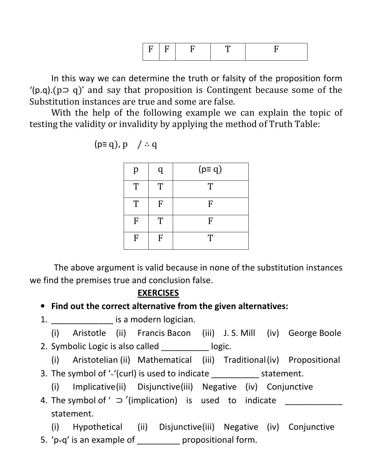|--|--|--|--|--|

In this way we can determine the truth or falsity of the proposition form  $'(p.q)(p \supset q)'$  and say that proposition is Contingent because some of the Substitution instances are true and some are false.

With the help of the following example we can explain the topic of testing the validity or invalidity by applying the method of Truth Table:

$$
(p \equiv q), p \quad / \therefore q
$$

| p | q | $(p \equiv q)$ |
|---|---|----------------|
| T | T | T              |
| T | F | F              |
| F | T | F              |
| F | F | T              |

The above argument is valid because in none of the substitution instances we find the premises true and conclusion false.

#### **EXERCISES**

• Find out the correct alternative from the given alternatives:

1. **Example 21.** is a modern logician.

(i) Aristotle (ii) Francis Bacon (iii) J. S. Mill (iv) George Boole 2. Symbolic Logic is also called \_\_\_\_\_\_\_\_\_\_ logic.

(i) Aristotelian (ii) Mathematical (iii) Traditional (iv) Propositional 3. The symbol of '~'(curl) is used to indicate \_\_\_\_\_\_\_\_\_\_ statement.

(i) Implicative (ii) Disjunctive (iii) Negative (iv) Conjunctive

4. The symbol of '  $\supset$  '(implication) is used to indicate statement.

(i) Hypothetical (ii) Disjunctive (iii) Negative (iv) Conjunctive 5. ' $p \vee q'$  is an example of \_\_\_\_\_\_\_\_\_\_ propositional form.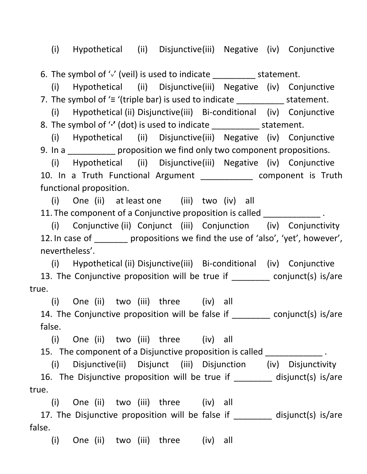(i) Hypothetical (ii) Disjunctive (iii) Negative (iv) Conjunctive

6. The symbol of  $\sqrt{'}$  (veil) is used to indicate statement.

 (i) Hypothetical (ii) Disjunctive (iii) Negative (iv) Conjunctive 7. The symbol of ' $\equiv$  '(triple bar) is used to indicate \_\_\_\_\_\_\_\_\_\_\_\_ statement.

 (i) Hypothetical (ii) Disjunctive (iii) Bi-conditional (iv) Conjunctive 8. The symbol of "' (dot) is used to indicate statement.

 (i) Hypothetical (ii) Disjunctive (iii) Negative (iv) Conjunctive 9. In a **proposition we find only two component propositions.** 

 (i) Hypothetical (ii) Disjunctive (iii) Negative (iv) Conjunctive 10. In a Truth Functional Argument \_\_\_\_\_\_\_\_\_\_\_ component is Truth functional proposition.

 (i) One (ii) at least one (iii) two (iv) all 11. The component of a Conjunctive proposition is called  $\qquad \qquad$ 

 (i) Conjunctive (ii) Conjunct (iii) Conjunction (iv) Conjunctivity 12. In case of propositions we find the use of 'also', 'yet', however', nevertheless'.

 (i) Hypothetical (ii) Disjunctive (iii) Bi-conditional (iv) Conjunctive 13. The Conjunctive proposition will be true if conjunct(s) is/are true.

 (i) One (ii) two (iii) three (iv) all 14. The Conjunctive proposition will be false if \_\_\_\_\_\_\_\_ conjunct(s) is/are false.

 (i) One (ii) two (iii) three (iv) all 15. The component of a Disjunctive proposition is called  $\blacksquare$ 

 (i) Disjunctive (ii) Disjunct (iii) Disjunction (iv) Disjunctivity 16. The Disjunctive proposition will be true if \_\_\_\_\_\_\_\_ disjunct(s) is/are true.

(i) One (ii) two (iii) three (iv) all

17. The Disjunctive proposition will be false if \_\_\_\_\_\_\_ disjunct(s) is/are false.

(i) One (ii) two (iii) three (iv) all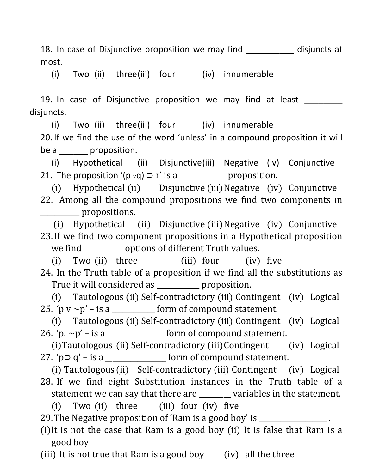18. In case of Disjunctive proposition we may find \_\_\_\_\_\_\_\_\_\_\_ disjuncts at most.

(i) Two (ii) three (iii) four (iv) innumerable

19. In case of Disjunctive proposition we may find at least disjuncts.

 (i) Two (ii) three (iii) four (iv) innumerable 20. If we find the use of the word 'unless' in a compound proposition it will be a comproposition.

 (i) Hypothetical (ii) Disjunctive (iii) Negative (iv) Conjunctive 21. The proposition '( $p \vee q$ )  $\supset r'$  is a \_\_\_\_\_\_\_\_\_\_\_\_ proposition.

 (i) Hypothetical (ii) Disjunctive (iii) Negative (iv) Conjunctive 22. Among all the compound propositions we find two components in \_\_\_\_\_\_\_\_\_\_\_ propositions. 

 (i) Hypothetical (ii) Disjunctive (iii) Negative (iv) Conjunctive 23. If we find two component propositions in a Hypothetical proposition we find \_\_\_\_\_\_\_\_\_\_\_\_ options of different Truth values.

(i) Two (ii) three (iii) four (iv) five 24. In the Truth table of a proposition if we find all the substitutions as True it will considered as \_\_\_\_\_\_\_\_\_ proposition.

 (i) Tautologous (ii) Self-contradictory (iii) Contingent (iv) Logical 25. 'p  $v \sim p'$  – is a \_\_\_\_\_\_\_\_\_\_\_ form of compound statement.

 (i) Tautologous (ii) Self-contradictory (iii) Contingent (iv) Logical 26. 'p.  $\sim$  p' – is a \_\_\_\_\_\_\_\_\_\_\_\_\_\_\_ form of compound statement.

 $(i)$ Tautologous  $(ii)$  Self-contradictory  $(iii)$  Contingent  $(iv)$  Logical 27. 'p  $\Box$  q' – is a \_\_\_\_\_\_\_\_\_\_\_\_\_\_\_\_\_\_\_\_ form of compound statement.

(i) Tautologous (ii) Self-contradictory (iii) Contingent (iv) Logical 28. If we find eight Substitution instances in the Truth table of a statement we can say that there are \_\_\_\_\_\_\_ variables in the statement. (i) Two  $(ii)$  three  $(iii)$  four  $(iv)$  five

29. The Negative proposition of 'Ram is a good boy' is \_\_\_\_\_\_\_\_\_\_\_\_\_\_\_\_.

(i)It is not the case that Ram is a good boy (ii) It is false that Ram is a good boy

(iii) It is not true that Ram is a good boy (iv) all the three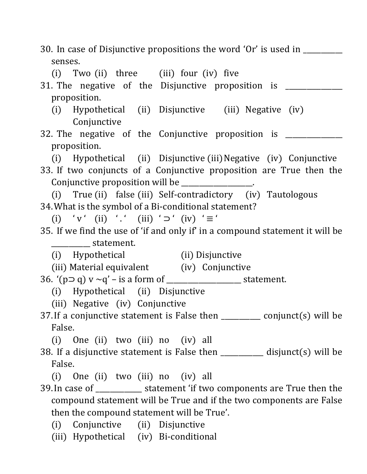| 30. In case of Disjunctive propositions the word 'Or' is used in _____                  |
|-----------------------------------------------------------------------------------------|
| senses.                                                                                 |
| (i) Two (ii) three (iii) four (iv) five                                                 |
| 31. The negative of the Disjunctive proposition is ______                               |
| proposition.                                                                            |
| (i) Hypothetical (ii) Disjunctive (iii) Negative (iv)                                   |
| Conjunctive                                                                             |
| 32. The negative of the Conjunctive proposition is ___________                          |
| proposition.                                                                            |
| (i) Hypothetical (ii) Disjunctive (iii) Negative (iv) Conjunctive                       |
| 33. If two conjuncts of a Conjunctive proposition are True then the                     |
| Conjunctive proposition will be ________________.                                       |
| (i) True (ii) false (iii) Self-contradictory (iv) Tautologous                           |
| 34. What is the symbol of a Bi-conditional statement?                                   |
| (i) 'v' (ii) '.' (iii) 'o' (iv) ' $\equiv$ '                                            |
| 35. If we find the use of 'if and only if' in a compound statement it will be           |
| _______________ statement.                                                              |
| (i) Hypothetical (ii) Disjunctive                                                       |
| (iii) Material equivalent (iv) Conjunctive                                              |
|                                                                                         |
| (i) Hypothetical (ii) Disjunctive                                                       |
| (iii) Negative (iv) Conjunctive                                                         |
| 37. If a conjunctive statement is False then $\frac{1}{\text{max}}$ conjunct(s) will be |
| False.                                                                                  |
| (i) One (ii) two (iii) no (iv) all                                                      |
| 38. If a disjunctive statement is False then $\frac{1}{\text{max}}$ disjunct(s) will be |
| False.                                                                                  |
| (i) One (ii) two (iii) no (iv) all                                                      |
|                                                                                         |
| 39. In case of _____________ statement 'if two components are True then the             |
| compound statement will be True and if the two components are False                     |
| then the compound statement will be True'.                                              |
| (i) Conjunctive (ii) Disjunctive                                                        |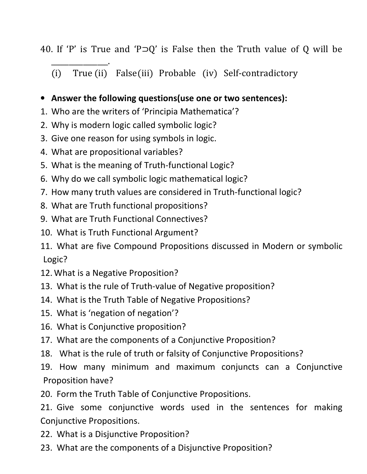40. If 'P' is True and 'P⊃Q' is False then the Truth value of Q will be

\_\_\_\_\_\_\_\_\_\_\_\_\_\_\_\_. (i) True (ii) False (iii) Probable (iv) Self-contradictory

## • Answer the following questions(use one or two sentences):

- 1. Who are the writers of 'Principia Mathematica'?
- 2. Why is modern logic called symbolic logic?
- 3. Give one reason for using symbols in logic.
- 4. What are propositional variables?
- 5. What is the meaning of Truth-functional Logic?
- 6. Why do we call symbolic logic mathematical logic?
- 7. How many truth values are considered in Truth-functional logic?
- 8. What are Truth functional propositions?
- 9. What are Truth Functional Connectives?
- 10. What is Truth Functional Argument?
- 11. What are five Compound Propositions discussed in Modern or symbolic Logic?
- 12. What is a Negative Proposition?
- 13. What is the rule of Truth-value of Negative proposition?
- 14. What is the Truth Table of Negative Propositions?
- 15. What is 'negation of negation'?
- 16. What is Conjunctive proposition?
- 17. What are the components of a Conjunctive Proposition?
- 18. What is the rule of truth or falsity of Conjunctive Propositions?

19. How many minimum and maximum conjuncts can a Conjunctive Proposition have?

20. Form the Truth Table of Conjunctive Propositions.

21. Give some conjunctive words used in the sentences for making Conjunctive Propositions.

- 22. What is a Disjunctive Proposition?
- 23. What are the components of a Disjunctive Proposition?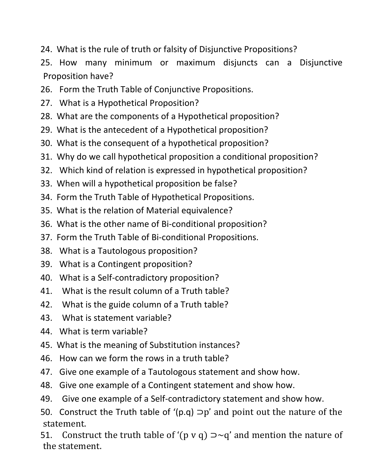- 24. What is the rule of truth or falsity of Disjunctive Propositions?
- 25. How many minimum or maximum disjuncts can a Disjunctive Proposition have?
- 26. Form the Truth Table of Conjunctive Propositions.
- 27. What is a Hypothetical Proposition?
- 28. What are the components of a Hypothetical proposition?
- 29. What is the antecedent of a Hypothetical proposition?
- 30. What is the consequent of a hypothetical proposition?
- 31. Why do we call hypothetical proposition a conditional proposition?
- 32. Which kind of relation is expressed in hypothetical proposition?
- 33. When will a hypothetical proposition be false?
- 34. Form the Truth Table of Hypothetical Propositions.
- 35. What is the relation of Material equivalence?
- 36. What is the other name of Bi-conditional proposition?
- 37. Form the Truth Table of Bi-conditional Propositions.
- 38. What is a Tautologous proposition?
- 39. What is a Contingent proposition?
- 40. What is a Self-contradictory proposition?
- 41. What is the result column of a Truth table?
- 42. What is the guide column of a Truth table?
- 43. What is statement variable?
- 44. What is term variable?
- 45. What is the meaning of Substitution instances?
- 46. How can we form the rows in a truth table?
- 47. Give one example of a Tautologous statement and show how.
- 48. Give one example of a Contingent statement and show how.
- 49. Give one example of a Self-contradictory statement and show how.
- 50. Construct the Truth table of '(p.q)  $\supset p'$  and point out the nature of the statement.
- 51. Construct the truth table of '(p v q)  $\Rightarrow$  q' and mention the nature of the statement.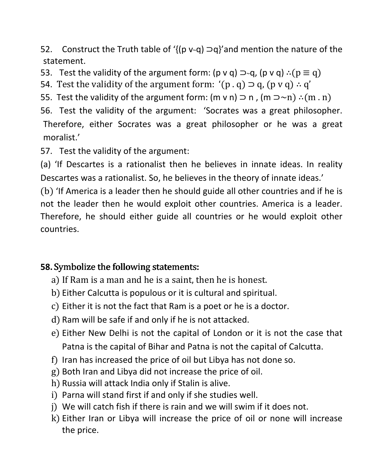52. Construct the Truth table of ' $\{ (p \vee q) \supset q \}$ 'and mention the nature of the statement.

53. Test the validity of the argument form: (p v q)  $\Rightarrow q$ , (p v q)  $\therefore$  (p  $\equiv q$ )

- 54. Test the validity of the argument form: '(p.q)  $\supset q$ , (p v q)  $\therefore q'$
- 55. Test the validity of the argument form: (m v n)  $\supset$  n, (m  $\supset$   $\sim$ n) ∴(m . n)

56. Test the validity of the argument: 'Socrates was a great philosopher. Therefore, either Socrates was a great philosopher or he was a great moralist.'

57. Test the validity of the argument:

(a) 'If Descartes is a rationalist then he believes in innate ideas. In reality Descartes was a rationalist. So, he believes in the theory of innate ideas.'

(b) 'If America is a leader then he should guide all other countries and if he is not the leader then he would exploit other countries. America is a leader. Therefore, he should either guide all countries or he would exploit other countries.

## 58. Symbolize the following statements:

- a) If Ram is a man and he is a saint, then he is honest.
- b) Either Calcutta is populous or it is cultural and spiritual.
- c) Either it is not the fact that Ram is a poet or he is a doctor.
- d) Ram will be safe if and only if he is not attacked.
- e) Either New Delhi is not the capital of London or it is not the case that Patna is the capital of Bihar and Patna is not the capital of Calcutta.
- f) Iran has increased the price of oil but Libya has not done so.
- g) Both Iran and Libya did not increase the price of oil.
- h) Russia will attack India only if Stalin is alive.
- i) Parna will stand first if and only if she studies well.
- j) We will catch fish if there is rain and we will swim if it does not.
- k) Either Iran or Libya will increase the price of oil or none will increase the price.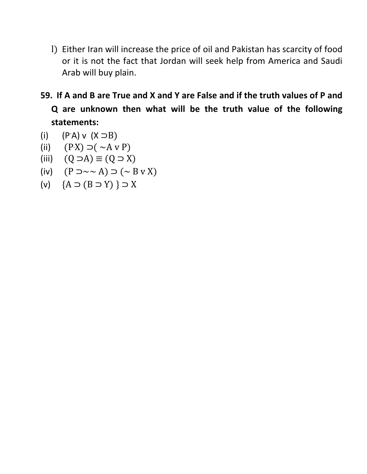- l) Either Iran will increase the price of oil and Pakistan has scarcity of food or it is not the fact that Jordan will seek help from America and Saudi Arab will buy plain.
- 59. If A and B are True and X and Y are False and if the truth values of P and Q are unknown then what will be the truth value of the following statements:
- (i)  $(P'A) \vee (X ⊃ B)$
- (ii)  $(PX) \supset (\sim A \vee P)$
- (iii)  $(Q \supset A) \equiv (Q \supset X)$
- (iv)  $(P \supset \sim \sim A) \supset (\sim B \text{ v } X)$
- (v)  ${A \supset (B \supset Y)} \supset X$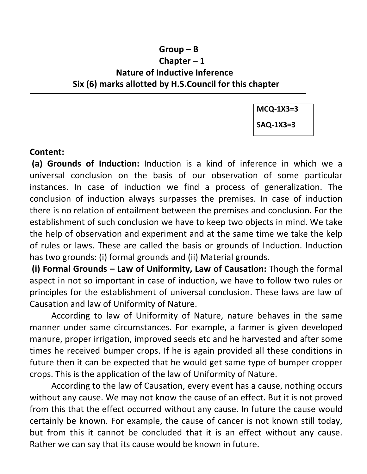## Group – B Chapter – 1 Nature of Inductive Inference Six (6) marks allotted by H.S.Council for this chapter

 $\overline{\phantom{a}}$  , and the contribution of the contribution of  $\overline{\phantom{a}}$ 

MCQ-1X3=3

SAQ-1X3=3

#### Content:

 (a) Grounds of Induction: Induction is a kind of inference in which we a universal conclusion on the basis of our observation of some particular instances. In case of induction we find a process of generalization. The conclusion of induction always surpasses the premises. In case of induction there is no relation of entailment between the premises and conclusion. For the establishment of such conclusion we have to keep two objects in mind. We take the help of observation and experiment and at the same time we take the kelp of rules or laws. These are called the basis or grounds of Induction. Induction has two grounds: (i) formal grounds and (ii) Material grounds.

 (i) Formal Grounds – Law of Uniformity, Law of Causation: Though the formal aspect in not so important in case of induction, we have to follow two rules or principles for the establishment of universal conclusion. These laws are law of Causation and law of Uniformity of Nature.

 According to law of Uniformity of Nature, nature behaves in the same manner under same circumstances. For example, a farmer is given developed manure, proper irrigation, improved seeds etc and he harvested and after some times he received bumper crops. If he is again provided all these conditions in future then it can be expected that he would get same type of bumper cropper crops. This is the application of the law of Uniformity of Nature.

 According to the law of Causation, every event has a cause, nothing occurs without any cause. We may not know the cause of an effect. But it is not proved from this that the effect occurred without any cause. In future the cause would certainly be known. For example, the cause of cancer is not known still today, but from this it cannot be concluded that it is an effect without any cause. Rather we can say that its cause would be known in future.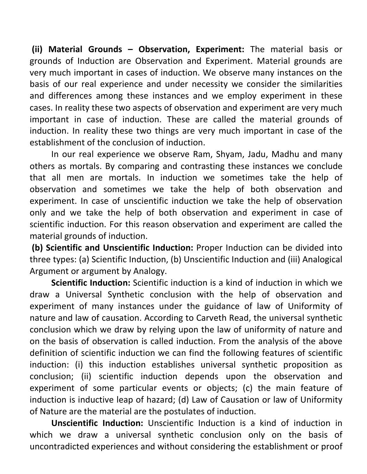(ii) Material Grounds – Observation, Experiment: The material basis or grounds of Induction are Observation and Experiment. Material grounds are very much important in cases of induction. We observe many instances on the basis of our real experience and under necessity we consider the similarities and differences among these instances and we employ experiment in these cases. In reality these two aspects of observation and experiment are very much important in case of induction. These are called the material grounds of induction. In reality these two things are very much important in case of the establishment of the conclusion of induction.

 In our real experience we observe Ram, Shyam, Jadu, Madhu and many others as mortals. By comparing and contrasting these instances we conclude that all men are mortals. In induction we sometimes take the help of observation and sometimes we take the help of both observation and experiment. In case of unscientific induction we take the help of observation only and we take the help of both observation and experiment in case of scientific induction. For this reason observation and experiment are called the material grounds of induction.

 (b) Scientific and Unscientific Induction: Proper Induction can be divided into three types: (a) Scientific Induction, (b) Unscientific Induction and (iii) Analogical Argument or argument by Analogy.

Scientific Induction: Scientific induction is a kind of induction in which we draw a Universal Synthetic conclusion with the help of observation and experiment of many instances under the guidance of law of Uniformity of nature and law of causation. According to Carveth Read, the universal synthetic conclusion which we draw by relying upon the law of uniformity of nature and on the basis of observation is called induction. From the analysis of the above definition of scientific induction we can find the following features of scientific induction: (i) this induction establishes universal synthetic proposition as conclusion; (ii) scientific induction depends upon the observation and experiment of some particular events or objects; (c) the main feature of induction is inductive leap of hazard; (d) Law of Causation or law of Uniformity of Nature are the material are the postulates of induction.

Unscientific Induction: Unscientific Induction is a kind of induction in which we draw a universal synthetic conclusion only on the basis of uncontradicted experiences and without considering the establishment or proof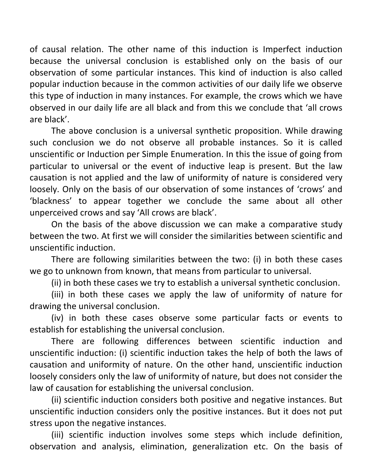of causal relation. The other name of this induction is Imperfect induction because the universal conclusion is established only on the basis of our observation of some particular instances. This kind of induction is also called popular induction because in the common activities of our daily life we observe this type of induction in many instances. For example, the crows which we have observed in our daily life are all black and from this we conclude that 'all crows are black'.

 The above conclusion is a universal synthetic proposition. While drawing such conclusion we do not observe all probable instances. So it is called unscientific or Induction per Simple Enumeration. In this the issue of going from particular to universal or the event of inductive leap is present. But the law causation is not applied and the law of uniformity of nature is considered very loosely. Only on the basis of our observation of some instances of 'crows' and 'blackness' to appear together we conclude the same about all other unperceived crows and say 'All crows are black'.

 On the basis of the above discussion we can make a comparative study between the two. At first we will consider the similarities between scientific and unscientific induction.

 There are following similarities between the two: (i) in both these cases we go to unknown from known, that means from particular to universal.

(ii) in both these cases we try to establish a universal synthetic conclusion.

 (iii) in both these cases we apply the law of uniformity of nature for drawing the universal conclusion.

 (iv) in both these cases observe some particular facts or events to establish for establishing the universal conclusion.

 There are following differences between scientific induction and unscientific induction: (i) scientific induction takes the help of both the laws of causation and uniformity of nature. On the other hand, unscientific induction loosely considers only the law of uniformity of nature, but does not consider the law of causation for establishing the universal conclusion.

 (ii) scientific induction considers both positive and negative instances. But unscientific induction considers only the positive instances. But it does not put stress upon the negative instances.

 (iii) scientific induction involves some steps which include definition, observation and analysis, elimination, generalization etc. On the basis of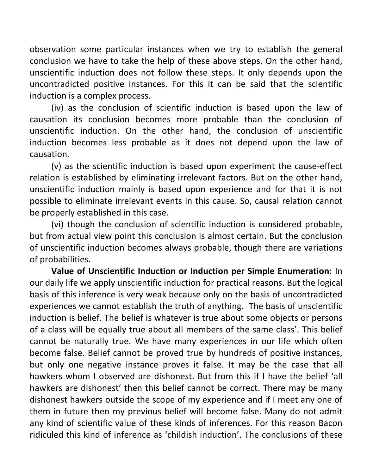observation some particular instances when we try to establish the general conclusion we have to take the help of these above steps. On the other hand, unscientific induction does not follow these steps. It only depends upon the uncontradicted positive instances. For this it can be said that the scientific induction is a complex process.

(iv) as the conclusion of scientific induction is based upon the law of causation its conclusion becomes more probable than the conclusion of unscientific induction. On the other hand, the conclusion of unscientific induction becomes less probable as it does not depend upon the law of causation.

(v) as the scientific induction is based upon experiment the cause-effect relation is established by eliminating irrelevant factors. But on the other hand, unscientific induction mainly is based upon experience and for that it is not possible to eliminate irrelevant events in this cause. So, causal relation cannot be properly established in this case.

(vi) though the conclusion of scientific induction is considered probable, but from actual view point this conclusion is almost certain. But the conclusion of unscientific induction becomes always probable, though there are variations of probabilities.

Value of Unscientific Induction or Induction per Simple Enumeration: In our daily life we apply unscientific induction for practical reasons. But the logical basis of this inference is very weak because only on the basis of uncontradicted experiences we cannot establish the truth of anything. The basis of unscientific induction is belief. The belief is whatever is true about some objects or persons of a class will be equally true about all members of the same class'. This belief cannot be naturally true. We have many experiences in our life which often become false. Belief cannot be proved true by hundreds of positive instances, but only one negative instance proves it false. It may be the case that all hawkers whom I observed are dishonest. But from this if I have the belief 'all hawkers are dishonest' then this belief cannot be correct. There may be many dishonest hawkers outside the scope of my experience and if I meet any one of them in future then my previous belief will become false. Many do not admit any kind of scientific value of these kinds of inferences. For this reason Bacon ridiculed this kind of inference as 'childish induction'. The conclusions of these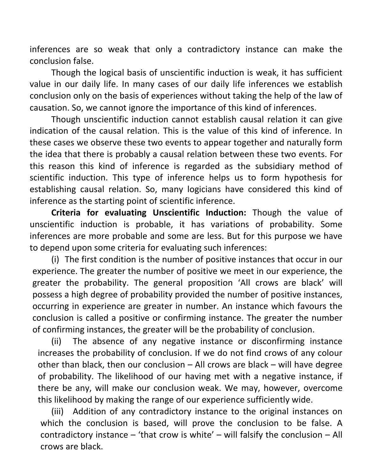inferences are so weak that only a contradictory instance can make the conclusion false.

Though the logical basis of unscientific induction is weak, it has sufficient value in our daily life. In many cases of our daily life inferences we establish conclusion only on the basis of experiences without taking the help of the law of causation. So, we cannot ignore the importance of this kind of inferences.

Though unscientific induction cannot establish causal relation it can give indication of the causal relation. This is the value of this kind of inference. In these cases we observe these two events to appear together and naturally form the idea that there is probably a causal relation between these two events. For this reason this kind of inference is regarded as the subsidiary method of scientific induction. This type of inference helps us to form hypothesis for establishing causal relation. So, many logicians have considered this kind of inference as the starting point of scientific inference.

Criteria for evaluating Unscientific Induction: Though the value of unscientific induction is probable, it has variations of probability. Some inferences are more probable and some are less. But for this purpose we have to depend upon some criteria for evaluating such inferences:

(i) The first condition is the number of positive instances that occur in our experience. The greater the number of positive we meet in our experience, the greater the probability. The general proposition 'All crows are black' will possess a high degree of probability provided the number of positive instances, occurring in experience are greater in number. An instance which favours the conclusion is called a positive or confirming instance. The greater the number of confirming instances, the greater will be the probability of conclusion.

(ii) The absence of any negative instance or disconfirming instance increases the probability of conclusion. If we do not find crows of any colour other than black, then our conclusion – All crows are black – will have degree of probability. The likelihood of our having met with a negative instance, if there be any, will make our conclusion weak. We may, however, overcome this likelihood by making the range of our experience sufficiently wide.

(iii) Addition of any contradictory instance to the original instances on which the conclusion is based, will prove the conclusion to be false. A contradictory instance – 'that crow is white' – will falsify the conclusion – All crows are black.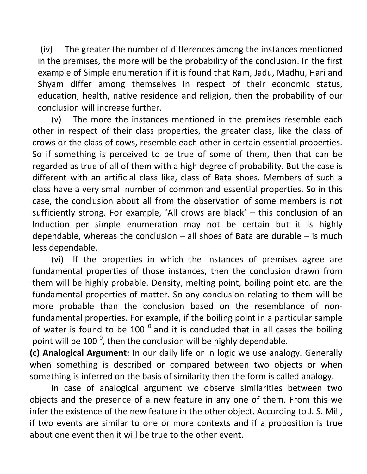(iv) The greater the number of differences among the instances mentioned in the premises, the more will be the probability of the conclusion. In the first example of Simple enumeration if it is found that Ram, Jadu, Madhu, Hari and Shyam differ among themselves in respect of their economic status, education, health, native residence and religion, then the probability of our conclusion will increase further.

(v) The more the instances mentioned in the premises resemble each other in respect of their class properties, the greater class, like the class of crows or the class of cows, resemble each other in certain essential properties. So if something is perceived to be true of some of them, then that can be regarded as true of all of them with a high degree of probability. But the case is different with an artificial class like, class of Bata shoes. Members of such a class have a very small number of common and essential properties. So in this case, the conclusion about all from the observation of some members is not sufficiently strong. For example, 'All crows are black' – this conclusion of an Induction per simple enumeration may not be certain but it is highly dependable, whereas the conclusion  $-$  all shoes of Bata are durable  $-$  is much less dependable.

(vi) If the properties in which the instances of premises agree are fundamental properties of those instances, then the conclusion drawn from them will be highly probable. Density, melting point, boiling point etc. are the fundamental properties of matter. So any conclusion relating to them will be more probable than the conclusion based on the resemblance of nonfundamental properties. For example, if the boiling point in a particular sample of water is found to be 100 $^{\circ}$  and it is concluded that in all cases the boiling point will be 100  $^0$ , then the conclusion will be highly dependable.

(c) Analogical Argument: In our daily life or in logic we use analogy. Generally when something is described or compared between two objects or when something is inferred on the basis of similarity then the form is called analogy.

 In case of analogical argument we observe similarities between two objects and the presence of a new feature in any one of them. From this we infer the existence of the new feature in the other object. According to J. S. Mill, if two events are similar to one or more contexts and if a proposition is true about one event then it will be true to the other event.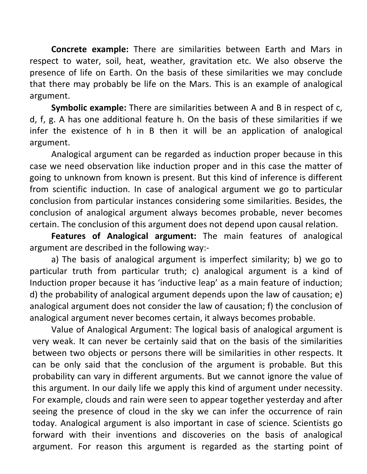Concrete example: There are similarities between Earth and Mars in respect to water, soil, heat, weather, gravitation etc. We also observe the presence of life on Earth. On the basis of these similarities we may conclude that there may probably be life on the Mars. This is an example of analogical argument.

Symbolic example: There are similarities between A and B in respect of c, d, f, g. A has one additional feature h. On the basis of these similarities if we infer the existence of h in B then it will be an application of analogical argument.

Analogical argument can be regarded as induction proper because in this case we need observation like induction proper and in this case the matter of going to unknown from known is present. But this kind of inference is different from scientific induction. In case of analogical argument we go to particular conclusion from particular instances considering some similarities. Besides, the conclusion of analogical argument always becomes probable, never becomes certain. The conclusion of this argument does not depend upon causal relation.

Features of Analogical argument: The main features of analogical argument are described in the following way:-

a) The basis of analogical argument is imperfect similarity; b) we go to particular truth from particular truth; c) analogical argument is a kind of Induction proper because it has 'inductive leap' as a main feature of induction; d) the probability of analogical argument depends upon the law of causation; e) analogical argument does not consider the law of causation; f) the conclusion of analogical argument never becomes certain, it always becomes probable.

Value of Analogical Argument: The logical basis of analogical argument is very weak. It can never be certainly said that on the basis of the similarities between two objects or persons there will be similarities in other respects. It can be only said that the conclusion of the argument is probable. But this probability can vary in different arguments. But we cannot ignore the value of this argument. In our daily life we apply this kind of argument under necessity. For example, clouds and rain were seen to appear together yesterday and after seeing the presence of cloud in the sky we can infer the occurrence of rain today. Analogical argument is also important in case of science. Scientists go forward with their inventions and discoveries on the basis of analogical argument. For reason this argument is regarded as the starting point of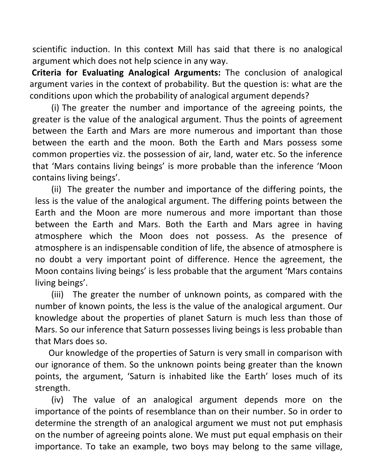scientific induction. In this context Mill has said that there is no analogical argument which does not help science in any way.

 Criteria for Evaluating Analogical Arguments: The conclusion of analogical argument varies in the context of probability. But the question is: what are the conditions upon which the probability of analogical argument depends?

(i) The greater the number and importance of the agreeing points, the greater is the value of the analogical argument. Thus the points of agreement between the Earth and Mars are more numerous and important than those between the earth and the moon. Both the Earth and Mars possess some common properties viz. the possession of air, land, water etc. So the inference that 'Mars contains living beings' is more probable than the inference 'Moon contains living beings'.

(ii) The greater the number and importance of the differing points, the less is the value of the analogical argument. The differing points between the Earth and the Moon are more numerous and more important than those between the Earth and Mars. Both the Earth and Mars agree in having atmosphere which the Moon does not possess. As the presence of atmosphere is an indispensable condition of life, the absence of atmosphere is no doubt a very important point of difference. Hence the agreement, the Moon contains living beings' is less probable that the argument 'Mars contains living beings'.

(iii) The greater the number of unknown points, as compared with the number of known points, the less is the value of the analogical argument. Our knowledge about the properties of planet Saturn is much less than those of Mars. So our inference that Saturn possesses living beings is less probable than that Mars does so.

Our knowledge of the properties of Saturn is very small in comparison with our ignorance of them. So the unknown points being greater than the known points, the argument, 'Saturn is inhabited like the Earth' loses much of its strength.

(iv) The value of an analogical argument depends more on the importance of the points of resemblance than on their number. So in order to determine the strength of an analogical argument we must not put emphasis on the number of agreeing points alone. We must put equal emphasis on their importance. To take an example, two boys may belong to the same village,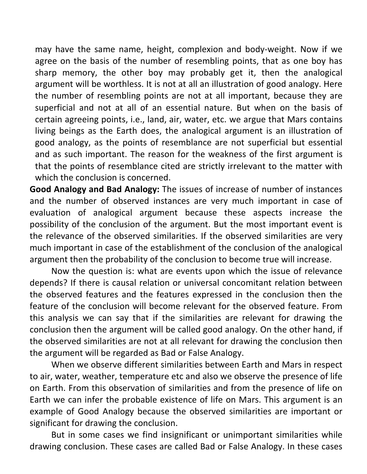may have the same name, height, complexion and body-weight. Now if we agree on the basis of the number of resembling points, that as one boy has sharp memory, the other boy may probably get it, then the analogical argument will be worthless. It is not at all an illustration of good analogy. Here the number of resembling points are not at all important, because they are superficial and not at all of an essential nature. But when on the basis of certain agreeing points, i.e., land, air, water, etc. we argue that Mars contains living beings as the Earth does, the analogical argument is an illustration of good analogy, as the points of resemblance are not superficial but essential and as such important. The reason for the weakness of the first argument is that the points of resemblance cited are strictly irrelevant to the matter with which the conclusion is concerned.

Good Analogy and Bad Analogy: The issues of increase of number of instances and the number of observed instances are very much important in case of evaluation of analogical argument because these aspects increase the possibility of the conclusion of the argument. But the most important event is the relevance of the observed similarities. If the observed similarities are very much important in case of the establishment of the conclusion of the analogical argument then the probability of the conclusion to become true will increase.

 Now the question is: what are events upon which the issue of relevance depends? If there is causal relation or universal concomitant relation between the observed features and the features expressed in the conclusion then the feature of the conclusion will become relevant for the observed feature. From this analysis we can say that if the similarities are relevant for drawing the conclusion then the argument will be called good analogy. On the other hand, if the observed similarities are not at all relevant for drawing the conclusion then the argument will be regarded as Bad or False Analogy.

 When we observe different similarities between Earth and Mars in respect to air, water, weather, temperature etc and also we observe the presence of life on Earth. From this observation of similarities and from the presence of life on Earth we can infer the probable existence of life on Mars. This argument is an example of Good Analogy because the observed similarities are important or significant for drawing the conclusion.

 But in some cases we find insignificant or unimportant similarities while drawing conclusion. These cases are called Bad or False Analogy. In these cases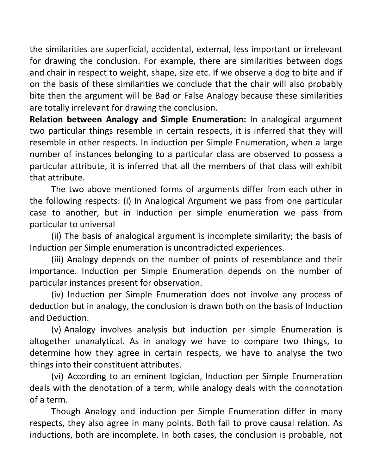the similarities are superficial, accidental, external, less important or irrelevant for drawing the conclusion. For example, there are similarities between dogs and chair in respect to weight, shape, size etc. If we observe a dog to bite and if on the basis of these similarities we conclude that the chair will also probably bite then the argument will be Bad or False Analogy because these similarities are totally irrelevant for drawing the conclusion.

Relation between Analogy and Simple Enumeration: In analogical argument two particular things resemble in certain respects, it is inferred that they will resemble in other respects. In induction per Simple Enumeration, when a large number of instances belonging to a particular class are observed to possess a particular attribute, it is inferred that all the members of that class will exhibit that attribute.

 The two above mentioned forms of arguments differ from each other in the following respects: (i) In Analogical Argument we pass from one particular case to another, but in Induction per simple enumeration we pass from particular to universal

 (ii) The basis of analogical argument is incomplete similarity; the basis of Induction per Simple enumeration is uncontradicted experiences.

 (iii) Analogy depends on the number of points of resemblance and their importance. Induction per Simple Enumeration depends on the number of particular instances present for observation.

(iv) Induction per Simple Enumeration does not involve any process of deduction but in analogy, the conclusion is drawn both on the basis of Induction and Deduction.

(v) Analogy involves analysis but induction per simple Enumeration is altogether unanalytical. As in analogy we have to compare two things, to determine how they agree in certain respects, we have to analyse the two things into their constituent attributes.

(vi) According to an eminent logician, Induction per Simple Enumeration deals with the denotation of a term, while analogy deals with the connotation of a term.

Though Analogy and induction per Simple Enumeration differ in many respects, they also agree in many points. Both fail to prove causal relation. As inductions, both are incomplete. In both cases, the conclusion is probable, not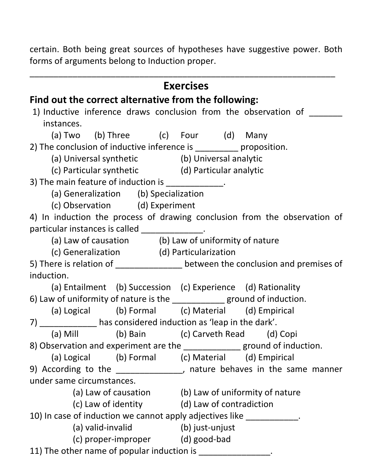certain. Both being great sources of hypotheses have suggestive power. Both forms of arguments belong to Induction proper.

|                                                                          |                                                              | <b>Exercises</b> |                                                                                |
|--------------------------------------------------------------------------|--------------------------------------------------------------|------------------|--------------------------------------------------------------------------------|
| Find out the correct alternative from the following:                     |                                                              |                  |                                                                                |
|                                                                          |                                                              |                  | 1) Inductive inference draws conclusion from the observation of                |
| instances.                                                               |                                                              |                  |                                                                                |
|                                                                          | (a) Two (b) Three (c) Four (d) Many                          |                  |                                                                                |
| 2) The conclusion of inductive inference is __________ proposition.      |                                                              |                  |                                                                                |
|                                                                          | (a) Universal synthetic (b) Universal analytic               |                  |                                                                                |
|                                                                          | (c) Particular synthetic (d) Particular analytic             |                  |                                                                                |
| 3) The main feature of induction is _____________.                       |                                                              |                  |                                                                                |
|                                                                          | (a) Generalization (b) Specialization                        |                  |                                                                                |
|                                                                          | (c) Observation (d) Experiment                               |                  |                                                                                |
|                                                                          |                                                              |                  | 4) In induction the process of drawing conclusion from the observation of      |
| particular instances is called ______________.                           |                                                              |                  |                                                                                |
|                                                                          | (a) Law of causation (b) Law of uniformity of nature         |                  |                                                                                |
|                                                                          | (c) Generalization (d) Particularization                     |                  |                                                                                |
|                                                                          |                                                              |                  | 5) There is relation of _______________ between the conclusion and premises of |
| induction.                                                               |                                                              |                  |                                                                                |
|                                                                          | (a) Entailment (b) Succession (c) Experience (d) Rationality |                  |                                                                                |
| 6) Law of uniformity of nature is the _____________ ground of induction. |                                                              |                  |                                                                                |
|                                                                          | (a) Logical (b) Formal (c) Material (d) Empirical            |                  |                                                                                |
| 7) _______________ has considered induction as 'leap in the dark'.       |                                                              |                  |                                                                                |
|                                                                          | (a) Mill (b) Bain (c) Carveth Read (d) Copi                  |                  |                                                                                |
|                                                                          |                                                              |                  | 8) Observation and experiment are the ______________ ground of induction.      |
|                                                                          | (a) Logical (b) Formal (c) Material (d) Empirical            |                  |                                                                                |
|                                                                          |                                                              |                  | 9) According to the _______________, nature behaves in the same manner         |
| under same circumstances.                                                |                                                              |                  |                                                                                |
|                                                                          | (a) Law of causation (b) Law of uniformity of nature         |                  |                                                                                |
|                                                                          | (c) Law of identity (d) Law of contradiction                 |                  |                                                                                |
| 10) In case of induction we cannot apply adjectives like ____________.   |                                                              |                  |                                                                                |
|                                                                          | (a) valid-invalid (b) just-unjust                            |                  |                                                                                |
|                                                                          | (c) proper-improper (d) good-bad                             |                  |                                                                                |
| 11) The other name of popular induction is _________________.            |                                                              |                  |                                                                                |
|                                                                          |                                                              |                  |                                                                                |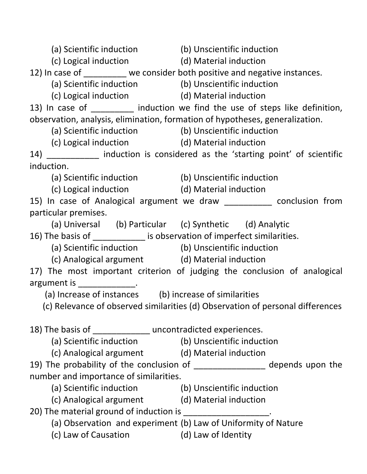| (a) Scientific induction (b) Unscientific induction                          |                                                                                |
|------------------------------------------------------------------------------|--------------------------------------------------------------------------------|
| (c) Logical induction (d) Material induction                                 |                                                                                |
| 12) In case of ________ we consider both positive and negative instances.    |                                                                                |
| (a) Scientific induction (b) Unscientific induction                          |                                                                                |
| (c) Logical induction (d) Material induction                                 |                                                                                |
|                                                                              | 13) In case of _________ induction we find the use of steps like definition,   |
| observation, analysis, elimination, formation of hypotheses, generalization. |                                                                                |
| (a) Scientific induction (b) Unscientific induction                          |                                                                                |
| (c) Logical induction (d) Material induction                                 |                                                                                |
|                                                                              | 14) ____________ induction is considered as the 'starting point' of scientific |
| induction.                                                                   |                                                                                |
| (a) Scientific induction (b) Unscientific induction                          |                                                                                |
| (c) Logical induction (d) Material induction                                 |                                                                                |
|                                                                              | 15) In case of Analogical argument we draw ___________ conclusion from         |
| particular premises.                                                         |                                                                                |
| (a) Universal (b) Particular (c) Synthetic (d) Analytic                      |                                                                                |
| 16) The basis of _____________ is observation of imperfect similarities.     |                                                                                |
| (a) Scientific induction (b) Unscientific induction                          |                                                                                |
| (c) Analogical argument (d) Material induction                               |                                                                                |
|                                                                              | 17) The most important criterion of judging the conclusion of analogical       |
| argument is ______________.                                                  |                                                                                |
| (a) Increase of instances (b) increase of similarities                       |                                                                                |
|                                                                              | (c) Relevance of observed similarities (d) Observation of personal differences |
|                                                                              |                                                                                |
| 18) The basis of _______________ uncontradicted experiences.                 |                                                                                |
| (a) Scientific induction (b) Unscientific induction                          |                                                                                |
| (c) Analogical argument (d) Material induction                               |                                                                                |
|                                                                              | 19) The probability of the conclusion of _______________ depends upon the      |
| number and importance of similarities.                                       |                                                                                |
| (a) Scientific induction (b) Unscientific induction                          |                                                                                |
| (c) Analogical argument (d) Material induction                               |                                                                                |
| 20) The material ground of induction is ____________________.                |                                                                                |
| (a) Observation and experiment (b) Law of Uniformity of Nature               |                                                                                |
| (c) Law of Causation (d) Law of Identity                                     |                                                                                |
|                                                                              |                                                                                |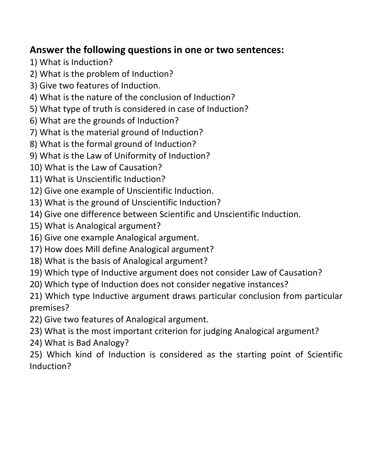# Answer the following questions in one or two sentences:

- 1) What is Induction?
- 2) What is the problem of Induction?
- 3) Give two features of Induction.
- 4) What is the nature of the conclusion of Induction?
- 5) What type of truth is considered in case of Induction?
- 6) What are the grounds of Induction?
- 7) What is the material ground of Induction?
- 8) What is the formal ground of Induction?
- 9) What is the Law of Uniformity of Induction?
- 10) What is the Law of Causation?
- 11) What is Unscientific Induction?
- 12) Give one example of Unscientific Induction.
- 13) What is the ground of Unscientific Induction?
- 14) Give one difference between Scientific and Unscientific Induction.
- 15) What is Analogical argument?
- 16) Give one example Analogical argument.
- 17) How does Mill define Analogical argument?
- 18) What is the basis of Analogical argument?
- 19) Which type of Inductive argument does not consider Law of Causation?
- 20) Which type of Induction does not consider negative instances?
- 21) Which type Inductive argument draws particular conclusion from particular premises?
- 22) Give two features of Analogical argument.
- 23) What is the most important criterion for judging Analogical argument?
- 24) What is Bad Analogy?
- 25) Which kind of Induction is considered as the starting point of Scientific Induction?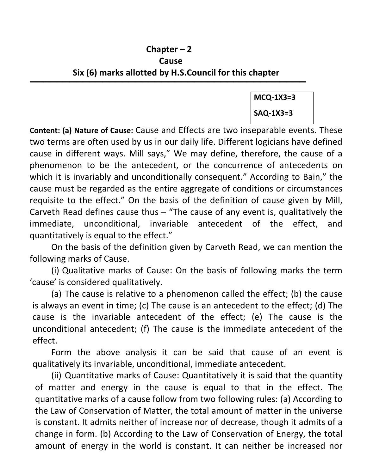## Chapter – 2 Cause Six (6) marks allotted by H.S.Council for this chapter

 $\overline{\phantom{a}}$  , and the contract of the contract of the contract of the contract of the contract of the contract of the contract of the contract of the contract of the contract of the contract of the contract of the contrac

MCQ-1X3=3 SAQ-1X3=3

Content: (a) Nature of Cause: Cause and Effects are two inseparable events. These two terms are often used by us in our daily life. Different logicians have defined cause in different ways. Mill says," We may define, therefore, the cause of a phenomenon to be the antecedent, or the concurrence of antecedents on which it is invariably and unconditionally consequent." According to Bain," the cause must be regarded as the entire aggregate of conditions or circumstances requisite to the effect." On the basis of the definition of cause given by Mill, Carveth Read defines cause thus  $-$  "The cause of any event is, qualitatively the immediate, unconditional, invariable antecedent of the effect, and quantitatively is equal to the effect."

 On the basis of the definition given by Carveth Read, we can mention the following marks of Cause.

(i) Qualitative marks of Cause: On the basis of following marks the term 'cause' is considered qualitatively.

(a) The cause is relative to a phenomenon called the effect; (b) the cause is always an event in time; (c) The cause is an antecedent to the effect; (d) The cause is the invariable antecedent of the effect; (e) The cause is the unconditional antecedent; (f) The cause is the immediate antecedent of the effect.

Form the above analysis it can be said that cause of an event is qualitatively its invariable, unconditional, immediate antecedent.

(ii) Quantitative marks of Cause: Quantitatively it is said that the quantity of matter and energy in the cause is equal to that in the effect. The quantitative marks of a cause follow from two following rules: (a) According to the Law of Conservation of Matter, the total amount of matter in the universe is constant. It admits neither of increase nor of decrease, though it admits of a change in form. (b) According to the Law of Conservation of Energy, the total amount of energy in the world is constant. It can neither be increased nor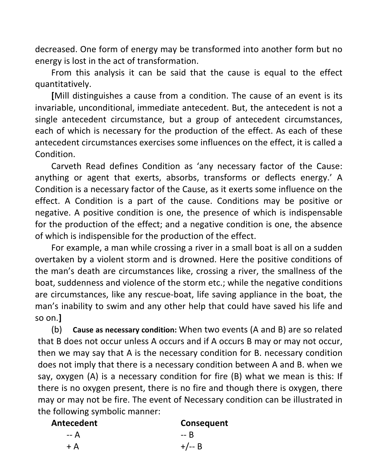decreased. One form of energy may be transformed into another form but no energy is lost in the act of transformation.

From this analysis it can be said that the cause is equal to the effect quantitatively.

[Mill distinguishes a cause from a condition. The cause of an event is its invariable, unconditional, immediate antecedent. But, the antecedent is not a single antecedent circumstance, but a group of antecedent circumstances, each of which is necessary for the production of the effect. As each of these antecedent circumstances exercises some influences on the effect, it is called a Condition.

Carveth Read defines Condition as 'any necessary factor of the Cause: anything or agent that exerts, absorbs, transforms or deflects energy.' A Condition is a necessary factor of the Cause, as it exerts some influence on the effect. A Condition is a part of the cause. Conditions may be positive or negative. A positive condition is one, the presence of which is indispensable for the production of the effect; and a negative condition is one, the absence of which is indispensible for the production of the effect.

For example, a man while crossing a river in a small boat is all on a sudden overtaken by a violent storm and is drowned. Here the positive conditions of the man's death are circumstances like, crossing a river, the smallness of the boat, suddenness and violence of the storm etc.; while the negative conditions are circumstances, like any rescue-boat, life saving appliance in the boat, the man's inability to swim and any other help that could have saved his life and so on.]

(b) Cause as necessary condition: When two events (A and B) are so related that B does not occur unless A occurs and if A occurs B may or may not occur, then we may say that A is the necessary condition for B. necessary condition does not imply that there is a necessary condition between A and B. when we say, oxygen (A) is a necessary condition for fire (B) what we mean is this: If there is no oxygen present, there is no fire and though there is oxygen, there may or may not be fire. The event of Necessary condition can be illustrated in the following symbolic manner:

| Antecedent | Consequent |
|------------|------------|
| -- A       | -- R       |
| $+ A$      | $+/-$ B    |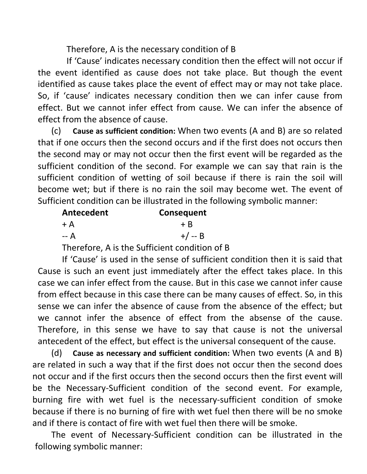Therefore, A is the necessary condition of B

If 'Cause' indicates necessary condition then the effect will not occur if the event identified as cause does not take place. But though the event identified as cause takes place the event of effect may or may not take place. So, if 'cause' indicates necessary condition then we can infer cause from effect. But we cannot infer effect from cause. We can infer the absence of effect from the absence of cause.

(c) Cause as sufficient condition: When two events (A and B) are so related that if one occurs then the second occurs and if the first does not occurs then the second may or may not occur then the first event will be regarded as the sufficient condition of the second. For example we can say that rain is the sufficient condition of wetting of soil because if there is rain the soil will become wet; but if there is no rain the soil may become wet. The event of Sufficient condition can be illustrated in the following symbolic manner:

| Consequent |
|------------|
| $+ B$      |
| $+/- B$    |
|            |

Therefore, A is the Sufficient condition of B

If 'Cause' is used in the sense of sufficient condition then it is said that Cause is such an event just immediately after the effect takes place. In this case we can infer effect from the cause. But in this case we cannot infer cause from effect because in this case there can be many causes of effect. So, in this sense we can infer the absence of cause from the absence of the effect; but we cannot infer the absence of effect from the absense of the cause. Therefore, in this sense we have to say that cause is not the universal antecedent of the effect, but effect is the universal consequent of the cause.

(d) Cause as necessary and sufficient condition: When two events (A and B) are related in such a way that if the first does not occur then the second does not occur and if the first occurs then the second occurs then the first event will be the Necessary-Sufficient condition of the second event. For example, burning fire with wet fuel is the necessary-sufficient condition of smoke because if there is no burning of fire with wet fuel then there will be no smoke and if there is contact of fire with wet fuel then there will be smoke.

The event of Necessary-Sufficient condition can be illustrated in the following symbolic manner: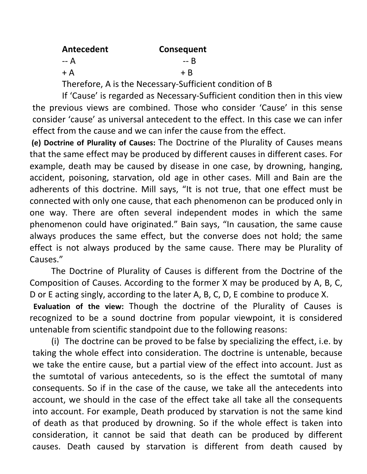| Antecedent | Consequent |
|------------|------------|
| -- A       | -- R       |
| $+A$       | $+ B$      |

Therefore, A is the Necessary-Sufficient condition of B

If 'Cause' is regarded as Necessary-Sufficient condition then in this view the previous views are combined. Those who consider 'Cause' in this sense consider 'cause' as universal antecedent to the effect. In this case we can infer effect from the cause and we can infer the cause from the effect.

 (e) Doctrine of Plurality of Causes: The Doctrine of the Plurality of Causes means that the same effect may be produced by different causes in different cases. For example, death may be caused by disease in one case, by drowning, hanging, accident, poisoning, starvation, old age in other cases. Mill and Bain are the adherents of this doctrine. Mill says, "It is not true, that one effect must be connected with only one cause, that each phenomenon can be produced only in one way. There are often several independent modes in which the same phenomenon could have originated." Bain says, "In causation, the same cause always produces the same effect, but the converse does not hold; the same effect is not always produced by the same cause. There may be Plurality of Causes."

 The Doctrine of Plurality of Causes is different from the Doctrine of the Composition of Causes. According to the former X may be produced by A, B, C, D or E acting singly, according to the later A, B, C, D, E combine to produce X.

 Evaluation of the view: Though the doctrine of the Plurality of Causes is recognized to be a sound doctrine from popular viewpoint, it is considered untenable from scientific standpoint due to the following reasons:

(i) The doctrine can be proved to be false by specializing the effect, i.e. by taking the whole effect into consideration. The doctrine is untenable, because we take the entire cause, but a partial view of the effect into account. Just as the sumtotal of various antecedents, so is the effect the sumtotal of many consequents. So if in the case of the cause, we take all the antecedents into account, we should in the case of the effect take all take all the consequents into account. For example, Death produced by starvation is not the same kind of death as that produced by drowning. So if the whole effect is taken into consideration, it cannot be said that death can be produced by different causes. Death caused by starvation is different from death caused by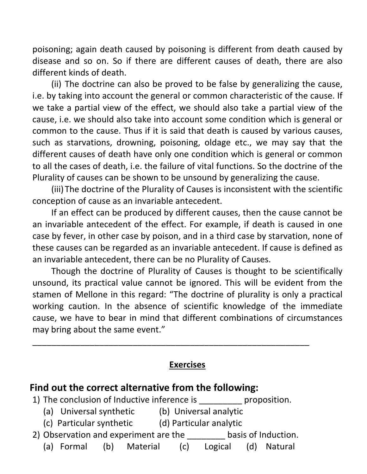poisoning; again death caused by poisoning is different from death caused by disease and so on. So if there are different causes of death, there are also different kinds of death.

(ii) The doctrine can also be proved to be false by generalizing the cause, i.e. by taking into account the general or common characteristic of the cause. If we take a partial view of the effect, we should also take a partial view of the cause, i.e. we should also take into account some condition which is general or common to the cause. Thus if it is said that death is caused by various causes, such as starvations, drowning, poisoning, oldage etc., we may say that the different causes of death have only one condition which is general or common to all the cases of death, i.e. the failure of vital functions. So the doctrine of the Plurality of causes can be shown to be unsound by generalizing the cause.

(iii)The doctrine of the Plurality of Causes is inconsistent with the scientific conception of cause as an invariable antecedent.

If an effect can be produced by different causes, then the cause cannot be an invariable antecedent of the effect. For example, if death is caused in one case by fever, in other case by poison, and in a third case by starvation, none of these causes can be regarded as an invariable antecedent. If cause is defined as an invariable antecedent, there can be no Plurality of Causes.

Though the doctrine of Plurality of Causes is thought to be scientifically unsound, its practical value cannot be ignored. This will be evident from the stamen of Mellone in this regard: "The doctrine of plurality is only a practical working caution. In the absence of scientific knowledge of the immediate cause, we have to bear in mind that different combinations of circumstances may bring about the same event."

#### Exercises

\_\_\_\_\_\_\_\_\_\_\_\_\_\_\_\_\_\_\_\_\_\_\_\_\_\_\_\_\_\_\_\_\_\_\_\_\_\_\_\_\_\_\_\_\_\_\_\_\_\_\_\_\_\_\_\_\_\_

#### Find out the correct alternative from the following:

- 1) The conclusion of Inductive inference is expression.
	- (a) Universal synthetic (b) Universal analytic
	- (c) Particular synthetic (d) Particular analytic
- 2) Observation and experiment are the basis of Induction.
	- (a) Formal (b) Material (c) Logical (d) Natural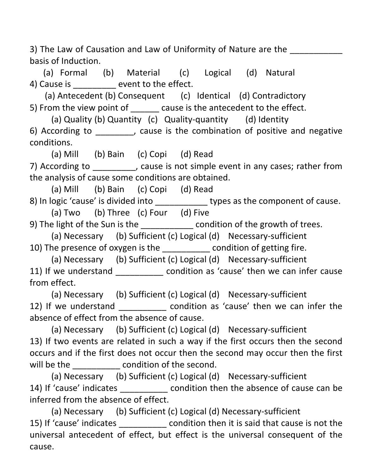3) The Law of Causation and Law of Uniformity of Nature are the basis of Induction.

(a) Formal (b) Material (c) Logical (d) Natural 4) Cause is \_\_\_\_\_\_\_\_\_ event to the effect.

(a) Antecedent (b) Consequent (c) Identical (d) Contradictory 5) From the view point of cause is the antecedent to the effect.

 (a) Quality (b) Quantity (c) Quality-quantity (d) Identity 6) According to **...** cause is the combination of positive and negative conditions.

(a) Mill (b) Bain (c) Copi (d) Read

7) According to \_\_\_\_\_\_\_\_\_, cause is not simple event in any cases; rather from the analysis of cause some conditions are obtained.

(a) Mill (b) Bain (c) Copi (d) Read

8) In logic 'cause' is divided into \_\_\_\_\_\_\_\_\_\_\_\_\_\_ types as the component of cause.

(a) Two (b) Three (c) Four (d) Five

9) The light of the Sun is the \_\_\_\_\_\_\_\_\_\_\_\_ condition of the growth of trees.

(a) Necessary (b) Sufficient (c) Logical (d) Necessary-sufficient

10) The presence of oxygen is the \_\_\_\_\_\_\_\_\_\_ condition of getting fire.

(a) Necessary (b) Sufficient (c) Logical (d) Necessary-sufficient

11) If we understand \_\_\_\_\_\_\_\_\_\_\_\_ condition as 'cause' then we can infer cause from effect.

(a) Necessary (b) Sufficient (c) Logical (d) Necessary-sufficient 12) If we understand \_\_\_\_\_\_\_\_\_\_\_ condition as 'cause' then we can infer the absence of effect from the absence of cause.

(a) Necessary (b) Sufficient (c) Logical (d) Necessary-sufficient 13) If two events are related in such a way if the first occurs then the second occurs and if the first does not occur then the second may occur then the first will be the  $\blacksquare$  condition of the second.

(a) Necessary (b) Sufficient (c) Logical (d) Necessary-sufficient 14) If 'cause' indicates \_\_\_\_\_\_\_\_\_\_\_ condition then the absence of cause can be inferred from the absence of effect.

(a) Necessary (b) Sufficient (c) Logical (d) Necessary-sufficient 15) If 'cause' indicates \_\_\_\_\_\_\_\_\_\_ condition then it is said that cause is not the universal antecedent of effect, but effect is the universal consequent of the cause.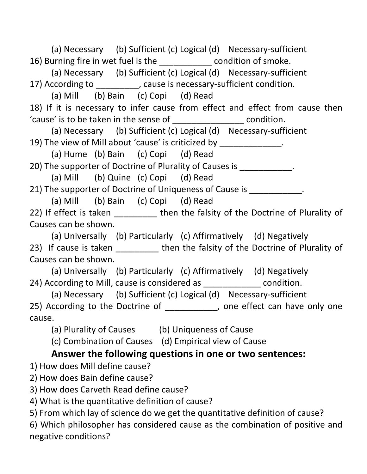(a) Necessary (b) Sufficient (c) Logical (d) Necessary-sufficient 16) Burning fire in wet fuel is the \_\_\_\_\_\_\_\_\_\_\_ condition of smoke.

 (a) Necessary (b) Sufficient (c) Logical (d) Necessary-sufficient 17) According to \_\_\_\_\_\_\_\_\_, cause is necessary-sufficient condition.

(a) Mill (b) Bain (c) Copi (d) Read

18) If it is necessary to infer cause from effect and effect from cause then 'cause' is to be taken in the sense of \_\_\_\_\_\_\_\_\_\_\_\_\_\_\_ condition.

 (a) Necessary (b) Sufficient (c) Logical (d) Necessary-sufficient 19) The view of Mill about 'cause' is criticized by \_\_\_\_\_\_\_\_\_\_\_\_\_.

(a) Hume (b) Bain (c) Copi (d) Read

20) The supporter of Doctrine of Plurality of Causes is \_\_\_\_\_\_\_\_\_\_\_\_.

(a) Mill (b) Quine (c) Copi (d) Read

21) The supporter of Doctrine of Uniqueness of Cause is  $\qquad \qquad$ .

(a) Mill (b) Bain (c) Copi (d) Read

22) If effect is taken \_\_\_\_\_\_\_\_ then the falsity of the Doctrine of Plurality of Causes can be shown.

(a) Universally (b) Particularly (c) Affirmatively (d) Negatively

23) If cause is taken \_\_\_\_\_\_\_\_\_ then the falsity of the Doctrine of Plurality of Causes can be shown.

 (a) Universally (b) Particularly (c) Affirmatively (d) Negatively 24) According to Mill, cause is considered as  $\Box$  condition.

 (a) Necessary (b) Sufficient (c) Logical (d) Necessary-sufficient 25) According to the Doctrine of \_\_\_\_\_\_\_\_\_\_\_, one effect can have only one cause.

(a) Plurality of Causes (b) Uniqueness of Cause

(c) Combination of Causes (d) Empirical view of Cause

# Answer the following questions in one or two sentences:

1) How does Mill define cause?

2) How does Bain define cause?

3) How does Carveth Read define cause?

4) What is the quantitative definition of cause?

5) From which lay of science do we get the quantitative definition of cause?

6) Which philosopher has considered cause as the combination of positive and negative conditions?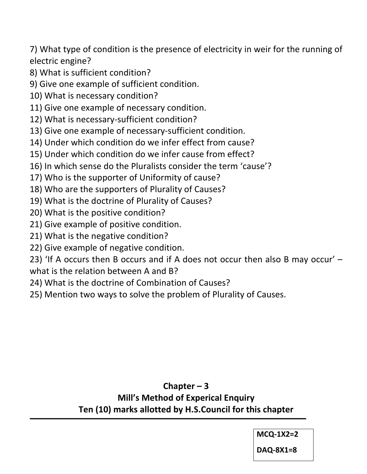7) What type of condition is the presence of electricity in weir for the running of electric engine?

- 8) What is sufficient condition?
- 9) Give one example of sufficient condition.
- 10) What is necessary condition?
- 11) Give one example of necessary condition.
- 12) What is necessary-sufficient condition?
- 13) Give one example of necessary-sufficient condition.
- 14) Under which condition do we infer effect from cause?
- 15) Under which condition do we infer cause from effect?
- 16) In which sense do the Pluralists consider the term 'cause'?
- 17) Who is the supporter of Uniformity of cause?
- 18) Who are the supporters of Plurality of Causes?
- 19) What is the doctrine of Plurality of Causes?
- 20) What is the positive condition?
- 21) Give example of positive condition.
- 21) What is the negative condition?
- 22) Give example of negative condition.
- 23) 'If A occurs then B occurs and if A does not occur then also B may occur' what is the relation between A and B?
- 24) What is the doctrine of Combination of Causes?
- 25) Mention two ways to solve the problem of Plurality of Causes.

## Chapter – 3 Mill's Method of Experical Enquiry Ten (10) marks allotted by H.S.Council for this chapter  $\overline{\phantom{a}}$  , and the contribution of the contribution of  $\overline{\phantom{a}}$

MCQ-1X2=2

DAQ-8X1=8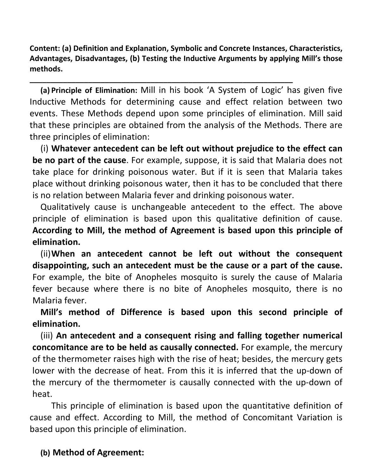Content: (a) Definition and Explanation, Symbolic and Concrete Instances, Characteristics, Advantages, Disadvantages, (b) Testing the Inductive Arguments by applying Mill's those methods.

\_\_\_\_\_\_\_\_\_\_\_\_\_\_\_\_\_\_\_\_\_\_\_\_\_\_\_\_\_\_\_\_\_\_\_\_\_\_\_\_\_\_\_\_\_\_\_\_\_\_\_\_\_\_\_\_\_\_\_\_\_\_\_

(a) Principle of Elimination: Mill in his book 'A System of Logic' has given five Inductive Methods for determining cause and effect relation between two events. These Methods depend upon some principles of elimination. Mill said that these principles are obtained from the analysis of the Methods. There are three principles of elimination:

(i) Whatever antecedent can be left out without prejudice to the effect can be no part of the cause. For example, suppose, it is said that Malaria does not take place for drinking poisonous water. But if it is seen that Malaria takes place without drinking poisonous water, then it has to be concluded that there is no relation between Malaria fever and drinking poisonous water.

Qualitatively cause is unchangeable antecedent to the effect. The above principle of elimination is based upon this qualitative definition of cause. According to Mill, the method of Agreement is based upon this principle of elimination.

(ii)When an antecedent cannot be left out without the consequent disappointing, such an antecedent must be the cause or a part of the cause. For example, the bite of Anopheles mosquito is surely the cause of Malaria fever because where there is no bite of Anopheles mosquito, there is no Malaria fever.

Mill's method of Difference is based upon this second principle of elimination.

(iii) An antecedent and a consequent rising and falling together numerical concomitance are to be held as causally connected. For example, the mercury of the thermometer raises high with the rise of heat; besides, the mercury gets lower with the decrease of heat. From this it is inferred that the up-down of the mercury of the thermometer is causally connected with the up-down of heat.

This principle of elimination is based upon the quantitative definition of cause and effect. According to Mill, the method of Concomitant Variation is based upon this principle of elimination.

## (b) Method of Agreement: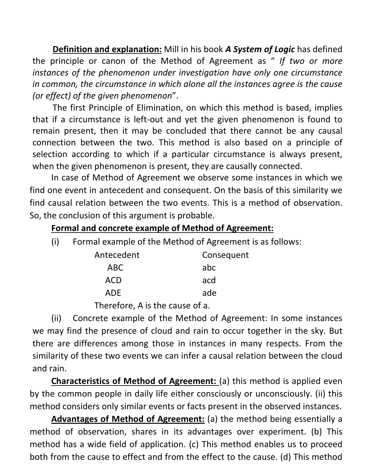Definition and explanation: Mill in his book A System of Logic has defined the principle or canon of the Method of Agreement as " If two or more instances of the phenomenon under investigation have only one circumstance in common, the circumstance in which alone all the instances agree is the cause (or effect) of the given phenomenon".

The first Principle of Elimination, on which this method is based, implies that if a circumstance is left-out and yet the given phenomenon is found to remain present, then it may be concluded that there cannot be any causal connection between the two. This method is also based on a principle of selection according to which if a particular circumstance is always present, when the given phenomenon is present, they are causally connected.

In case of Method of Agreement we observe some instances in which we find one event in antecedent and consequent. On the basis of this similarity we find causal relation between the two events. This is a method of observation. So, the conclusion of this argument is probable.

#### Formal and concrete example of Method of Agreement:

(i) Formal example of the Method of Agreement is as follows:

| Antecedent | Consequent |
|------------|------------|
| ABC        | abc        |
| <b>ACD</b> | acd        |
| <b>ADF</b> | ade        |

Therefore, A is the cause of a.

(ii) Concrete example of the Method of Agreement: In some instances we may find the presence of cloud and rain to occur together in the sky. But there are differences among those in instances in many respects. From the similarity of these two events we can infer a causal relation between the cloud and rain.

Characteristics of Method of Agreement: (a) this method is applied even by the common people in daily life either consciously or unconsciously. (ii) this method considers only similar events or facts present in the observed instances.

Advantages of Method of Agreement: (a) the method being essentially a method of observation, shares in its advantages over experiment. (b) This method has a wide field of application. (c) This method enables us to proceed both from the cause to effect and from the effect to the cause. (d) This method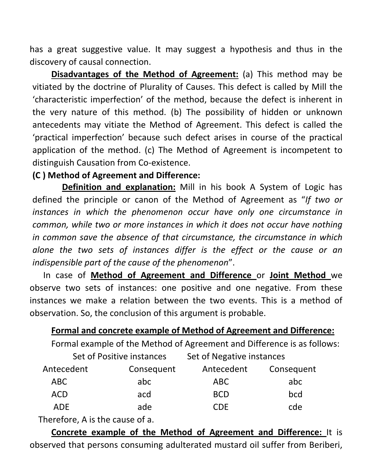has a great suggestive value. It may suggest a hypothesis and thus in the discovery of causal connection.

 Disadvantages of the Method of Agreement: (a) This method may be vitiated by the doctrine of Plurality of Causes. This defect is called by Mill the 'characteristic imperfection' of the method, because the defect is inherent in the very nature of this method. (b) The possibility of hidden or unknown antecedents may vitiate the Method of Agreement. This defect is called the 'practical imperfection' because such defect arises in course of the practical application of the method. (c) The Method of Agreement is incompetent to distinguish Causation from Co-existence.

## (C ) Method of Agreement and Difference:

Definition and explanation: Mill in his book A System of Logic has defined the principle or canon of the Method of Agreement as "If two or instances in which the phenomenon occur have only one circumstance in common, while two or more instances in which it does not occur have nothing in common save the absence of that circumstance, the circumstance in which alone the two sets of instances differ is the effect or the cause or an indispensible part of the cause of the phenomenon".

In case of Method of Agreement and Difference or Joint Method we observe two sets of instances: one positive and one negative. From these instances we make a relation between the two events. This is a method of observation. So, the conclusion of this argument is probable.

#### Formal and concrete example of Method of Agreement and Difference:

Formal example of the Method of Agreement and Difference is as follows:

|            | Set of Positive instances | Set of Negative instances |            |
|------------|---------------------------|---------------------------|------------|
| Antecedent | Consequent                | Antecedent                | Consequent |
| ABC        | abc                       | ABC                       | abc        |
| <b>ACD</b> | acd                       | <b>BCD</b>                | bcd        |
| ADF        | ade                       | CDF                       | cde        |

Therefore, A is the cause of a.

Concrete example of the Method of Agreement and Difference: It is observed that persons consuming adulterated mustard oil suffer from Beriberi,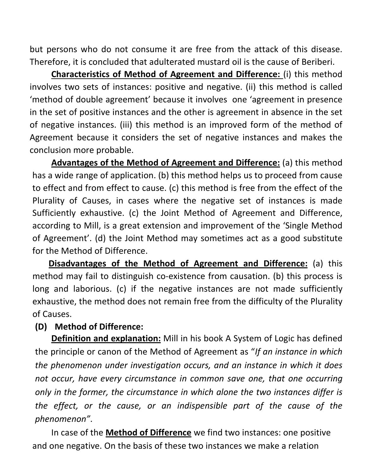but persons who do not consume it are free from the attack of this disease. Therefore, it is concluded that adulterated mustard oil is the cause of Beriberi.

Characteristics of Method of Agreement and Difference: (i) this method involves two sets of instances: positive and negative. (ii) this method is called 'method of double agreement' because it involves one 'agreement in presence in the set of positive instances and the other is agreement in absence in the set of negative instances. (iii) this method is an improved form of the method of Agreement because it considers the set of negative instances and makes the conclusion more probable.

Advantages of the Method of Agreement and Difference: (a) this method has a wide range of application. (b) this method helps us to proceed from cause to effect and from effect to cause. (c) this method is free from the effect of the Plurality of Causes, in cases where the negative set of instances is made Sufficiently exhaustive. (c) the Joint Method of Agreement and Difference, according to Mill, is a great extension and improvement of the 'Single Method of Agreement'. (d) the Joint Method may sometimes act as a good substitute for the Method of Difference.

Disadvantages of the Method of Agreement and Difference: (a) this method may fail to distinguish co-existence from causation. (b) this process is long and laborious. (c) if the negative instances are not made sufficiently exhaustive, the method does not remain free from the difficulty of the Plurality of Causes.

#### (D) Method of Difference:

**Definition and explanation:** Mill in his book A System of Logic has defined the principle or canon of the Method of Agreement as "If an instance in which the phenomenon under investigation occurs, and an instance in which it does not occur, have every circumstance in common save one, that one occurring only in the former, the circumstance in which alone the two instances differ is the effect, or the cause, or an indispensible part of the cause of the phenomenon".

In case of the **Method of Difference** we find two instances: one positive and one negative. On the basis of these two instances we make a relation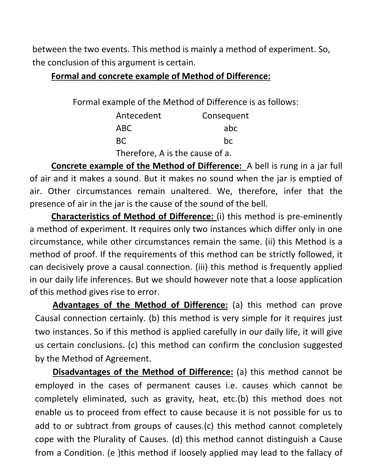between the two events. This method is mainly a method of experiment. So, the conclusion of this argument is certain.

#### Formal and concrete example of Method of Difference:

Formal example of the Method of Difference is as follows:

| Antecedent | Consequent |
|------------|------------|
| ABC        | abc        |
| BC.        | bc         |

Therefore, A is the cause of a.

Concrete example of the Method of Difference: A bell is rung in a jar full of air and it makes a sound. But it makes no sound when the jar is emptied of air. Other circumstances remain unaltered. We, therefore, infer that the presence of air in the jar is the cause of the sound of the bell.

Characteristics of Method of Difference: (i) this method is pre-eminently a method of experiment. It requires only two instances which differ only in one circumstance, while other circumstances remain the same. (ii) this Method is a method of proof. If the requirements of this method can be strictly followed, it can decisively prove a causal connection. (iii) this method is frequently applied in our daily life inferences. But we should however note that a loose application of this method gives rise to error.

Advantages of the Method of Difference: (a) this method can prove Causal connection certainly. (b) this method is very simple for it requires just two instances. So if this method is applied carefully in our daily life, it will give us certain conclusions. (c) this method can confirm the conclusion suggested by the Method of Agreement.

**Disadvantages of the Method of Difference:** (a) this method cannot be employed in the cases of permanent causes i.e. causes which cannot be completely eliminated, such as gravity, heat, etc.(b) this method does not enable us to proceed from effect to cause because it is not possible for us to add to or subtract from groups of causes.(c) this method cannot completely cope with the Plurality of Causes. (d) this method cannot distinguish a Cause from a Condition. (e )this method if loosely applied may lead to the fallacy of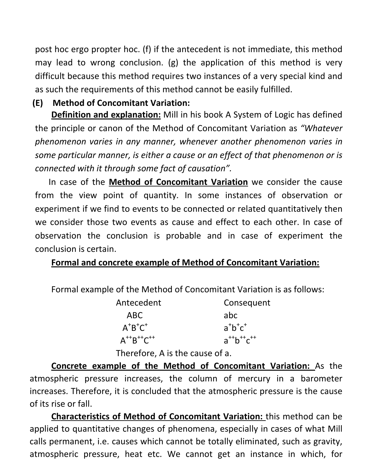post hoc ergo propter hoc. (f) if the antecedent is not immediate, this method may lead to wrong conclusion. (g) the application of this method is very difficult because this method requires two instances of a very special kind and as such the requirements of this method cannot be easily fulfilled.

## (E) Method of Concomitant Variation:

Definition and explanation: Mill in his book A System of Logic has defined the principle or canon of the Method of Concomitant Variation as "Whatever phenomenon varies in any manner, whenever another phenomenon varies in some particular manner, is either a cause or an effect of that phenomenon or is connected with it through some fact of causation".

In case of the **Method of Concomitant Variation** we consider the cause from the view point of quantity. In some instances of observation or experiment if we find to events to be connected or related quantitatively then we consider those two events as cause and effect to each other. In case of observation the conclusion is probable and in case of experiment the conclusion is certain.

## Formal and concrete example of Method of Concomitant Variation:

Formal example of the Method of Concomitant Variation is as follows:

| Antecedent                          | Consequent                          |
|-------------------------------------|-------------------------------------|
| ABC                                 | abc                                 |
| $A^{\dagger}B^{\dagger}C^{\dagger}$ | $a^{\dagger}b^{\dagger}c^{\dagger}$ |
| $A^{++}B^{++}C^{++}$                | $a^{++}b^{++}c^{++}$                |

Therefore, A is the cause of a.

Concrete example of the Method of Concomitant Variation: As the atmospheric pressure increases, the column of mercury in a barometer increases. Therefore, it is concluded that the atmospheric pressure is the cause of its rise or fall.

Characteristics of Method of Concomitant Variation: this method can be applied to quantitative changes of phenomena, especially in cases of what Mill calls permanent, i.e. causes which cannot be totally eliminated, such as gravity, atmospheric pressure, heat etc. We cannot get an instance in which, for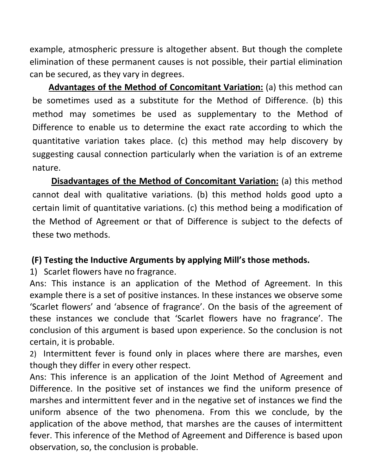example, atmospheric pressure is altogether absent. But though the complete elimination of these permanent causes is not possible, their partial elimination can be secured, as they vary in degrees.

Advantages of the Method of Concomitant Variation: (a) this method can be sometimes used as a substitute for the Method of Difference. (b) this method may sometimes be used as supplementary to the Method of Difference to enable us to determine the exact rate according to which the quantitative variation takes place. (c) this method may help discovery by suggesting causal connection particularly when the variation is of an extreme nature.

Disadvantages of the Method of Concomitant Variation: (a) this method cannot deal with qualitative variations. (b) this method holds good upto a certain limit of quantitative variations. (c) this method being a modification of the Method of Agreement or that of Difference is subject to the defects of these two methods.

## (F) Testing the Inductive Arguments by applying Mill's those methods.

1) Scarlet flowers have no fragrance.

Ans: This instance is an application of the Method of Agreement. In this example there is a set of positive instances. In these instances we observe some 'Scarlet flowers' and 'absence of fragrance'. On the basis of the agreement of these instances we conclude that 'Scarlet flowers have no fragrance'. The conclusion of this argument is based upon experience. So the conclusion is not certain, it is probable.

2) Intermittent fever is found only in places where there are marshes, even though they differ in every other respect.

Ans: This inference is an application of the Joint Method of Agreement and Difference. In the positive set of instances we find the uniform presence of marshes and intermittent fever and in the negative set of instances we find the uniform absence of the two phenomena. From this we conclude, by the application of the above method, that marshes are the causes of intermittent fever. This inference of the Method of Agreement and Difference is based upon observation, so, the conclusion is probable.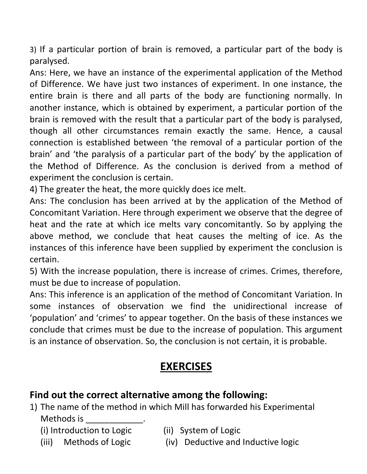3) If a particular portion of brain is removed, a particular part of the body is paralysed.

Ans: Here, we have an instance of the experimental application of the Method of Difference. We have just two instances of experiment. In one instance, the entire brain is there and all parts of the body are functioning normally. In another instance, which is obtained by experiment, a particular portion of the brain is removed with the result that a particular part of the body is paralysed, though all other circumstances remain exactly the same. Hence, a causal connection is established between 'the removal of a particular portion of the brain' and 'the paralysis of a particular part of the body' by the application of the Method of Difference. As the conclusion is derived from a method of experiment the conclusion is certain.

4) The greater the heat, the more quickly does ice melt.

Ans: The conclusion has been arrived at by the application of the Method of Concomitant Variation. Here through experiment we observe that the degree of heat and the rate at which ice melts vary concomitantly. So by applying the above method, we conclude that heat causes the melting of ice. As the instances of this inference have been supplied by experiment the conclusion is certain.

5) With the increase population, there is increase of crimes. Crimes, therefore, must be due to increase of population.

Ans: This inference is an application of the method of Concomitant Variation. In some instances of observation we find the unidirectional increase of 'population' and 'crimes' to appear together. On the basis of these instances we conclude that crimes must be due to the increase of population. This argument is an instance of observation. So, the conclusion is not certain, it is probable.

# EXERCISES

# Find out the correct alternative among the following:

- 1) The name of the method in which Mill has forwarded his Experimental Methods is
	- (i) Introduction to Logic (ii) System of Logic
- -
	- (iii) Methods of Logic (iv) Deductive and Inductive logic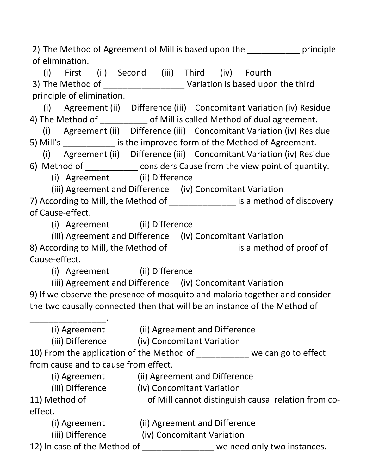2) The Method of Agreement of Mill is based upon the \_\_\_\_\_\_\_\_\_\_\_ principle of elimination.

(i) First (ii) Second (iii) Third (iv) Fourth 3) The Method of \_\_\_\_\_\_\_\_\_\_\_\_\_\_\_\_\_\_\_\_\_\_\_ Variation is based upon the third principle of elimination.

 (i) Agreement (ii) Difference (iii) Concomitant Variation (iv) Residue 4) The Method of \_\_\_\_\_\_\_\_\_\_\_ of Mill is called Method of dual agreement.

 (i) Agreement (ii) Difference (iii) Concomitant Variation (iv) Residue 5) Mill's is the improved form of the Method of Agreement.

(i) Agreement (ii) Difference (iii) Concomitant Variation (iv) Residue

6) Method of \_\_\_\_\_\_\_\_\_\_\_ considers Cause from the view point of quantity.

(i) Agreement (ii) Difference

(iii) Agreement and Difference (iv) Concomitant Variation 7) According to Mill, the Method of \_\_\_\_\_\_\_\_\_\_\_\_\_\_\_\_ is a method of discovery

of Cause-effect.

\_\_\_\_\_\_\_\_\_\_\_\_\_\_\_\_.

(i) Agreement (ii) Difference

(iii) Agreement and Difference (iv) Concomitant Variation

8) According to Mill, the Method of \_\_\_\_\_\_\_\_\_\_\_\_\_\_\_\_ is a method of proof of Cause-effect.

(i) Agreement (ii) Difference

(iii) Agreement and Difference (iv) Concomitant Variation

9) If we observe the presence of mosquito and malaria together and consider the two causally connected then that will be an instance of the Method of

(i) Agreement (ii) Agreement and Difference

(iii) Difference (iv) Concomitant Variation

10) From the application of the Method of \_\_\_\_\_\_\_\_\_\_\_ we can go to effect from cause and to cause from effect.

(i) Agreement (ii) Agreement and Difference

(iii) Difference (iv) Concomitant Variation

11) Method of \_\_\_\_\_\_\_\_\_\_\_\_ of Mill cannot distinguish causal relation from coeffect.

(i) Agreement (ii) Agreement and Difference<br>(iii) Difference (iv) Concomitant Variation

(iv) Concomitant Variation

12) In case of the Method of we need only two instances.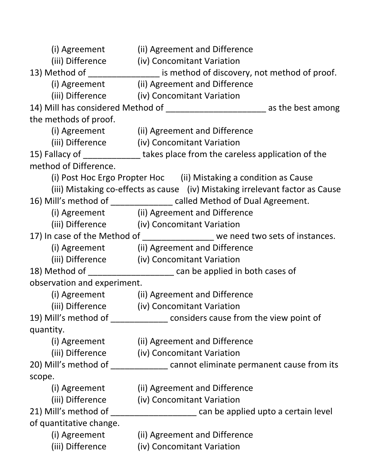| (i) Agreement               | (ii) Agreement and Difference                                                     |
|-----------------------------|-----------------------------------------------------------------------------------|
| (iii) Difference            | (iv) Concomitant Variation                                                        |
|                             | 13) Method of _________________ is method of discovery, not method of proof.      |
|                             | (i) Agreement (ii) Agreement and Difference                                       |
|                             | (iii) Difference (iv) Concomitant Variation                                       |
|                             | 14) Mill has considered Method of __________________________ as the best among    |
| the methods of proof.       |                                                                                   |
|                             | (i) Agreement (ii) Agreement and Difference                                       |
|                             | (iii) Difference (iv) Concomitant Variation                                       |
|                             | 15) Fallacy of _______________takes place from the careless application of the    |
| method of Difference.       |                                                                                   |
|                             | (i) Post Hoc Ergo Propter Hoc (ii) Mistaking a condition as Cause                 |
|                             | (iii) Mistaking co-effects as cause (iv) Mistaking irrelevant factor as Cause     |
|                             | 16) Mill's method of ______________ called Method of Dual Agreement.              |
|                             | (i) Agreement (ii) Agreement and Difference                                       |
|                             | (iii) Difference (iv) Concomitant Variation                                       |
|                             | 17) In case of the Method of _________________ we need two sets of instances.     |
|                             | (i) Agreement (ii) Agreement and Difference                                       |
|                             | (iii) Difference (iv) Concomitant Variation                                       |
|                             | 18) Method of _________________________ can be applied in both cases of           |
| observation and experiment. |                                                                                   |
|                             | (i) Agreement (ii) Agreement and Difference                                       |
|                             | (iii) Difference (iv) Concomitant Variation                                       |
|                             | 19) Mill's method of _____________________ considers cause from the view point of |
| quantity.                   |                                                                                   |
| (i) Agreement               | (ii) Agreement and Difference                                                     |
| (iii) Difference            | (iv) Concomitant Variation                                                        |
|                             |                                                                                   |
| scope.                      |                                                                                   |
| (i) Agreement               | (ii) Agreement and Difference                                                     |
| (iii) Difference            | (iv) Concomitant Variation                                                        |
| 21) Mill's method of        | can be applied upto a certain level                                               |
| of quantitative change.     |                                                                                   |
| (i) Agreement               | (ii) Agreement and Difference                                                     |
| (iii) Difference            | (iv) Concomitant Variation                                                        |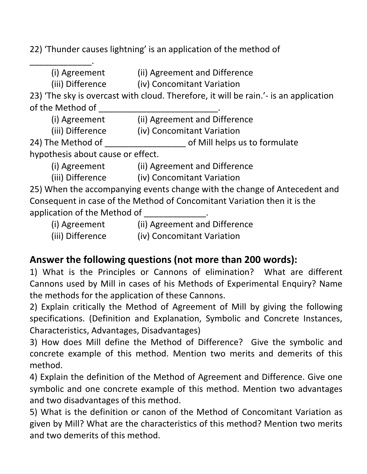22) 'Thunder causes lightning' is an application of the method of

\_\_\_\_\_\_\_\_\_\_\_\_\_. (i) Agreement (ii) Agreement and Difference

(iii) Difference (iv) Concomitant Variation

23) 'The sky is overcast with cloud. Therefore, it will be rain.'- is an application of the Method of

(i) Agreement (ii) Agreement and Difference

(iii) Difference (iv) Concomitant Variation

24) The Method of **Example 24** of Mill helps us to formulate

hypothesis about cause or effect.

(i) Agreement (ii) Agreement and Difference

(iii) Difference (iv) Concomitant Variation

25) When the accompanying events change with the change of Antecedent and Consequent in case of the Method of Concomitant Variation then it is the application of the Method of  $\qquad \qquad$ .

(i) Agreement (ii) Agreement and Difference

(iii) Difference (iv) Concomitant Variation

# Answer the following questions (not more than 200 words):

1) What is the Principles or Cannons of elimination? What are different Cannons used by Mill in cases of his Methods of Experimental Enquiry? Name the methods for the application of these Cannons.

2) Explain critically the Method of Agreement of Mill by giving the following specifications. (Definition and Explanation, Symbolic and Concrete Instances, Characteristics, Advantages, Disadvantages)

3) How does Mill define the Method of Difference? Give the symbolic and concrete example of this method. Mention two merits and demerits of this method.

4) Explain the definition of the Method of Agreement and Difference. Give one symbolic and one concrete example of this method. Mention two advantages and two disadvantages of this method.

5) What is the definition or canon of the Method of Concomitant Variation as given by Mill? What are the characteristics of this method? Mention two merits and two demerits of this method.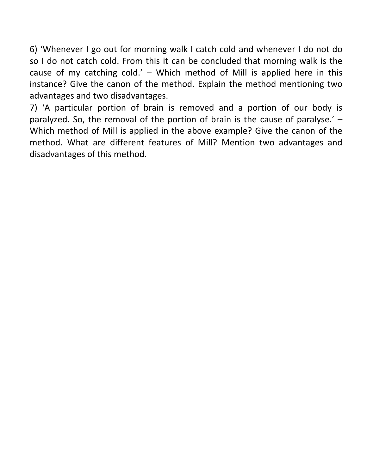6) 'Whenever I go out for morning walk I catch cold and whenever I do not do so I do not catch cold. From this it can be concluded that morning walk is the cause of my catching cold.' – Which method of Mill is applied here in this instance? Give the canon of the method. Explain the method mentioning two advantages and two disadvantages.

7) 'A particular portion of brain is removed and a portion of our body is paralyzed. So, the removal of the portion of brain is the cause of paralyse.' – Which method of Mill is applied in the above example? Give the canon of the method. What are different features of Mill? Mention two advantages and disadvantages of this method.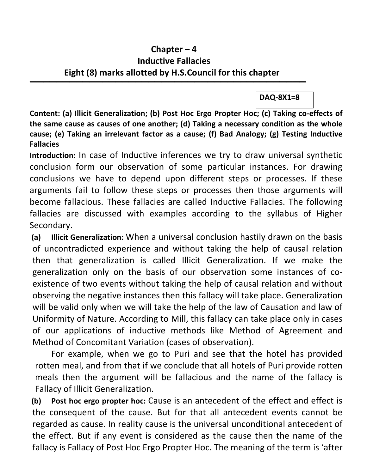### Chapter – 4 Inductive Fallacies Eight (8) marks allotted by H.S.Council for this chapter

 $\overline{\phantom{a}}$  , and the contract of the contract of the contract of the contract of the contract of the contract of the contract of the contract of the contract of the contract of the contract of the contract of the contrac

DAQ-8X1=8

Content: (a) Illicit Generalization; (b) Post Hoc Ergo Propter Hoc; (c) Taking co-effects of the same cause as causes of one another; (d) Taking a necessary condition as the whole cause; (e) Taking an irrelevant factor as a cause; (f) Bad Analogy; (g) Testing Inductive Fallacies

Introduction: In case of Inductive inferences we try to draw universal synthetic conclusion form our observation of some particular instances. For drawing conclusions we have to depend upon different steps or processes. If these arguments fail to follow these steps or processes then those arguments will become fallacious. These fallacies are called Inductive Fallacies. The following fallacies are discussed with examples according to the syllabus of Higher Secondary.

(a) Illicit Generalization: When a universal conclusion hastily drawn on the basis of uncontradicted experience and without taking the help of causal relation then that generalization is called Illicit Generalization. If we make the generalization only on the basis of our observation some instances of coexistence of two events without taking the help of causal relation and without observing the negative instances then this fallacy will take place. Generalization will be valid only when we will take the help of the law of Causation and law of Uniformity of Nature. According to Mill, this fallacy can take place only in cases of our applications of inductive methods like Method of Agreement and Method of Concomitant Variation (cases of observation).

For example, when we go to Puri and see that the hotel has provided rotten meal, and from that if we conclude that all hotels of Puri provide rotten meals then the argument will be fallacious and the name of the fallacy is Fallacy of Illicit Generalization.

(b) Post hoc ergo propter hoc: Cause is an antecedent of the effect and effect is the consequent of the cause. But for that all antecedent events cannot be regarded as cause. In reality cause is the universal unconditional antecedent of the effect. But if any event is considered as the cause then the name of the fallacy is Fallacy of Post Hoc Ergo Propter Hoc. The meaning of the term is 'after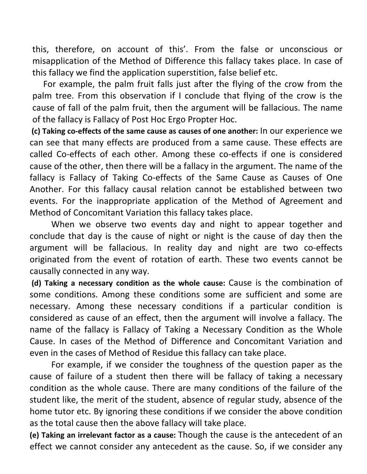this, therefore, on account of this'. From the false or unconscious or misapplication of the Method of Difference this fallacy takes place. In case of this fallacy we find the application superstition, false belief etc.

For example, the palm fruit falls just after the flying of the crow from the palm tree. From this observation if I conclude that flying of the crow is the cause of fall of the palm fruit, then the argument will be fallacious. The name of the fallacy is Fallacy of Post Hoc Ergo Propter Hoc.

 (c) Taking co-effects of the same cause as causes of one another: In our experience we can see that many effects are produced from a same cause. These effects are called Co-effects of each other. Among these co-effects if one is considered cause of the other, then there will be a fallacy in the argument. The name of the fallacy is Fallacy of Taking Co-effects of the Same Cause as Causes of One Another. For this fallacy causal relation cannot be established between two events. For the inappropriate application of the Method of Agreement and Method of Concomitant Variation this fallacy takes place.

When we observe two events day and night to appear together and conclude that day is the cause of night or night is the cause of day then the argument will be fallacious. In reality day and night are two co-effects originated from the event of rotation of earth. These two events cannot be causally connected in any way.

 (d) Taking a necessary condition as the whole cause: Cause is the combination of some conditions. Among these conditions some are sufficient and some are necessary. Among these necessary conditions if a particular condition is considered as cause of an effect, then the argument will involve a fallacy. The name of the fallacy is Fallacy of Taking a Necessary Condition as the Whole Cause. In cases of the Method of Difference and Concomitant Variation and even in the cases of Method of Residue this fallacy can take place.

 For example, if we consider the toughness of the question paper as the cause of failure of a student then there will be fallacy of taking a necessary condition as the whole cause. There are many conditions of the failure of the student like, the merit of the student, absence of regular study, absence of the home tutor etc. By ignoring these conditions if we consider the above condition as the total cause then the above fallacy will take place.

(e) Taking an irrelevant factor as a cause: Though the cause is the antecedent of an effect we cannot consider any antecedent as the cause. So, if we consider any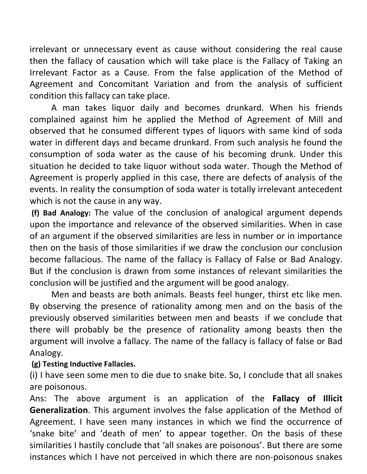irrelevant or unnecessary event as cause without considering the real cause then the fallacy of causation which will take place is the Fallacy of Taking an Irrelevant Factor as a Cause. From the false application of the Method of Agreement and Concomitant Variation and from the analysis of sufficient condition this fallacy can take place.

A man takes liquor daily and becomes drunkard. When his friends complained against him he applied the Method of Agreement of Mill and observed that he consumed different types of liquors with same kind of soda water in different days and became drunkard. From such analysis he found the consumption of soda water as the cause of his becoming drunk. Under this situation he decided to take liquor without soda water. Though the Method of Agreement is properly applied in this case, there are defects of analysis of the events. In reality the consumption of soda water is totally irrelevant antecedent which is not the cause in any way.

 (f) Bad Analogy: The value of the conclusion of analogical argument depends upon the importance and relevance of the observed similarities. When in case of an argument if the observed similarities are less in number or in importance then on the basis of those similarities if we draw the conclusion our conclusion become fallacious. The name of the fallacy is Fallacy of False or Bad Analogy. But if the conclusion is drawn from some instances of relevant similarities the conclusion will be justified and the argument will be good analogy.

Men and beasts are both animals. Beasts feel hunger, thirst etc like men. By observing the presence of rationality among men and on the basis of the previously observed similarities between men and beasts if we conclude that there will probably be the presence of rationality among beasts then the argument will involve a fallacy. The name of the fallacy is fallacy of false or Bad Analogy.

#### (g) Testing Inductive Fallacies.

(i) I have seen some men to die due to snake bite. So, I conclude that all snakes are poisonous.

Ans: The above argument is an application of the Fallacy of Illicit Generalization. This argument involves the false application of the Method of Agreement. I have seen many instances in which we find the occurrence of 'snake bite' and 'death of men' to appear together. On the basis of these similarities I hastily conclude that 'all snakes are poisonous'. But there are some instances which I have not perceived in which there are non-poisonous snakes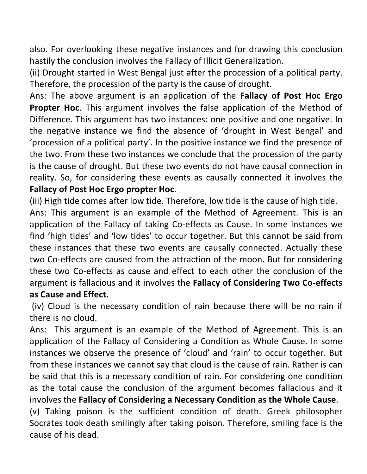also. For overlooking these negative instances and for drawing this conclusion hastily the conclusion involves the Fallacy of Illicit Generalization.

(ii) Drought started in West Bengal just after the procession of a political party. Therefore, the procession of the party is the cause of drought.

Ans: The above argument is an application of the Fallacy of Post Hoc Ergo Propter Hoc. This argument involves the false application of the Method of Difference. This argument has two instances: one positive and one negative. In the negative instance we find the absence of 'drought in West Bengal' and 'procession of a political party'. In the positive instance we find the presence of the two. From these two instances we conclude that the procession of the party is the cause of drought. But these two events do not have causal connection in reality. So, for considering these events as causally connected it involves the Fallacy of Post Hoc Ergo propter Hoc.

(iii) High tide comes after low tide. Therefore, low tide is the cause of high tide. Ans: This argument is an example of the Method of Agreement. This is an application of the Fallacy of taking Co-effects as Cause. In some instances we find 'high tides' and 'low tides' to occur together. But this cannot be said from these instances that these two events are causally connected. Actually these two Co-effects are caused from the attraction of the moon. But for considering these two Co-effects as cause and effect to each other the conclusion of the argument is fallacious and it involves the Fallacy of Considering Two Co-effects as Cause and Effect.

 (iv) Cloud is the necessary condition of rain because there will be no rain if there is no cloud.

Ans: This argument is an example of the Method of Agreement. This is an application of the Fallacy of Considering a Condition as Whole Cause. In some instances we observe the presence of 'cloud' and 'rain' to occur together. But from these instances we cannot say that cloud is the cause of rain. Rather is can be said that this is a necessary condition of rain. For considering one condition as the total cause the conclusion of the argument becomes fallacious and it involves the Fallacy of Considering a Necessary Condition as the Whole Cause. (v) Taking poison is the sufficient condition of death. Greek philosopher Socrates took death smilingly after taking poison. Therefore, smiling face is the cause of his dead.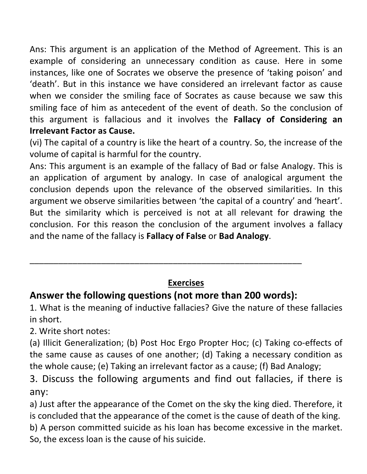Ans: This argument is an application of the Method of Agreement. This is an example of considering an unnecessary condition as cause. Here in some instances, like one of Socrates we observe the presence of 'taking poison' and 'death'. But in this instance we have considered an irrelevant factor as cause when we consider the smiling face of Socrates as cause because we saw this smiling face of him as antecedent of the event of death. So the conclusion of this argument is fallacious and it involves the Fallacy of Considering an Irrelevant Factor as Cause.

(vi) The capital of a country is like the heart of a country. So, the increase of the volume of capital is harmful for the country.

Ans: This argument is an example of the fallacy of Bad or false Analogy. This is an application of argument by analogy. In case of analogical argument the conclusion depends upon the relevance of the observed similarities. In this argument we observe similarities between 'the capital of a country' and 'heart'. But the similarity which is perceived is not at all relevant for drawing the conclusion. For this reason the conclusion of the argument involves a fallacy and the name of the fallacy is Fallacy of False or Bad Analogy.

## Exercises

# Answer the following questions (not more than 200 words):

\_\_\_\_\_\_\_\_\_\_\_\_\_\_\_\_\_\_\_\_\_\_\_\_\_\_\_\_\_\_\_\_\_\_\_\_\_\_\_\_\_\_\_\_\_\_\_\_\_\_\_\_\_\_\_\_\_

1. What is the meaning of inductive fallacies? Give the nature of these fallacies in short.

2. Write short notes:

(a) Illicit Generalization; (b) Post Hoc Ergo Propter Hoc; (c) Taking co-effects of the same cause as causes of one another; (d) Taking a necessary condition as the whole cause; (e) Taking an irrelevant factor as a cause; (f) Bad Analogy;

3. Discuss the following arguments and find out fallacies, if there is any:

a) Just after the appearance of the Comet on the sky the king died. Therefore, it is concluded that the appearance of the comet is the cause of death of the king. b) A person committed suicide as his loan has become excessive in the market. So, the excess loan is the cause of his suicide.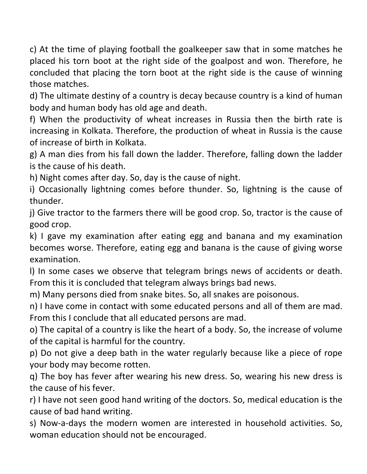c) At the time of playing football the goalkeeper saw that in some matches he placed his torn boot at the right side of the goalpost and won. Therefore, he concluded that placing the torn boot at the right side is the cause of winning those matches.

d) The ultimate destiny of a country is decay because country is a kind of human body and human body has old age and death.

f) When the productivity of wheat increases in Russia then the birth rate is increasing in Kolkata. Therefore, the production of wheat in Russia is the cause of increase of birth in Kolkata.

g) A man dies from his fall down the ladder. Therefore, falling down the ladder is the cause of his death.

h) Night comes after day. So, day is the cause of night.

i) Occasionally lightning comes before thunder. So, lightning is the cause of thunder.

j) Give tractor to the farmers there will be good crop. So, tractor is the cause of good crop.

k) I gave my examination after eating egg and banana and my examination becomes worse. Therefore, eating egg and banana is the cause of giving worse examination.

l) In some cases we observe that telegram brings news of accidents or death. From this it is concluded that telegram always brings bad news.

m) Many persons died from snake bites. So, all snakes are poisonous.

n) I have come in contact with some educated persons and all of them are mad. From this I conclude that all educated persons are mad.

o) The capital of a country is like the heart of a body. So, the increase of volume of the capital is harmful for the country.

p) Do not give a deep bath in the water regularly because like a piece of rope your body may become rotten.

q) The boy has fever after wearing his new dress. So, wearing his new dress is the cause of his fever.

r) I have not seen good hand writing of the doctors. So, medical education is the cause of bad hand writing.

s) Now-a-days the modern women are interested in household activities. So, woman education should not be encouraged.